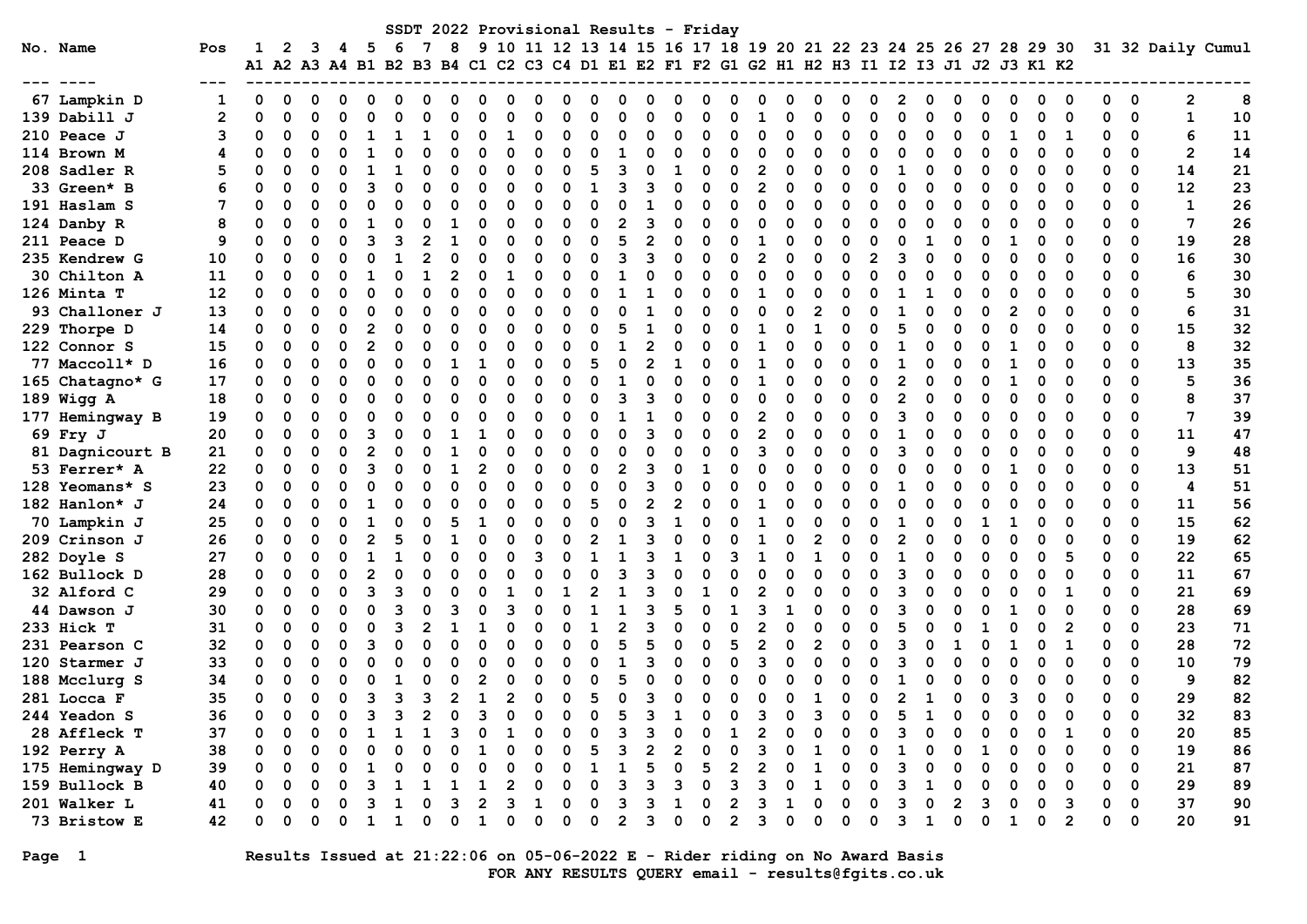|                 |              |   |          |              |              |              |    |          |    |   |          |   |              |                |   | SSDT 2022 Provisional Results - Friday |   |                                                                                           |                |   |   |          |   |                |   |              |          |   |   |                |   |             |                |                                                                                    |
|-----------------|--------------|---|----------|--------------|--------------|--------------|----|----------|----|---|----------|---|--------------|----------------|---|----------------------------------------|---|-------------------------------------------------------------------------------------------|----------------|---|---|----------|---|----------------|---|--------------|----------|---|---|----------------|---|-------------|----------------|------------------------------------------------------------------------------------|
| No. Name        | Pos          | 1 | 2        | 3            |              | -5           | -6 | 8        |    |   |          |   |              |                |   |                                        |   | A1 A2 A3 A4 B1 B2 B3 B4 C1 C2 C3 C4 D1 E1 E2 F1 F2 G1 G2 H1 H2 H3 I1 I2 I3 J1 J2 J3 K1 K2 |                |   |   |          |   |                |   |              |          |   |   |                |   |             |                | 9 10 11 12 13 14 15 16 17 18 19 20 21 22 23 24 25 26 27 28 29 30 31 32 Daily Cumul |
| 67 Lampkin D    | 1            | 0 | $\Omega$ |              |              |              |    |          |    |   |          |   |              |                |   |                                        |   |                                                                                           |                |   |   |          |   |                |   |              |          |   |   |                |   | 0           | $\overline{2}$ | 8                                                                                  |
| 139 Dabill J    | $\mathbf{2}$ |   | 0        |              |              |              |    |          |    |   |          |   | ი            |                |   | O                                      |   | n                                                                                         |                |   | ი |          |   | 0              |   |              | O        |   | n | ∩              |   | 0           | 1              | 10                                                                                 |
| 210 Peace J     | 3            | O | 0        |              |              |              |    |          |    |   | O        |   | O            | O              |   | $\Omega$                               |   | O                                                                                         | $\Omega$       |   | O | n        |   | 0              |   |              | O        |   | 0 | 1              | 0 | 0           | 6              | 11                                                                                 |
| 114 Brown M     | 4            | O | 0        | O            |              |              |    | O        |    | O | O        | ŋ | 0            |                |   | O                                      | O | ŋ                                                                                         |                |   | O | O        |   | $\Omega$       |   |              | O        | O | 0 | $\Omega$       | 0 | 0           | $\overline{2}$ | 14                                                                                 |
| 208 Sadler R    | 5            |   | 0        | O            |              |              |    |          |    | O | O        | O | 5            | ٩              |   | 1                                      |   | ი                                                                                         | 2              |   | O | ∩        |   | 1              |   |              | O        |   | ი |                | 0 | 0           | 14             | 21                                                                                 |
| 33 Green* B     | 6            |   | O        | <sup>0</sup> |              |              |    | n        |    | n | $\Omega$ | O | 1            | З              |   | $\Omega$                               |   | ი                                                                                         | $\overline{2}$ |   | O | $\Omega$ |   | $\Omega$       | C |              | O        |   | O | O              | O | $\Omega$    | 12             | 23                                                                                 |
| 191 Haslam S    | 7            |   | O        | O            |              |              |    |          |    | O | O        | O | O            |                |   | O                                      |   | ი                                                                                         | O              |   | O | n        |   | O              |   |              | O        |   | ი | O              | O | 0           | $\mathbf{1}$   | 26                                                                                 |
| 124 Danby R     | 8            |   | 0        |              |              |              |    |          |    |   | 0        | O | 0            |                |   |                                        |   |                                                                                           |                |   | O |          |   |                |   |              | O        |   | O | O              | 0 | 0           | 7              | 26                                                                                 |
| 211 Peace D     | 9            | O | O        |              |              |              |    |          |    |   |          |   | O            |                |   | O                                      |   |                                                                                           |                |   | O |          |   |                |   |              | O        |   |   |                | O | 0           | 19             | 28                                                                                 |
| 235 Kendrew G   | 10           | O | O        |              |              | O            |    | O        |    |   |          |   | O            | З              |   | O                                      |   |                                                                                           | 2              |   | O |          |   | 3              |   |              | O        |   |   |                |   | 0           | 16             | 30                                                                                 |
| 30 Chilton A    | 11           | 0 | O        |              |              |              |    |          |    |   |          |   | ი            |                |   | O                                      |   |                                                                                           |                |   | O |          |   |                |   |              |          |   |   |                |   | $\Omega$    | 6              | 30                                                                                 |
| 126 Minta T     | 12           | 0 | 0        |              |              | O            |    | $\Omega$ |    |   |          |   | ი            |                |   | O                                      |   |                                                                                           |                |   | O |          |   |                |   |              | O        |   |   |                |   | $\Omega$    | 5              | 30                                                                                 |
| 93 Challoner J  | 13           | 0 | 0        | 0            |              | $\Omega$     |    | $\Omega$ |    | O | $\Omega$ |   | 0            | $\Omega$       |   | $\Omega$                               |   | ი                                                                                         |                |   | 2 | n        |   |                |   |              | O        |   | O | O              | O | $\Omega$    | 6              | 31                                                                                 |
| 229 Thorpe D    | 14           | 0 | 0        | O            |              | 2            |    |          |    | n | O        |   | 0            | 5              |   | O                                      |   | ი                                                                                         |                |   | 1 | O        |   | 5              |   |              | O        |   | O |                |   | $\Omega$    | 15             | 32                                                                                 |
| 122 Connor S    | 15           | 0 | $\Omega$ | 0            |              | $\mathbf{2}$ |    | n        |    | n | O        |   | 0            |                |   | O                                      |   | n                                                                                         | 1              |   | O | $\Omega$ |   |                |   |              | ŋ        |   | n | ∩              | ŋ | $\Omega$    | 8              | 32                                                                                 |
| 77 Maccoll* D   | 16           | 0 | 0        | O            |              | O            |    |          |    |   |          |   | 5            | $\Omega$       |   | 1                                      |   |                                                                                           |                |   | O |          |   |                |   |              |          |   |   |                |   | $\Omega$    | 13             | 35                                                                                 |
| 165 Chatagno* G | 17           | 0 | 0        |              |              | O            |    |          |    |   |          |   |              |                |   | O                                      |   |                                                                                           |                |   | O | $\Omega$ |   | $\overline{2}$ |   |              | O        |   |   |                | O | $\Omega$    | 5              | 36                                                                                 |
| 189 Wigg A      | 18           | 0 | 0        |              |              | O            |    |          |    |   | O        |   |              | 3              |   | O                                      |   |                                                                                           |                |   | O | n        |   | $\overline{2}$ |   |              |          |   |   |                |   | $\Omega$    | 8              | 37                                                                                 |
| 177 Hemingway B | 19           | 0 | 0        |              |              | O            |    | O        |    |   | O        |   | O            |                |   | $\Omega$                               |   | ი                                                                                         | $\mathbf{2}$   |   | O | O        |   | 3              |   |              | U        |   |   |                |   | $\Omega$    | 7              | 39                                                                                 |
| 69 Fry J        | 20           | 0 | O        |              |              |              |    |          |    |   | O        |   | 0            | 0              |   | O                                      |   | ი                                                                                         | $\overline{2}$ |   | O | n        |   | 1              |   |              | O        |   |   |                | ი | $\Omega$    | 11             | 47                                                                                 |
| 81 Dagnicourt B | 21           | 0 | 0        | $\Omega$     |              | $\mathbf{2}$ |    |          |    |   | O        |   | 0            | 0              |   | $\Omega$                               |   | ი                                                                                         | 3              |   | O | n        |   | 3              |   |              | O        |   | 0 | 0              | 0 | 0           | 9              | 48                                                                                 |
| 53 Ferrer* A    | 22           | 0 | 0        | $\Omega$     |              | 3            |    |          |    | ი | $\Omega$ | O | 0            | 2              |   | $\Omega$                               |   | ŋ                                                                                         | $\Omega$       |   | O | O        |   | $\Omega$       |   |              | O        |   | 0 | 0              | 0 | 0           | 13             | 51                                                                                 |
| 128 Yeomans* S  | 23           | 0 | 0        | $\Omega$     |              | $\Omega$     |    | n        |    | n | $\Omega$ | O | 0            | $\Omega$       |   | O                                      | O | ი                                                                                         |                |   | O | ∩        |   | 1              |   |              | O        |   | O | O              | 0 | 0           | 4              | 51                                                                                 |
| 182 Hanlon* J   | 24           | 0 | $\Omega$ | $\Omega$     |              | ำ            |    |          |    | n | ∩        |   | 5            | ∩              |   | $\overline{2}$                         |   | ŋ                                                                                         | 1              |   | O | n        |   | 0              |   |              | O        |   | O | O              | O | $\Omega$    | 11             | 56                                                                                 |
| 70 Lampkin J    | 25           | O | 0        | O            |              |              |    |          |    |   |          |   |              | C              |   | 1                                      |   |                                                                                           |                |   | O |          |   |                |   |              | 1        |   | ი | O              | O | 0           | 15             | 62                                                                                 |
| 209 Crinson J   | 26           | 0 | 0        | O            |              |              |    |          |    |   | 0        | O | 2            |                |   | O                                      |   |                                                                                           |                |   | 2 | O        |   | 2              |   |              | $\Omega$ |   | 0 | O              | O | 0           | 19             | 62                                                                                 |
| 282 Doyle S     | 27           | 0 | O        |              |              |              |    |          |    |   |          |   |              |                |   |                                        |   |                                                                                           |                |   |   |          |   |                |   |              | O        |   | O | 5              |   | 0           | 22             | 65                                                                                 |
| 162 Bullock D   | 28           | 0 | O        |              |              |              |    |          |    |   |          |   |              | 3              |   |                                        |   |                                                                                           |                |   | O |          |   | ٦              |   |              | O        |   |   |                |   | 0           | 11             | 67                                                                                 |
| 32 Alford C     | 29           | 0 | O        |              |              |              |    |          |    |   |          |   | 2            | 1              |   | O                                      |   |                                                                                           |                |   | ი |          |   |                |   |              | O        |   |   | 1              | O | $\Omega$    | 21             | 69                                                                                 |
| 44 Dawson J     | 30           | 0 | 0        | O            |              | 0            |    | 3        |    | ٩ |          |   |              | $\mathbf{1}$   | 3 |                                        |   |                                                                                           | З              |   | O |          |   | 3              |   |              | O        |   | O | 0              | O | 0           | 28             | 69                                                                                 |
| 233 Hick T      | 31           | 0 | 0        | O            |              | $\Omega$     |    |          |    | n | O        |   | 1            | $\mathbf{2}$   |   | $\Omega$                               |   | ი                                                                                         |                |   | 0 | O        |   | 5              |   |              |          |   | 0 | 2              | 0 | 0           | 23             | 71                                                                                 |
| 231 Pearson C   | 32           | 0 | 0        | <sup>0</sup> |              | 3            |    | n        |    |   | n        |   | 0            | 5              |   | $\Omega$                               |   | 5                                                                                         | $\overline{2}$ |   | 2 | $\Omega$ |   | 3              |   |              | O        |   | ŋ | 1              | O | $\mathbf 0$ | 28             | 72                                                                                 |
| 120 Starmer J   | 33           | 0 | $\Omega$ | 0            |              | $\Omega$     |    | O        |    |   |          |   | 0            | 1              |   | O                                      |   | n                                                                                         | ิว             |   | O | $\Omega$ |   | ٩              |   |              | O        |   | n |                |   | $\Omega$    | 10             | 79                                                                                 |
| 188 Mcclurg S   | 34           |   | O        | O            |              | O            |    |          |    |   |          |   |              |                |   |                                        |   |                                                                                           |                |   | ი |          |   |                |   |              | O        |   |   |                |   | $\Omega$    | 9              | 82                                                                                 |
| 281 Locca F     | 35           | O | 0        | O            |              | 3            | З  | 2        |    |   | 0        | O | 5            | O              |   | O                                      |   | 0                                                                                         | Ω              |   | 1 | 0        |   | $\mathbf{2}$   |   | O            | 0        | з | 0 | $\Omega$       | O | 0           | 29             | 82                                                                                 |
| 244 Yeadon S    | 36           | 0 | 0        | 0            | <sup>0</sup> | 3            | 3  | $\Omega$ | 3  | 0 | 0        | 0 | <sup>0</sup> | 5              | 3 | -1                                     | 0 | 0                                                                                         | 3              | 0 | 3 | 0        | 0 | 5              | 1 | <sup>0</sup> | 0        | 0 | 0 | 0              | 0 | $\Omega$    | 32             | 83                                                                                 |
| 28 Affleck T    | 37           |   |          |              |              |              |    |          |    |   |          |   |              |                |   |                                        |   |                                                                                           |                |   |   |          |   |                |   |              |          |   |   |                |   | 0           | 20             | 85                                                                                 |
| 192 Perry A     | 38           |   |          |              |              |              |    |          |    |   |          |   |              |                |   |                                        |   |                                                                                           |                |   |   |          |   |                |   |              |          |   |   |                |   | 0           | 19             | 86                                                                                 |
| 175 Hemingway D | 39           |   | 0        |              |              |              |    |          |    |   |          |   |              |                |   |                                        |   |                                                                                           |                |   |   |          |   |                |   |              |          |   |   | 0              | 0 | 0           | 21             | 87                                                                                 |
| 159 Bullock B   | 40           | 0 | 0        |              |              |              |    |          |    |   |          |   |              |                |   |                                        |   | 3                                                                                         |                |   |   | O        |   |                |   |              | O        |   |   | 0              | 0 | 0           | 29             | 89                                                                                 |
| 201 Walker L    | 41           |   | 0        |              |              |              |    |          |    | 3 |          |   | 0            |                |   |                                        |   |                                                                                           |                |   | 0 | n        |   | 3              |   |              | 3        |   |   | з              | 0 | 0           | 37             | 90                                                                                 |
| 73 Bristow E    | 42           | 0 | 0        |              |              | -1           |    | O        | -1 | ი | 0        | O | 0            | $\overline{2}$ | 3 | $\Omega$                               | O | $\overline{2}$                                                                            | 3              |   | O | $\Omega$ |   | 3              | 1 | O            | 0        | 1 | 0 | $\overline{2}$ | 0 | $\mathbf 0$ | 20             | 91                                                                                 |

Page 1 Results Issued at 21:22:06 on 05-06-2022 E - Rider riding on No Award Basis FOR ANY RESULTS QUERY email - results@fgits.co.uk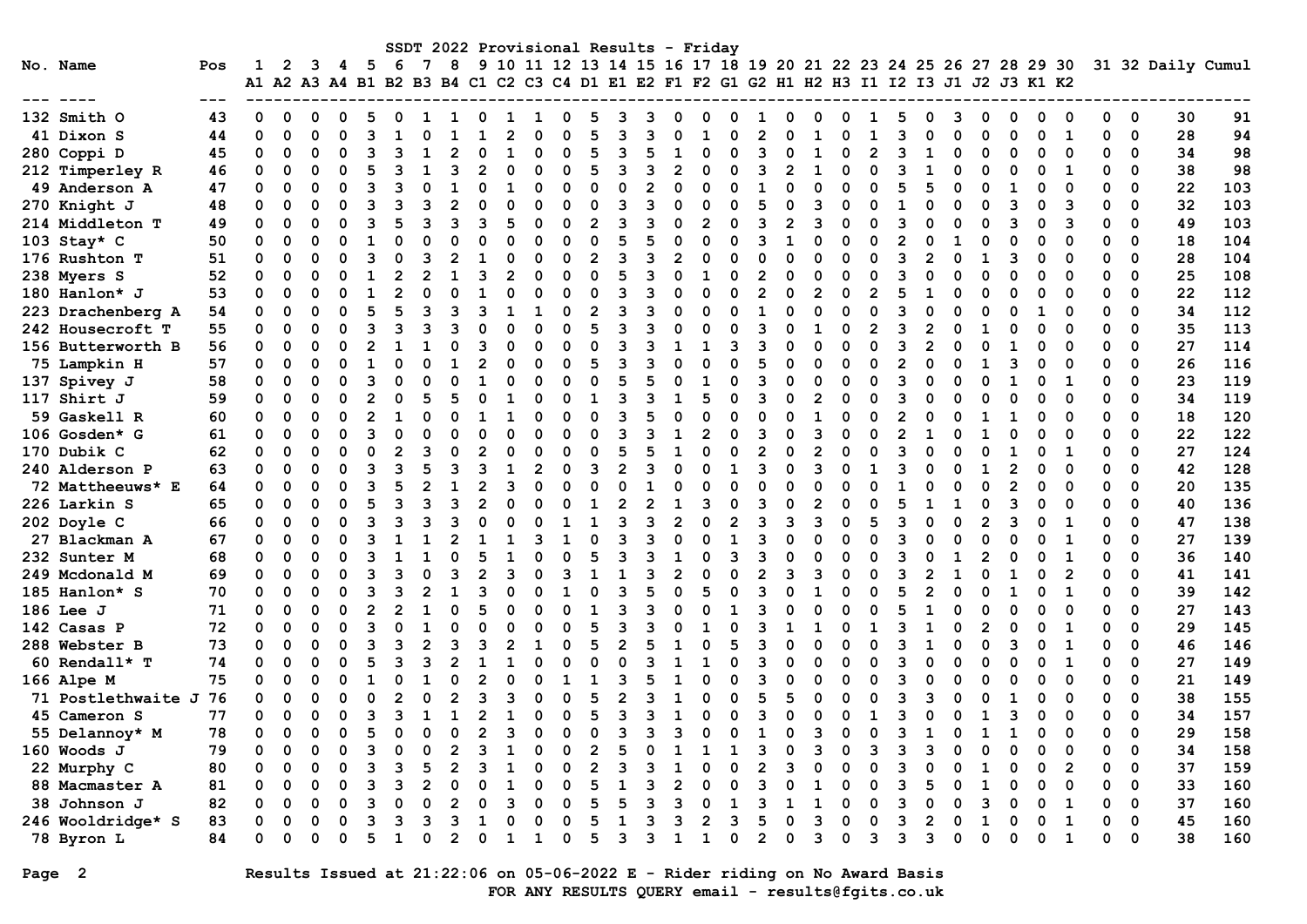| SSDT 2022 Provisional Results - Friday<br>9 10 11 12 13 14 15 16 17 18 19 20 21 22 23 24 25 26 27 28 29 30 |     |          |              |             |   |                |    |   |                |          |   |                |          |                |                |   |                |                |   |                |                                                                                           |              |             |   |                |                |                |   |   |                |             |             |                   |     |
|------------------------------------------------------------------------------------------------------------|-----|----------|--------------|-------------|---|----------------|----|---|----------------|----------|---|----------------|----------|----------------|----------------|---|----------------|----------------|---|----------------|-------------------------------------------------------------------------------------------|--------------|-------------|---|----------------|----------------|----------------|---|---|----------------|-------------|-------------|-------------------|-----|
| No. Name                                                                                                   | Pos | 1        | $\mathbf{2}$ | 3           | 4 | - 5            | 6  | 7 | 8              |          |   |                |          |                |                |   |                |                |   |                |                                                                                           |              |             |   |                |                |                |   |   |                |             |             | 31 32 Daily Cumul |     |
|                                                                                                            |     |          |              |             |   |                |    |   |                |          |   |                |          |                |                |   |                |                |   |                | A1 A2 A3 A4 B1 B2 B3 B4 C1 C2 C3 C4 D1 E1 E2 F1 F2 G1 G2 H1 H2 H3 I1 I2 I3 J1 J2 J3 K1 K2 |              |             |   |                |                |                |   |   |                |             |             |                   |     |
|                                                                                                            |     |          |              |             |   |                |    |   |                |          |   |                |          |                |                |   |                |                |   |                |                                                                                           |              |             |   |                |                |                |   |   |                |             |             |                   |     |
| 132 Smith O                                                                                                | 43  | 0        | O            | $\Omega$    |   |                |    |   | 1              | O        |   | 1              | O        | 5              | З              |   | ი              |                |   | 1              |                                                                                           |              |             |   |                |                | O              |   |   | O              | O           | 0           | 30                | 91  |
| 41 Dixon S                                                                                                 | 44  | $\Omega$ | $\Omega$     | $\Omega$    | O | २              |    |   | 1              |          |   | O              | $\Omega$ | 5              | ิจ             |   |                |                |   | $\mathfrak{p}$ |                                                                                           |              |             |   | 3              | O              | $\Omega$       | O | 0 | $\mathbf{1}$   | 0           | $\mathbf 0$ | 28                | 94  |
| 280 Coppi D                                                                                                | 45  | 0        | $\mathbf 0$  | $\mathbf 0$ |   | 3              | 3  |   | $\overline{2}$ | $\Omega$ |   | $\Omega$       | O        | 5              | 3              |   | $\mathbf{1}$   | C              | ∩ | 3              |                                                                                           |              | $\Omega$    |   | 3              | 1              | 0              | 0 | 0 | $\Omega$       | 0           | 0           | 34                | 98  |
| 212 Timperley R                                                                                            | 46  | 0        | $\Omega$     | 0           |   | 5              |    |   |                |          |   | $\Omega$       |          | 5              | В              |   | $\overline{2}$ | C              |   | 3              |                                                                                           |              | ∩           | O | 3              |                | 0              |   | 0 | 1              | 0           | $\mathbf 0$ | 38                | 98  |
| 49 Anderson A                                                                                              | 47  | $\Omega$ | $\Omega$     | $\Omega$    |   | ٩              |    |   | 1              |          |   | O              | n        | n              | ∩              |   | O              | C              |   | 1              |                                                                                           | ŋ            | ∩           |   | 5              | 5              | $\Omega$       |   | O | $\Omega$       | $\Omega$    | $\mathbf 0$ | 22                | 103 |
| 270 Knight J                                                                                               | 48  | 0        | $\Omega$     | 0           |   | ٩              | З  |   | $\overline{2}$ |          |   | $\Omega$       | O        | O              | 3              | ٩ | $\Omega$       | ∩              |   | 5              | O                                                                                         | З            | ∩           | O | $\mathbf{1}$   | ∩              | 0              | 3 | 0 | 3              | 0           | $\Omega$    | 32                | 103 |
| 214 Middleton T                                                                                            | 49  | 0        | 0            | $\Omega$    |   | 3              |    |   | 3              |          |   | O              | O        | 2              | 3              |   | 0              | 2              | 0 | 3              |                                                                                           | 3            | n           |   | 3              | 0              | 0              |   | 0 | 3              | 0           | $\Omega$    | 49                | 103 |
| 103 Stay* C                                                                                                | 50  | 0        | 0            | 0           |   |                | O  |   | $\Omega$       | O        |   | O              | O        | ŋ              | 5              | 5 | 0              | C              |   | 3              |                                                                                           | 0            | ∩           | O | $\overline{2}$ | 0              | 0              |   | ŋ | 0              | $\Omega$    | $\mathbf 0$ | 18                | 104 |
| 176 Rushton T                                                                                              | 51  | $\Omega$ | O            | $\Omega$    |   | ٩              |    |   | 2              |          |   | O              |          | $\overline{2}$ | 3              |   | $\overline{2}$ | O              |   | O              |                                                                                           |              | ∩           |   | २              |                | 1              |   | O | $\Omega$       | $\Omega$    | $\Omega$    | 28                | 104 |
| 238 Myers S                                                                                                | 52  | $\Omega$ | $\Omega$     | O           |   | 1              |    |   |                |          |   | $\Omega$       | O        | O              | 5              |   | $\Omega$       |                |   | $\overline{2}$ |                                                                                           | O            |             |   | 3              | O              | $\Omega$       |   | ი | O              | 0           | $\Omega$    | 25                | 108 |
| 180 Hanlon* J                                                                                              | 53  | 0        | 0            | $\Omega$    |   |                |    |   | O              |          |   | O              | O        | ŋ              | 3              |   | O              | n              | O | $\overline{2}$ | n                                                                                         | 2            | $\Omega$    |   | 5              |                | 0              |   | O | $\Omega$       | 0           | $\mathbf 0$ | 22                | 112 |
| 223 Drachenberg A                                                                                          | 54  | 0        | $\Omega$     | $\Omega$    |   | 5              |    |   | 3              |          |   | 1              |          | 2              | 3              |   | O              | ٢              |   | $\mathbf{1}$   |                                                                                           | O            | ∩           | O | 3              | 0              | 0              |   | 1 | $\Omega$       | 0           | $\Omega$    | 34                | 112 |
| 242 Housecroft T                                                                                           | 55  | 0        | $\Omega$     | $\mathbf 0$ |   | ٩              | З  |   | ٩              |          |   | $\Omega$       | ŋ        | 5              | 3              | ٩ | O              | C              |   | 3              | O                                                                                         | 1            | ∩           |   | 3              | $\overline{2}$ | 1              |   | O | $\Omega$       | $\mathbf 0$ | $\mathbf 0$ | 35                | 113 |
| 156 Butterworth B                                                                                          | 56  | 0        | $\Omega$     | $\Omega$    |   | 2              | 1  |   | ∩              | ٦        |   | O              |          | O              | 3              | з | 1              | 1              | 3 | 3              | O                                                                                         | ŋ            | $\Omega$    | O | 3              | $\overline{2}$ | O              |   | O | O              | O           | $\Omega$    | 27                | 114 |
| 75 Lampkin H                                                                                               | 57  | 0        | $\Omega$     | $\Omega$    |   |                |    |   |                |          |   | O              | ŋ        | 5              | 3              |   | n              | ŋ              | O | 5              |                                                                                           | O            | ∩           | O | $\overline{2}$ | 0              | 1              |   | ŋ | $\Omega$       | 0           | $\mathbf 0$ | 26                | 116 |
| 137 Spivey J                                                                                               | 58  | 0        | $\Omega$     | $\Omega$    |   | 3              |    |   |                |          |   | O              |          | O              | 5              |   | O              |                |   | 3              |                                                                                           | ŋ            |             |   | 3              |                | O              |   | O | 1              | $\Omega$    | $\mathbf 0$ | 23                | 119 |
| 117 Shirt J                                                                                                | 59  | 0        | O            | 0           |   | 2              | O  |   | 5              |          |   | 0              |          | 1              | 3              |   | 1              | 5              |   | 3              | O                                                                                         | 2            | ∩           | O | 3              | O              | 0              |   | 0 | 0              | $\mathbf 0$ | $\Omega$    | 34                | 119 |
| 59 Gaskell R                                                                                               | 60  | $\Omega$ | $\Omega$     | $\Omega$    |   | $\overline{2}$ |    |   | O              |          |   | O              | ŋ        | O              | 3              | 5 | O              | 0              |   | $\Omega$       |                                                                                           | $\mathbf{1}$ | $\Omega$    | O | $\overline{2}$ | 0              | 1              |   | O | $\Omega$       | $\mathbf 0$ | $\Omega$    | 18                | 120 |
| 106 Gosden* G                                                                                              | 61  | 0        | $\Omega$     | $\Omega$    |   | ٩              | O  |   | O              |          |   | $\Omega$       |          | n              | 3              |   | 1              | $\overline{2}$ | ∩ | 3              | O                                                                                         | 3            | $\Omega$    | O | $\overline{2}$ |                | 1              |   | ŋ | $\Omega$       | 0           | $\mathbf 0$ | 22                | 122 |
| 170 Dubik C                                                                                                | 62  | $\Omega$ | $\Omega$     | $\Omega$    |   | O              |    |   |                |          |   | $\Omega$       |          |                |                |   |                |                |   | 2              |                                                                                           |              |             |   | २              |                | 0              |   | O |                | $\Omega$    | $\Omega$    | 27                | 124 |
| 240 Alderson P                                                                                             | 63  | 0        | 0            | $\Omega$    |   | 3              | 3  |   | 3              | 3        |   | $\overline{2}$ |          | 3              |                |   | 0              | C              | 1 | 3              |                                                                                           | 3            | ∩           |   | 3              | O              | 1              |   | 0 | $\Omega$       | 0           | 0           | 42                | 128 |
| 72 Mattheeuws* E                                                                                           | 64  | 0        | $\Omega$     | $\Omega$    | ი | ٩              |    |   | 1              |          | २ | O              |          | n              | $\Omega$       |   | O              | C              |   | $\Omega$       |                                                                                           | n            | ∩           | O |                |                | $\Omega$       |   | O | $\Omega$       | $\Omega$    | $\Omega$    | 20                | 135 |
| 226 Larkin S                                                                                               | 65  | $\Omega$ | $\Omega$     | $\Omega$    | O | 5              | З  |   | ٩              |          |   | $\Omega$       |          |                |                |   |                | ٩              |   | २              | n                                                                                         |              | O           |   | 5              |                | 0              |   | O | $\Omega$       | 0           | $\Omega$    | 40                | 136 |
| 202 Doyle C                                                                                                | 66  | 0        | $\Omega$     | $\Omega$    |   | ٩              | З  |   | ٩              |          |   | $\Omega$       |          |                | Р              |   | $\overline{2}$ | C              | 2 | 3              |                                                                                           | ٩            | $\Omega$    |   | २              |                | $\overline{2}$ |   | O | 1              | $\mathbf 0$ | 0           | 47                | 138 |
| 27 Blackman A                                                                                              | 67  | 0        | O            | $\Omega$    |   | ٩              |    |   |                |          |   | 3              |          |                | 3              |   | O              | ٢              |   | 3              |                                                                                           |              | n           |   | 3              |                | $\Omega$       |   | ŋ | 1              | 0           | $\Omega$    | 27                | 139 |
| 232 Sunter M                                                                                               | 68  | $\Omega$ | $\Omega$     | $\Omega$    |   | ٩              |    |   | O              |          |   | O              |          |                | 3              |   | $\mathbf{1}$   | C              | З | 3              |                                                                                           | n            | ∩           |   | 3              |                | $\mathbf{2}$   |   | ŋ | 1              | $\Omega$    | $\mathbf 0$ | 36                | 140 |
| 249 Mcdonald M                                                                                             | 69  | 0        | $\Omega$     | $\Omega$    |   | ٩              | З  |   | ٩              |          |   | O              | ٩        |                |                |   | $\mathfrak{p}$ | n              |   | 2              |                                                                                           | ٩            | ∩           | O | २              | 2              | 0              |   | O | 2              | 0           | $\Omega$    | 41                | 141 |
| 185 Hanlon* S                                                                                              | 70  | $\Omega$ | $\Omega$     | $\mathbf 0$ |   | 3              |    |   |                |          |   | $\Omega$       |          |                | 3              |   |                |                |   | 3              |                                                                                           |              |             |   | 5              |                | $\Omega$       |   | 0 | $\mathbf{1}$   | $\Omega$    | $\Omega$    | 39                | 142 |
| 186 Lee J                                                                                                  | 71  | $\Omega$ | 0            | 0           |   | 2              |    |   | O              |          |   | O              |          |                | З              |   | ი              | C              | 1 | 3              |                                                                                           | 0            | O           |   | 5              |                | 0              |   | O | 0              | $\Omega$    | $\mathbf 0$ | 27                | 143 |
| 142 Casas P                                                                                                | 72  | 0        | $\Omega$     | $\Omega$    |   | ٩              |    |   |                |          |   | O              |          |                | В              |   | ი              |                |   | 3              |                                                                                           |              |             | 1 |                |                | $\overline{2}$ |   | ŋ | 1              | $\Omega$    | $\mathbf 0$ | 29                | 145 |
| 288 Webster B                                                                                              | 73  | $\Omega$ | $\Omega$     | O           |   | ٩              |    |   |                |          |   | 1              |          | 5              |                | 5 |                | $\Omega$       |   | २              |                                                                                           | $\Omega$     |             | O | २              |                | O              | ٩ | O | 1              | $\Omega$    | $\Omega$    | 46                | 146 |
| 60 Rendall* T                                                                                              | 74  | $\Omega$ | $\Omega$     | $\Omega$    |   |                | 3  |   | $\overline{2}$ |          |   | $\Omega$       |          |                | $\Omega$       |   |                |                |   | 3              |                                                                                           | ŋ            | $\Omega$    |   | 3              |                | $\Omega$       |   | O | 1              | 0           | $\Omega$    | 27                | 149 |
| 166 Alpe M                                                                                                 | 75  | 0        | $\Omega$     | 0           |   | -1             | O  |   | O              |          |   | $\Omega$       |          |                | 3              |   |                | C              |   | 3              | O                                                                                         | ŋ            | ∩           | O | 3              | 0              | 0              |   | O | 0              | 0           | $\mathbf 0$ | 21                | 149 |
| 71 Postlethwaite J                                                                                         | 76  | $\Omega$ | $\Omega$     | $\Omega$    |   | O              |    |   | $\overline{2}$ | ٩        |   | $\Omega$       | ŋ        | 5              | $\overline{2}$ |   | 1              | C              |   | 5              | 5                                                                                         | O            | ∩           | O | 3              | ٩              | $\Omega$       |   | O | $\Omega$       | $\Omega$    | 0           | 38                | 155 |
| 45 Cameron S                                                                                               | 77  | 0        | $\Omega$     | O           |   | ٩              | ิว |   | 1              |          |   | $\Omega$       | O        | 5              | 3              | વ | 1              | O              |   | 3              |                                                                                           | n            | ∩           | 1 | २              | O              | 1              | ٩ | ŋ |                | O           | $\Omega$    | 34                | 157 |
| 55 Delannoy* M                                                                                             | 78  | 0        | $\Omega$     | $\Omega$    | O | 5              |    |   | O              |          |   |                |          | n              | 3              |   |                |                |   |                |                                                                                           | ٩            | O           | O | 3              |                | 1              |   | O | $\Omega$       | $\mathbf 0$ | $\mathbf 0$ | 29                | 158 |
| 160 Woods J                                                                                                | 79  | $\Omega$ | 0            | 0           |   | 3              | O  |   | $\overline{2}$ |          |   | O              |          | 2              | 5              | O |                |                |   | 3              |                                                                                           | 3            | $\Omega$    |   | 3              | 3              | 0              |   | O | 0              | $\Omega$    | $\mathbf 0$ | 34                | 158 |
| 22 Murphy C                                                                                                | 80  | 0        | O            | 0           | ი | ٩              | З  |   | $\overline{2}$ | ٩        |   | $\Omega$       |          | $\mathfrak{p}$ | 3              |   | 1              | ∩              |   | $\mathbf{2}$   | З                                                                                         | n            | $\Omega$    | O | २              |                | 1              | O | O | $\overline{2}$ | 0           | $\mathbf 0$ | 37                | 159 |
| 88 Macmaster A                                                                                             | 81  | 0        | O            | O           |   | 3              | ิว |   | ∩              |          |   | O              | O        | 5              | $\mathbf{1}$   |   | $\overline{2}$ |                |   | २              |                                                                                           |              |             |   | 3              |                | 1              |   | n | ∩              | 0           | $\Omega$    | 33                | 160 |
| 38 Johnson J                                                                                               | 82  | O        | O            | $\Omega$    |   | ٩              |    |   |                |          |   | O              |          |                |                |   | 3              |                |   | 3              |                                                                                           |              | O           |   | 3              | 0              | 3              |   | O | 1              | $\Omega$    | $\mathbf 0$ | 37                | 160 |
| 246 Wooldridge* S                                                                                          | 83  | O        | O            | $\Omega$    |   | 3              | З  |   | ٩              |          |   | O              |          | 5              |                |   | 3              | 2              | З | 5              |                                                                                           | 3            | ∩           |   | 3              | $\overline{2}$ | 1              |   | O | 1              | $\Omega$    | 0           | 45                | 160 |
| 78 Byron L                                                                                                 | 84  | 0        | O            | O           |   | 5              |    |   | $\mathbf{2}$   | O        |   | 1              | O        | 5              | 3              | з | 1              | 1              | O | $\overline{2}$ | O                                                                                         | 3            | $\mathbf 0$ | з | 3              | 3              | $\Omega$       | O | ŋ | 1              | 0           | $\mathbf 0$ | 38                | 160 |

### Page 2 Results Issued at 21:22:06 on 05-06-2022 E - Rider riding on No Award Basis FOR ANY RESULTS QUERY email - results@fgits.co.uk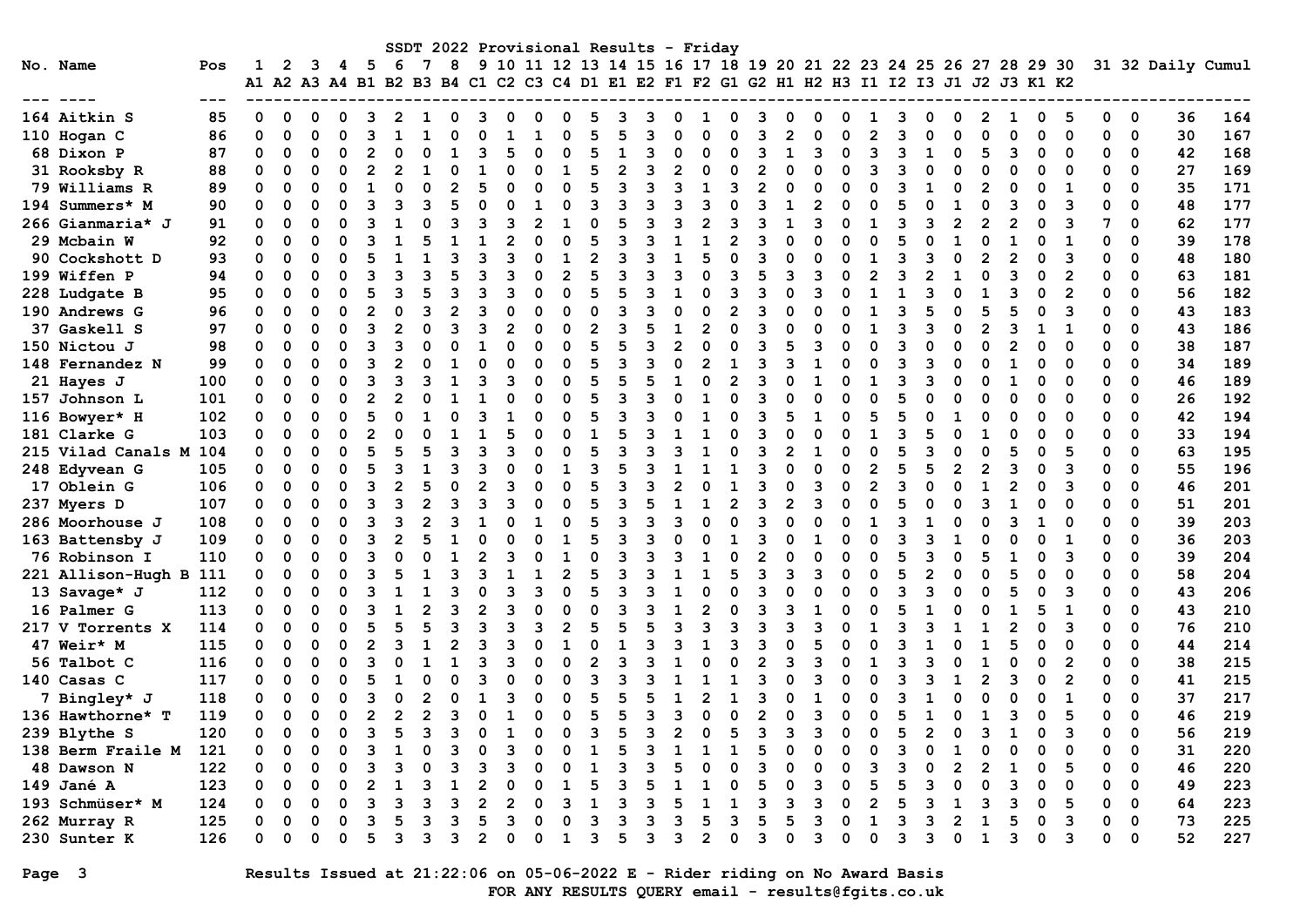| SSDT 2022 Provisional Results - Friday<br>9 10 11 12 13 14 15 16 17 18 19 20 21 22 23 24 25 26 27 28 29 30<br>No. Name<br>31 32 Daily Cumul |                         |     |                      |   |   |   |                |    |  |   |                |   |   |              |   |   |   |   |                |   |   |                                                                      |   |          |   |   |          |                |              |   |   |   |   |             |    |     |
|---------------------------------------------------------------------------------------------------------------------------------------------|-------------------------|-----|----------------------|---|---|---|----------------|----|--|---|----------------|---|---|--------------|---|---|---|---|----------------|---|---|----------------------------------------------------------------------|---|----------|---|---|----------|----------------|--------------|---|---|---|---|-------------|----|-----|
|                                                                                                                                             |                         | Pos |                      | 2 | 3 | 4 | - 5            | -6 |  | 8 |                |   |   |              |   |   |   |   |                |   |   |                                                                      |   |          |   |   |          |                |              |   |   |   |   |             |    |     |
|                                                                                                                                             |                         |     | A1 A2 A3 A4 B1 B2 B3 |   |   |   |                |    |  |   |                |   |   |              |   |   |   |   |                |   |   | B4 C1 C2 C3 C4 D1 E1 E2 F1 F2 G1 G2 H1 H2 H3 I1 I2 I3 J1 J2 J3 K1 K2 |   |          |   |   |          |                |              |   |   |   |   |             |    |     |
|                                                                                                                                             |                         |     |                      |   |   |   |                |    |  |   |                |   |   |              |   |   |   |   |                |   |   |                                                                      |   |          |   |   |          |                |              |   |   |   |   |             |    |     |
|                                                                                                                                             | 164 Aitkin S            | 85  | Ω                    |   |   |   |                |    |  |   |                |   |   |              |   |   |   |   |                |   |   |                                                                      |   |          |   |   |          |                |              |   |   |   |   | 0           | 36 | 164 |
|                                                                                                                                             | 110 Hogan C             | 86  | 0                    | O |   |   |                |    |  |   |                |   |   |              |   |   |   |   |                |   |   |                                                                      |   |          |   |   |          |                |              |   |   |   |   | $\mathbf 0$ | 30 | 167 |
|                                                                                                                                             | 68 Dixon P              | 87  | 0                    | O |   |   |                |    |  |   |                |   |   |              |   |   |   |   |                |   |   |                                                                      |   |          |   |   |          |                |              |   |   |   |   | $\mathbf 0$ | 42 | 168 |
|                                                                                                                                             | 31 Rooksby R            | 88  | 0                    |   |   |   |                |    |  |   |                |   |   |              |   |   |   |   |                |   |   |                                                                      |   |          |   |   |          |                |              |   |   |   |   | $\mathbf 0$ | 27 | 169 |
|                                                                                                                                             | 79 Williams R           | 89  | U                    |   |   |   |                |    |  |   |                |   |   |              |   | Р |   | ٩ |                |   |   |                                                                      |   |          |   |   |          |                |              |   |   |   |   | $\Omega$    | 35 | 171 |
|                                                                                                                                             | 194 Summers* M          | 90  | O                    |   |   |   |                |    |  |   |                |   |   |              |   |   |   |   |                |   |   |                                                                      |   |          |   |   |          |                |              |   |   |   |   | $\mathbf 0$ | 48 | 177 |
|                                                                                                                                             | 266 Gianmaria* J        | 91  | 0                    | O |   |   |                |    |  |   |                |   |   |              |   |   |   |   |                |   |   |                                                                      |   |          |   | 3 |          |                |              |   |   |   |   | $\Omega$    | 62 | 177 |
|                                                                                                                                             | 29 Mcbain W             | 92  | 0                    | O |   |   |                |    |  |   |                |   |   |              |   |   |   |   |                |   |   |                                                                      |   |          |   |   |          |                |              |   |   |   |   | $\Omega$    | 39 | 178 |
|                                                                                                                                             | 90 Cockshott D          | 93  | O                    | O | ∩ |   |                |    |  |   |                |   |   |              |   |   |   |   |                |   |   |                                                                      |   |          |   | ٩ |          |                | 2            |   |   | 3 |   | $\Omega$    | 48 | 180 |
|                                                                                                                                             | 199 Wiffen P            | 94  | U                    | n |   |   |                |    |  |   |                |   |   |              |   |   |   |   |                |   |   |                                                                      |   |          |   |   |          |                | n            |   |   |   |   | $\Omega$    | 63 | 181 |
|                                                                                                                                             | 228 Ludgate B           | 95  |                      | O |   |   |                |    |  |   |                |   |   |              |   |   |   |   |                |   |   |                                                                      |   |          |   |   |          |                |              |   |   |   |   | 0           | 56 | 182 |
|                                                                                                                                             | 190 Andrews G           | 96  | O                    |   |   |   |                |    |  |   |                |   |   |              |   |   |   |   |                |   |   |                                                                      |   |          |   |   |          |                |              |   |   |   |   | 0           | 43 | 183 |
|                                                                                                                                             | 37 Gaskell S            | 97  | U                    |   |   |   |                |    |  |   |                |   |   |              |   |   |   |   |                |   |   |                                                                      |   |          |   |   |          |                |              |   |   |   |   | $\mathbf 0$ | 43 | 186 |
|                                                                                                                                             | 150 Nictou J            | 98  |                      |   |   |   |                |    |  |   |                |   |   |              |   |   |   |   |                |   |   |                                                                      |   |          |   |   |          |                |              |   |   |   |   | $\Omega$    | 38 | 187 |
|                                                                                                                                             | 148 Fernandez N         | 99  | O                    |   |   |   |                |    |  |   |                |   |   |              |   |   |   |   |                |   |   |                                                                      |   |          |   |   |          |                |              |   |   |   |   | $\Omega$    | 34 | 189 |
|                                                                                                                                             | 21 Hayes J              | 100 | 0                    | O |   |   | 3              |    |  |   |                |   |   |              |   |   |   |   |                |   |   |                                                                      |   |          |   |   |          |                |              |   |   |   | O | $\Omega$    | 46 | 189 |
|                                                                                                                                             | 157 Johnson L           | 101 | 0                    | n |   |   | 2              |    |  |   |                |   |   |              |   |   |   |   |                |   |   |                                                                      |   |          |   |   |          |                |              |   |   |   |   | $\mathbf 0$ | 26 | 192 |
|                                                                                                                                             | 116 Bowyer* H           | 102 | 0                    | O | ∩ |   |                |    |  |   |                |   |   |              |   | З |   |   |                |   |   |                                                                      |   |          |   |   |          |                |              |   |   |   |   | $\Omega$    | 42 | 194 |
|                                                                                                                                             | 181 Clarke G            | 103 | U                    | n |   |   |                |    |  |   |                |   |   |              |   |   |   |   |                |   |   |                                                                      |   |          |   |   |          |                |              |   |   |   |   | $\Omega$    | 33 | 194 |
|                                                                                                                                             | 215 Vilad Canals M      | 104 |                      | O |   |   |                |    |  |   |                |   |   |              |   |   |   |   |                |   |   |                                                                      |   |          |   |   |          |                |              |   |   |   |   | $\mathbf 0$ | 63 | 195 |
|                                                                                                                                             | 248 Edyvean G           | 105 | 0                    | O |   |   |                |    |  |   |                |   |   |              |   |   |   |   |                |   |   |                                                                      |   |          |   |   |          |                |              |   |   |   |   | 0           | 55 | 196 |
|                                                                                                                                             | 17 Oblein G             | 106 | 0                    |   |   |   |                |    |  |   |                |   |   |              |   |   |   |   |                |   |   |                                                                      |   |          |   |   |          |                |              |   |   |   |   | $\Omega$    | 46 | 201 |
|                                                                                                                                             | 237 Myers D             | 107 |                      | n |   |   |                |    |  |   |                |   |   |              |   |   |   |   |                |   |   |                                                                      |   |          |   |   |          |                |              |   |   |   |   | $\Omega$    | 51 | 201 |
|                                                                                                                                             | 286 Moorhouse J         | 108 | O                    |   |   |   |                |    |  |   |                |   |   |              |   |   |   |   |                |   |   |                                                                      |   |          |   |   |          |                |              |   |   |   |   | $\Omega$    | 39 | 203 |
|                                                                                                                                             | 163 Battensby J         | 109 | 0                    | O |   |   | ٩              |    |  |   |                |   |   |              |   |   |   |   |                |   |   |                                                                      |   |          |   |   |          |                |              |   | ŋ |   | O | $\mathbf 0$ | 36 | 203 |
|                                                                                                                                             | 76 Robinson I           | 110 | 0                    | n |   |   |                |    |  |   |                |   |   |              |   |   |   |   |                |   |   |                                                                      |   |          |   | 5 |          |                |              |   |   |   |   | $\mathbf 0$ | 39 | 204 |
|                                                                                                                                             | 221 Allison-Hugh B      | 111 |                      | O |   |   |                |    |  |   |                |   |   |              |   |   |   |   |                |   |   |                                                                      | ว |          |   |   |          |                | U            |   |   |   |   | $\mathbf 0$ | 58 | 204 |
|                                                                                                                                             | 13 Savage* J            | 112 | U                    | O |   |   |                |    |  |   |                |   |   |              |   |   |   |   |                |   |   |                                                                      |   |          |   |   |          |                | U            |   |   |   |   | $\Omega$    | 43 | 206 |
|                                                                                                                                             | 16 Palmer G             | 113 |                      | O |   |   |                |    |  |   |                |   |   |              |   |   |   |   |                |   |   |                                                                      |   |          |   |   |          |                |              |   |   |   |   | 0           | 43 | 210 |
|                                                                                                                                             | <b>217 V Torrents X</b> | 114 | O                    |   |   |   |                |    |  |   |                |   |   |              |   |   |   |   |                |   |   |                                                                      |   |          |   |   |          |                |              |   |   |   |   | 0           | 76 | 210 |
|                                                                                                                                             | 47 Weir* M              | 115 | O                    |   |   |   |                |    |  |   |                |   |   |              |   |   |   |   |                |   |   |                                                                      |   |          |   |   |          |                |              |   |   |   |   | 0           | 44 | 214 |
|                                                                                                                                             | 56 Talbot C             | 116 |                      |   |   |   |                |    |  |   |                |   |   |              |   |   |   |   |                |   |   |                                                                      |   |          |   |   |          |                |              |   |   | 2 |   | $\Omega$    | 38 | 215 |
|                                                                                                                                             | 140 Casas C             | 117 | O                    |   |   |   |                |    |  |   |                |   |   |              |   |   |   |   |                |   |   |                                                                      |   |          |   |   |          |                |              |   |   |   |   | $\Omega$    | 41 | 215 |
|                                                                                                                                             | 7 Bingley* J            | 118 | O                    | n |   |   |                |    |  |   |                |   |   |              |   |   |   |   |                |   |   |                                                                      |   |          |   |   |          |                |              |   |   |   |   | $\mathbf 0$ | 37 | 217 |
|                                                                                                                                             | 136 Hawthorne* T        | 119 | O                    |   |   |   | 2              |    |  | ٦ |                |   |   |              |   |   |   | ٩ |                |   | 2 |                                                                      | ٩ |          |   | 5 |          |                |              |   |   | 5 |   | $\Omega$    | 46 | 219 |
|                                                                                                                                             | 239 Blythe S            | 120 |                      |   |   |   |                |    |  | 3 |                |   |   |              |   |   |   | 2 |                |   | 3 |                                                                      |   |          |   |   |          |                | 3            |   |   |   |   | $\mathbf 0$ | 56 | 219 |
|                                                                                                                                             | 138 Berm Fraile M       | 121 | 0                    | O |   |   | 3              |    |  | 3 |                | 3 | 0 |              |   | 5 |   | 1 | 1              | 1 |   |                                                                      | O | $\Omega$ |   | 3 | $\Omega$ |                | 0            |   | U | 0 |   | 0           | 31 | 220 |
|                                                                                                                                             | 48 Dawson N             | 122 | 0                    |   |   |   |                |    |  |   |                |   |   |              |   |   |   |   |                |   |   |                                                                      |   |          |   | 3 |          |                | 2            |   |   |   |   | 0           | 46 | 220 |
|                                                                                                                                             | 149 Jané A              | 123 | 0                    | 0 |   |   | $\overline{2}$ |    |  |   |                |   | 0 |              | 5 | 3 |   |   |                |   |   |                                                                      | 3 | $\Omega$ |   | 5 | 3        |                | 0            |   |   | 0 | 0 | 0           | 49 | 223 |
|                                                                                                                                             | 193 Schmüser* M         | 124 | 0                    |   |   |   |                |    |  | 3 |                |   | 0 |              |   | 3 |   | 5 |                |   | 3 |                                                                      | 3 | $\Omega$ |   | 5 |          |                | 3            |   |   | 5 | 0 | 0           | 64 | 223 |
|                                                                                                                                             | 262 Murray R            | 125 |                      |   |   |   | 3              |    |  | 3 |                | ٩ |   |              | 3 | 3 | ٦ | 3 | 5              | 3 | 5 | 5                                                                    | 3 |          |   | 3 | з        | $\overline{2}$ | $\mathbf{1}$ |   |   | 3 | 0 | 0           | 73 | 225 |
|                                                                                                                                             | 230 Sunter K            | 126 | 0                    | 0 | O |   | 5              |    |  | 3 | $\overline{2}$ | 0 | 0 | $\mathbf{1}$ | 3 | 5 | 3 | 3 | $\overline{2}$ | 0 | 3 |                                                                      | 3 | O        | ŋ | 3 | 3        |                | $\mathbf{1}$ | 3 | 0 | 3 | 0 | 0           | 52 | 227 |

Page 3 Results Issued at 21:22:06 on 05-06-2022 E - Rider riding on No Award Basis FOR ANY RESULTS QUERY email - results@fgits.co.uk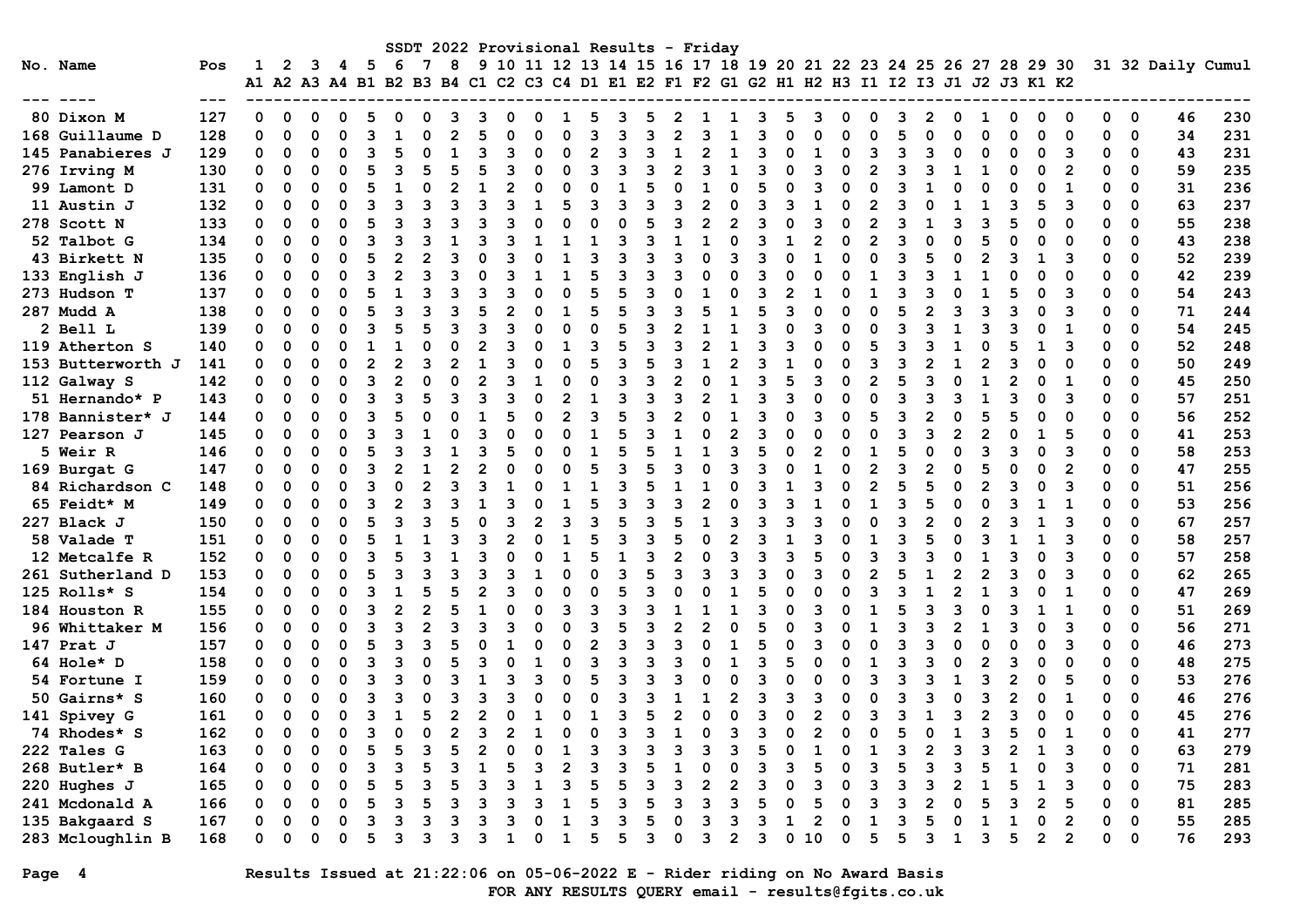| SSDT 2022 Provisional Results - Friday<br>9 10 11 12 13 14 15 16 17 18 19 20 21 22 23 24 25 26 27 28 29 30<br>No. Name<br>4 5<br>- 6<br>31 32 Daily Cumul |                   |     |                                                                                           |             |             |  |   |  |   |          |              |   |   |   |              |   |   |                |   |                |    |        |                         |          |   |   |              |   |                |    |                |                |   |                         |    |     |
|-----------------------------------------------------------------------------------------------------------------------------------------------------------|-------------------|-----|-------------------------------------------------------------------------------------------|-------------|-------------|--|---|--|---|----------|--------------|---|---|---|--------------|---|---|----------------|---|----------------|----|--------|-------------------------|----------|---|---|--------------|---|----------------|----|----------------|----------------|---|-------------------------|----|-----|
|                                                                                                                                                           |                   | Pos |                                                                                           | 2           | 3           |  |   |  | 7 | 8        |              |   |   |   |              |   |   |                |   |                |    |        |                         |          |   |   |              |   |                |    |                |                |   |                         |    |     |
|                                                                                                                                                           |                   |     | A1 A2 A3 A4 B1 B2 B3 B4 C1 C2 C3 C4 D1 E1 E2 F1 F2 G1 G2 H1 H2 H3 I1 I2 I3 J1 J2 J3 K1 K2 |             |             |  |   |  |   |          |              |   |   |   |              |   |   |                |   |                |    |        |                         |          |   |   |              |   |                |    |                |                |   |                         |    |     |
|                                                                                                                                                           |                   |     |                                                                                           |             |             |  |   |  |   |          |              |   |   |   |              |   |   |                |   |                |    |        |                         |          |   |   |              |   |                |    |                |                |   |                         |    |     |
|                                                                                                                                                           | 80 Dixon M        | 127 | 0                                                                                         | 0           |             |  |   |  |   |          |              |   |   |   |              |   |   |                |   |                |    |        |                         |          |   |   |              |   |                |    |                |                |   | 0                       | 46 | 230 |
|                                                                                                                                                           | 168 Guillaume D   | 128 | 0                                                                                         | $\Omega$    |             |  |   |  |   |          |              |   |   |   |              |   |   |                |   |                |    |        |                         |          |   |   |              |   |                |    |                | $\Omega$       | O | 0                       | 34 | 231 |
|                                                                                                                                                           | 145 Panabieres J  | 129 | 0                                                                                         | 0           | O           |  |   |  |   |          |              |   |   |   |              |   |   |                |   |                |    |        |                         | ∩        |   |   |              |   |                |    |                | 3              |   | 0                       | 43 | 231 |
|                                                                                                                                                           | 276 Irving M      | 130 | 0                                                                                         | $\Omega$    |             |  |   |  |   |          |              |   |   |   |              |   |   |                |   |                |    |        | ٩                       |          |   | 3 |              |   |                |    |                |                |   | $\Omega$                | 59 | 235 |
|                                                                                                                                                           | 99 Lamont D       | 131 |                                                                                           | 0           |             |  |   |  |   |          |              |   |   |   |              |   |   | O              |   |                |    |        | ર                       |          |   |   |              |   |                |    |                |                |   | $\Omega$                | 31 | 236 |
|                                                                                                                                                           | 11 Austin J       | 132 |                                                                                           | 0           |             |  |   |  |   |          |              |   |   |   |              |   |   |                |   |                |    |        |                         |          |   |   |              |   |                |    |                | Р              |   | $\Omega$                | 63 | 237 |
|                                                                                                                                                           | 278 Scott N       | 133 | 0                                                                                         | $\Omega$    | C           |  |   |  |   |          |              |   |   |   |              |   |   |                |   |                |    |        | ٩                       |          |   |   |              |   | ٦              |    |                |                | O | $\Omega$                | 55 | 238 |
|                                                                                                                                                           | 52 Talbot G       | 134 | 0                                                                                         | $\Omega$    |             |  |   |  |   |          |              |   |   |   |              |   |   |                |   |                |    |        | 2                       | ∩        |   | ٦ |              |   |                |    |                |                | ŋ | $\Omega$                | 43 | 238 |
|                                                                                                                                                           | 43 Birkett N      | 135 | 0                                                                                         | $\Omega$    | O           |  |   |  |   |          |              |   |   |   | ิว           | З |   | २              |   | ٩              |    |        |                         | ∩        |   | 3 |              |   | 2              |    |                | З              |   | $\Omega$                | 52 | 239 |
|                                                                                                                                                           | 133 English J     | 136 | 0                                                                                         | $\Omega$    |             |  |   |  |   |          |              |   |   |   |              |   |   |                |   |                |    |        |                         |          |   |   |              |   |                |    |                |                |   | $\Omega$                | 42 | 239 |
|                                                                                                                                                           | 273 Hudson T      | 137 |                                                                                           | $\Omega$    |             |  |   |  |   |          |              |   |   |   |              |   |   | $\Omega$       |   |                |    |        |                         |          |   |   |              |   |                |    |                |                |   | $\Omega$                | 54 | 243 |
|                                                                                                                                                           | 287 Mudd A        | 138 | O                                                                                         | $\Omega$    |             |  |   |  |   |          |              |   |   |   |              |   |   |                |   |                |    |        |                         |          |   |   |              |   |                |    |                |                |   | $\Omega$                | 71 | 244 |
|                                                                                                                                                           | 2 Bell L          | 139 | O                                                                                         | 0           |             |  |   |  |   |          |              |   |   |   |              |   |   | $\mathfrak{p}$ |   |                |    |        |                         |          |   |   |              |   |                |    |                |                |   | $\Omega$                | 54 | 245 |
|                                                                                                                                                           | 119 Atherton S    | 140 |                                                                                           | 0           |             |  |   |  |   |          |              |   |   |   |              |   |   |                |   |                |    |        |                         |          |   |   |              |   |                |    |                |                |   | $\Omega$                | 52 | 248 |
|                                                                                                                                                           | 153 Butterworth J | 141 | O                                                                                         | ŋ           |             |  |   |  |   |          |              |   |   |   | 5            |   |   |                |   |                |    |        |                         |          |   |   |              |   |                |    |                |                |   | $\Omega$                | 50 | 249 |
|                                                                                                                                                           | 112 Galway S      | 142 | 0                                                                                         | $\Omega$    | O           |  | २ |  |   |          |              |   |   |   |              |   |   |                |   |                |    |        |                         |          |   |   |              |   |                |    |                |                | ŋ | $\Omega$                | 45 | 250 |
|                                                                                                                                                           | 51 Hernando* P    | 143 | 0                                                                                         | $\Omega$    |             |  |   |  |   |          |              |   |   |   |              |   |   |                |   |                |    |        |                         |          |   |   |              |   |                |    |                | ٩              |   | $\Omega$                | 57 | 251 |
|                                                                                                                                                           | 178 Bannister* J  | 144 | 0                                                                                         | 0           |             |  |   |  |   |          |              |   | n |   | 3            |   | ঽ | າ              |   |                | ิว |        | ર                       | ∩        |   | 3 |              |   |                |    | ი              | ∩              |   | $\Omega$                | 56 | 252 |
|                                                                                                                                                           | 127 Pearson J     | 145 | 0                                                                                         | 0           |             |  |   |  |   |          |              |   |   |   | $\mathbf{1}$ | 5 |   |                |   | $\mathfrak{p}$ |    |        |                         |          |   |   |              |   | っ              |    |                |                |   | $\Omega$                | 41 | 253 |
|                                                                                                                                                           | 5 Weir R          | 146 | 0                                                                                         | $\Omega$    |             |  |   |  |   |          |              |   |   |   |              |   |   |                |   | ว              |    |        |                         |          |   |   |              |   | ર              |    |                |                |   | $\Omega$                | 58 | 253 |
|                                                                                                                                                           | 169 Burgat G      | 147 | 0                                                                                         | 0           |             |  |   |  |   |          |              |   |   |   |              |   |   |                |   |                |    |        |                         |          |   |   |              |   |                |    |                |                |   | $\Omega$                | 47 | 255 |
|                                                                                                                                                           | 84 Richardson C   | 148 | 0                                                                                         | 0           |             |  |   |  |   |          |              |   |   |   |              |   |   |                |   |                |    |        |                         |          |   |   |              |   |                |    |                |                |   | $\Omega$                | 51 | 256 |
|                                                                                                                                                           | 65 Feidt* M       | 149 |                                                                                           | 0           |             |  |   |  |   |          |              |   |   |   |              |   |   |                |   |                |    |        |                         |          |   |   |              |   |                |    |                |                |   | $\Omega$                | 53 | 256 |
|                                                                                                                                                           | 227 Black J       | 150 | O                                                                                         | $\Omega$    |             |  |   |  |   |          |              |   |   |   |              | 5 |   |                |   |                |    |        | ٩                       |          |   |   |              |   |                |    |                |                |   | $\Omega$                | 67 | 257 |
|                                                                                                                                                           | 58 Valade T       | 151 | 0                                                                                         | $\Omega$    | O           |  |   |  |   |          |              |   |   |   |              |   |   |                |   |                |    |        |                         |          |   |   |              |   |                |    |                |                | O | $\Omega$                | 58 | 257 |
|                                                                                                                                                           | 12 Metcalfe R     | 152 | 0                                                                                         | $\Omega$    |             |  |   |  |   |          |              |   |   |   |              |   |   |                |   | ٩              |    |        |                         |          |   | 3 |              |   |                |    |                |                |   | $\Omega$                | 57 | 258 |
|                                                                                                                                                           | 261 Sutherland D  | 153 |                                                                                           | 0           | O           |  |   |  |   |          |              |   |   |   |              |   |   | ર              |   | ว              |    |        |                         |          |   |   |              |   |                |    | n              | Р              |   | $\Omega$                | 62 | 265 |
|                                                                                                                                                           | 125 Rolls* S      | 154 | 0                                                                                         | 0           |             |  |   |  |   |          |              |   |   |   |              |   |   | O              |   |                |    |        |                         |          |   |   |              |   |                |    | n              | 1              |   | $\Omega$                | 47 | 269 |
|                                                                                                                                                           | 184 Houston R     | 155 |                                                                                           | $\Omega$    |             |  |   |  |   |          |              |   |   |   |              | Р |   |                |   |                |    |        |                         |          |   |   |              |   |                |    |                |                |   | $\Omega$                | 51 | 269 |
|                                                                                                                                                           | 96 Whittaker M    | 156 | 0                                                                                         | $\Omega$    |             |  |   |  |   |          |              |   |   |   |              |   |   |                |   |                |    |        |                         |          |   |   |              |   |                |    |                |                |   | $\Omega$                | 56 | 271 |
|                                                                                                                                                           | 147 Prat J        | 157 |                                                                                           | $\Omega$    |             |  |   |  |   |          |              |   |   |   | 2            |   |   |                |   |                |    |        |                         |          |   |   |              |   |                |    |                |                |   | $\Omega$                | 46 | 273 |
|                                                                                                                                                           | 64 Hole* D        | 158 |                                                                                           | 0           |             |  |   |  |   |          |              |   |   |   |              |   |   |                |   |                |    |        |                         |          |   |   |              |   |                |    |                |                |   | $\Omega$                | 48 | 275 |
|                                                                                                                                                           | 54 Fortune I      | 159 | O                                                                                         | 0           |             |  |   |  |   |          |              |   |   |   | 5            |   |   |                |   |                |    |        |                         |          |   |   |              |   |                |    |                |                |   | $\Omega$                | 53 | 276 |
|                                                                                                                                                           | 50 Gairns* S      | 160 | 0                                                                                         | 0           |             |  | ٩ |  |   | ิว       |              |   |   |   |              |   |   |                |   |                |    |        | ٦                       |          |   |   |              |   | ٦              |    | n              |                | O | $\Omega$                | 46 | 276 |
|                                                                                                                                                           | 141 Spivey G      | 161 | 0                                                                                         | $\Omega$    | ∩           |  | 3 |  |   | 2        | 2            | U |   |   |              | 3 |   | 2              | O | O              | 3  |        | $\mathbf{2}$            | $\Omega$ |   | 3 |              |   | $\overline{2}$ | 3  | n              | $\Omega$       |   | $\Omega$                | 45 | 276 |
|                                                                                                                                                           | 74 Rhodes* S      | 162 |                                                                                           | $\mathbf 0$ | $\mathbf 0$ |  | 3 |  |   | $\Omega$ | $\mathbf{r}$ | ົ |   |   | 0            | 3 | 3 | $\mathbf{1}$   | 0 | 3              | 3  |        | $\overline{\mathbf{c}}$ | 0        |   |   | 0            |   | 3              | -5 | $\mathbf 0$    |                |   | $\overline{\mathbf{0}}$ | 41 | 277 |
|                                                                                                                                                           | 222 Tales G       | 163 | 0                                                                                         | 0           |             |  | 5 |  |   |          |              | O |   |   | 3            |   | 3 | વ              |   | 3              |    |        | 1                       | O        |   | 3 | $\mathbf{2}$ | 3 | 3              |    |                | 3              |   | 0                       | 63 | 279 |
|                                                                                                                                                           | 268 Butler* B     | 164 | 0                                                                                         | 0           |             |  |   |  |   |          |              |   |   |   |              |   |   |                |   |                |    |        | 5                       |          |   | 5 |              |   |                |    |                |                | O | 0                       | 71 | 281 |
|                                                                                                                                                           | 220 Hughes J      | 165 | 0                                                                                         | 0           | 0           |  |   |  |   |          |              | 3 |   | 3 | 5            |   | з | 3              | 2 | $\mathbf{2}$   |    |        | 3                       | 0        | з | 3 | 3            | 2 | 1              |    | 1              | 3              | 0 | 0                       | 75 | 283 |
|                                                                                                                                                           | 241 Mcdonald A    | 166 | 0                                                                                         | 0           | 0           |  |   |  |   |          |              |   |   |   | 5            | 3 | 5 | 3              | 3 | 3              |    | 0      | 5                       | 0        |   | 3 | 2            |   | 5              |    | $\overline{2}$ | 5              | 0 | 0                       | 81 | 285 |
|                                                                                                                                                           | 135 Bakgaard S    | 167 |                                                                                           | $\Omega$    |             |  | ٩ |  |   | ิว       |              | з | 0 |   | 3            | 3 |   | O              | з | 3              | 3  | 1      | $\mathbf{2}$            | 0        |   | 3 | 5            |   | $\mathbf{1}$   |    | 0              | $\overline{2}$ | 0 | $\mathbf 0$             | 55 | 285 |
|                                                                                                                                                           | 283 Mcloughlin B  | 168 | 0                                                                                         | 0           | O           |  | 5 |  |   | 3        |              | 1 | 0 | 1 | 5            | 5 | 3 | 0              | 3 | $\mathbf{2}$   | 3  | $0$ 10 |                         | $\Omega$ | 5 | 5 | 3            | 1 | 3              | 5  | $\mathbf{2}$   | $\overline{2}$ | 0 | $\mathbf 0$             | 76 | 293 |

Page 4 Results Issued at 21:22:06 on 05-06-2022 E - Rider riding on No Award Basis FOR ANY RESULTS QUERY email - results@fgits.co.uk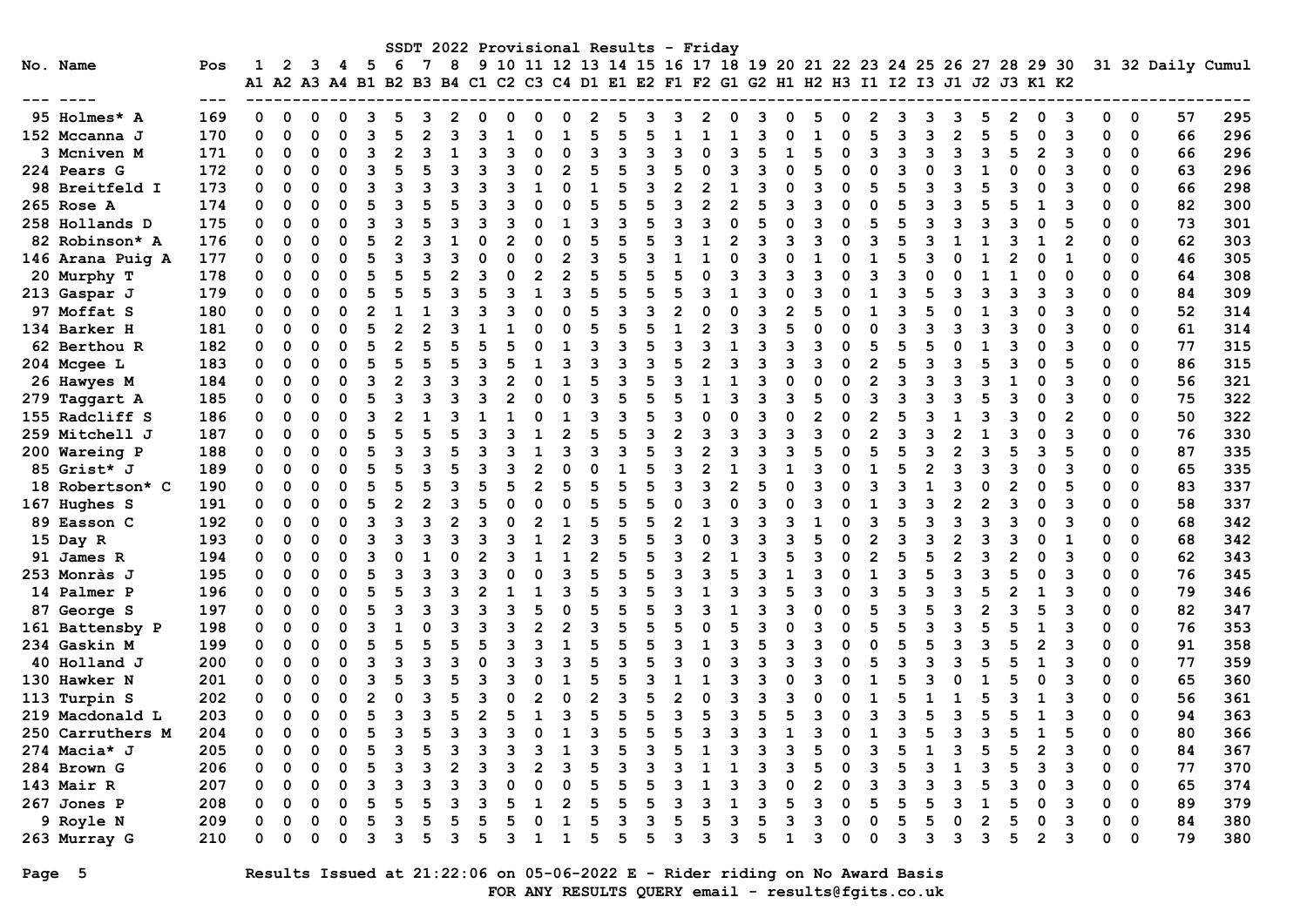|                    |       |          |             |          |          |                |    |   |                |   |   |                |          |                | SSDT 2022 Provisional Results |   | - Friday       |    |                |    |    |                |                                                                                                                                                               |    |   |   |                |                |   |                |              |          |             |                   |     |
|--------------------|-------|----------|-------------|----------|----------|----------------|----|---|----------------|---|---|----------------|----------|----------------|-------------------------------|---|----------------|----|----------------|----|----|----------------|---------------------------------------------------------------------------------------------------------------------------------------------------------------|----|---|---|----------------|----------------|---|----------------|--------------|----------|-------------|-------------------|-----|
| No. Name           | Pos   | 1        | 2           | 3        | 4        | - 5            | -6 | 7 | 8              |   |   |                |          |                |                               |   |                |    |                |    |    |                | 9 10 11 12 13 14 15 16 17 18 19 20 21 22 23 24 25 26 27 28 29 30<br>A1 A2 A3 A4 B1 B2 B3 B4 C1 C2 C3 C4 D1 E1 E2 F1 F2 G1 G2 H1 H2 H3 I1 I2 I3 J1 J2 J3 K1 K2 |    |   |   |                |                |   |                |              |          |             | 31 32 Daily Cumul |     |
|                    | $---$ |          |             |          |          |                |    |   |                |   |   |                |          |                |                               |   |                |    |                |    |    |                |                                                                                                                                                               |    |   |   |                |                |   |                |              |          |             |                   |     |
| 95 Holmes* A       | 169   | 0        | 0           | $\Omega$ | $\Omega$ | 3              | 5  | ٩ | 2              | 0 | O | O              | $\Omega$ | 2              | 5                             | વ | વ              | 2  | $\Omega$       | 3  | 0  | 5              | $\Omega$                                                                                                                                                      | 2  | з | з | з              | 5              | 2 | 0              | З            | O        | 0           | 57                | 295 |
| 152 Mccanna J      | 170   | 0        | 0           | $\Omega$ | O        | 3              | 5  |   | 3              |   |   |                |          | 5              | 5                             |   |                |    |                | २  |    |                | O                                                                                                                                                             |    | 3 | 3 | $\mathfrak{p}$ | 5              | 5 | $\Omega$       | 3            | $\Omega$ | $\mathbf 0$ | 66                | 296 |
| <b>3 Mcniven M</b> | 171   | 0        | 0           | $\Omega$ |          | २              |    |   |                |   | ٩ | O              |          | २              | ٩                             |   |                |    | ٩              | 5  |    | 5              | $\Omega$                                                                                                                                                      | ॎ  | 3 |   | З              | २              | 5 | $\overline{2}$ | 3            | $\Omega$ | 0           | 66                | 296 |
| 224 Pears G        | 172   | 0        | $\Omega$    | $\Omega$ |          | 3              |    |   | ิว             |   | 3 | $\Omega$       | 2        | 5              | 5                             | З | 5              |    | ٩              | 3  | n  | 5              | $\Omega$                                                                                                                                                      |    | 3 |   |                | 1              |   | O              | 3            | O        | 0           | 63                | 296 |
| 98 Breitfeld I     | 173   | 0        | $\Omega$    | $\Omega$ |          | २              | 3  |   |                |   | 3 |                |          | $\mathbf{1}$   | 5                             | 3 | $\overline{2}$ | 2  |                | 3  | ∩  | 3              | $\Omega$                                                                                                                                                      | 5  | 5 | 3 | 3              | 5              | 3 | O              | 3            | O        | 0           | 66                | 298 |
| 265 Rose A         | 174   | 0        | 0           | $\Omega$ |          |                |    |   |                |   |   |                |          | 5              |                               |   |                |    | $\overline{c}$ |    |    | 3              | O                                                                                                                                                             |    | 5 |   |                |                |   |                | 3            | $\Omega$ | 0           | 82                | 300 |
| 258 Hollands D     | 175   | 0        | 0           | $\Omega$ |          | 3              | ٩  |   | २              |   | ٩ | $\Omega$       | 1        | २              | ٩                             |   | २              | ٩  | $\Omega$       | 5  |    | 3              | $\Omega$                                                                                                                                                      |    | 5 | ٩ | ٩              | 3              |   | Ω              | 5            | O        | 0           | 73                | 301 |
| 82 Robinson* A     | 176   | 0        | $\Omega$    | $\Omega$ |          |                |    |   |                |   | 2 | $\Omega$       |          | 5              |                               |   | २              |    |                | 3  | ٩  | ٩              | O                                                                                                                                                             |    | 5 |   |                |                |   |                | 2            | $\Omega$ | $\Omega$    | 62                | 303 |
| 146 Arana Puig A   | 177   | 0        | $\Omega$    | $\Omega$ |          |                |    |   |                |   | n | $\Omega$       |          | २              |                               |   |                |    | O              | २  |    |                | O                                                                                                                                                             |    | 5 |   |                |                |   | n              |              | O        | $\Omega$    | 46                | 305 |
| 20 Murphy T        | 178   | 0        | 0           | $\Omega$ |          | 5              |    |   | $\mathfrak{p}$ |   |   | $\mathfrak{p}$ |          | 5              |                               |   |                |    | ٩              | з  |    | २              | O                                                                                                                                                             | २  | २ |   |                |                |   | O              | $\Omega$     | $\Omega$ | 0           | 64                | 308 |
| 213 Gaspar J       | 179   | 0        | 0           | 0        |          | 5              | 5  |   | 3              |   | 3 | $\mathbf{1}$   |          | 5              | 5                             | 5 | 5              | 3  |                | ิว | O  | 3              | O                                                                                                                                                             |    | 3 |   | ว              | 3              |   | 3              | 3            | $\Omega$ | 0           | 84                | 309 |
| 97 Moffat S        | 180   | 0        | $\Omega$    | $\Omega$ |          | $\mathfrak{p}$ |    |   | २              |   | ٩ | $\Omega$       |          | 5              | 3                             | २ | $\mathfrak{p}$ | n  | $\Omega$       | 3  | 2  | 5              | $\Omega$                                                                                                                                                      |    | 3 |   |                | 1              |   | O              | 3            | $\Omega$ | $\Omega$    | 52                | 314 |
| 134 Barker H       | 181   | 0        | 0           | $\Omega$ |          |                |    |   | २              |   |   | O              | O        | 5              | 5                             |   | $\mathbf{1}$   | 2  | 3              | 3  |    | O              | $\Omega$                                                                                                                                                      |    | 3 |   | ٩              | 3              |   | O              | 3            | O        | 0           | 61                | 314 |
| 62 Berthou R       | 182   | 0        | $\Omega$    | $\Omega$ |          | 5              |    |   |                |   |   |                |          | २              | ٩                             |   |                | ٩  |                | 3  |    | २              | $\Omega$                                                                                                                                                      |    | 5 |   |                |                |   | O              | 3            | $\Omega$ | 0           | 77                | 315 |
| 204 Mcgee L        | 183   | 0        | 0           | O        |          | 5              | 5  |   |                |   | 5 |                |          | ٩              | ٩                             | ٩ | 5              |    | 3              | ٩  |    | 3              | O                                                                                                                                                             |    | 5 |   |                | 5              |   | O              | 5            | O        | 0           | 86                | 315 |
| 26 Hawyes M        | 184   | $\Omega$ | $\Omega$    | $\Omega$ |          | २              |    |   | ึ่ง            |   | 2 | $\Omega$       |          | 5              | ٦                             |   | २              |    |                | 3  | O  | O              | $\Omega$                                                                                                                                                      | 2  | 3 | ٩ | ٩              | ٦              |   | O              | 3            | $\Omega$ | $\Omega$    | 56                | 321 |
| 279 Taggart A      | 185   | 0        | 0           | $\Omega$ |          |                |    |   |                |   |   |                |          | ٩              |                               |   |                |    | ว              |    |    | 5              | $\Omega$                                                                                                                                                      |    | ٩ |   |                |                |   | O              | 3            | $\Omega$ | 0           | 75                | 322 |
| 155 Radcliff S     | 186   | $\Omega$ | $\mathbf 0$ | O        |          | २              |    |   |                |   |   | $\Omega$       |          | 3              | ٩                             |   | २              |    | O              | з  |    | $\overline{2}$ | $\Omega$                                                                                                                                                      |    | 5 | ٩ |                | २              |   | O              | 2            | $\Omega$ | 0           | 50                | 322 |
| 259 Mitchell J     | 187   | 0        | $\Omega$    | O        |          | 5              | 5  |   |                |   |   | 1              |          | 5              | 5                             | ٩ | $\mathfrak{p}$ | 3  | ว              | 3  |    | 3              | n                                                                                                                                                             |    | 3 |   |                | 1              |   | 0              | 3            | 0        | 0           | 76                | 330 |
| 200 Wareing P      | 188   | 0        | $\Omega$    | $\Omega$ |          | 5              | ٩  |   |                |   | ٩ | $\mathbf{1}$   |          | ٩              | ٩                             |   | २              |    | ٩              | 3  |    | 5              | $\Omega$                                                                                                                                                      |    | 5 | ٩ |                | ٦              | 5 | 3              |              | $\Omega$ | $\Omega$    | 87                | 335 |
| 85 Grist* J        | 189   | 0        | 0           | $\Omega$ |          |                | 5  |   |                |   | 3 | $\overline{2}$ |          | O              |                               |   | 3              |    |                | 3  |    | 3              | $\Omega$                                                                                                                                                      |    | 5 |   | ٩              | 3              | 3 | Ω              | 3            | O        | 0           | 65                | 335 |
| 18 Robertson* C    | 190   | 0        | 0           | O        |          | 5              | 5  |   | 3              |   | 5 | $\mathfrak{p}$ |          | 5              | 5                             | 5 | २              | 3  | $\overline{2}$ |    |    | २              | O                                                                                                                                                             | ิว | २ |   | ٩              | $\Omega$       |   | Ω              | 5            | 0        | 0           | 83                | 337 |
| 167 Hughes S       | 191   | 0        | $\Omega$    | $\Omega$ |          | 5              | 2  |   | ॎ              |   | n | $\Omega$       |          | 5              | 5                             |   | $\Omega$       | ٩  | $\Omega$       | 3  |    | २              | $\Omega$                                                                                                                                                      |    | ٩ | ٩ |                | $\mathfrak{p}$ |   | O              | Р            | $\Omega$ | 0           | 58                | 337 |
| 89 Easson C        | 192   | 0        | $\Omega$    | $\Omega$ |          | २              | ٩  | ٩ | $\mathfrak{p}$ |   | O | $\mathfrak{p}$ |          | 5              | 5                             |   | $\mathfrak{p}$ |    | ٩              | 3  |    |                | $\Omega$                                                                                                                                                      |    | 5 | ٩ | २              | २              | ٩ | O              | В            | O        | $\Omega$    | 68                | 342 |
| 15 Day R           | 193   | 0        | $\Omega$    | $\Omega$ |          |                |    |   |                |   |   |                |          |                |                               |   |                |    | ٩              |    |    | 5              | $\Omega$                                                                                                                                                      |    | ٩ |   |                | ٦              |   | O              | $\mathbf{1}$ | $\Omega$ | $\Omega$    | 68                | 342 |
| 91 James R         | 194   | $\Omega$ | 0           | O        |          |                |    |   |                |   | ٩ |                |          | $\overline{2}$ | 5                             |   | २              |    |                | 3  |    | 3              | $\Omega$                                                                                                                                                      |    | 5 | 5 |                | 3              |   | n              | Р            | O        | 0           | 62                | 343 |
| 253 Monràs J       | 195   | 0        | $\Omega$    | O        |          | 5              |    |   | ิว             |   |   | n              |          | 5              | 5                             |   | २              | 3  | 5              | 3  | 1  | 3              | $\Omega$                                                                                                                                                      |    | 3 |   | ٩              | 3              |   | 0              | 3            | $\Omega$ | 0           | 76                | 345 |
| 14 Palmer P        | 196   | 0        | 0           | $\Omega$ |          | 5              |    |   |                |   |   |                |          | 5              | ٩                             |   | २              |    | ٩              | 3  |    | २              | ∩                                                                                                                                                             |    | 5 |   |                | 5              | 2 |                | 3            | O        | $\Omega$    | 79                | 346 |
| 87 George S        | 197   | 0        | 0           | $\Omega$ |          |                |    |   |                |   | 3 |                |          | 5              | 5                             |   | 3              | 3  |                | 3  |    | O              | $\Omega$                                                                                                                                                      |    | 3 |   |                | $\mathfrak{p}$ |   | 5              | 3            | O        | 0           | 82                | 347 |
| 161 Battensby P    | 198   | 0        | 0           | O        |          |                |    |   |                |   | ٩ |                |          | ٩              | 5                             |   | 5              |    | 5              |    |    | 3              | O                                                                                                                                                             |    | 5 |   |                | 5              |   |                | 3            | O        | 0           | 76                | 353 |
| 234 Gaskin M       | 199   | 0        | $\Omega$    | $\Omega$ |          | 5              |    |   | 5              |   | ٩ | २              |          | 5              | 5                             |   | २              | -1 | ٩              | 5  |    | 3              | 0                                                                                                                                                             |    | 5 |   |                | 3              | 5 | $\overline{2}$ | В            | O        | $\Omega$    | 91                | 358 |
| 40 Holland J       | 200   | 0        | $\Omega$    | $\Omega$ |          | २              | ٩  |   | २              |   | ٩ | ٩              |          | 5              | З                             |   | २              |    | ٩              | 3  |    | २              | O                                                                                                                                                             |    | २ | ٩ | ٩              | 5              | 5 | $\mathbf{1}$   | 3            | O        | $\Omega$    | 77                | 359 |
| 130 Hawker N       | 201   | 0        | $\Omega$    | $\Omega$ |          | २              |    |   |                |   |   |                |          |                |                               |   |                |    | ٩              |    |    | ٩              |                                                                                                                                                               |    | 5 |   |                |                |   | O              | 3            | $\Omega$ | 0           | 65                | 360 |
| 113 Turpin S       | 202   | 0        | 0           | O        |          | $\overline{2}$ |    |   |                |   |   |                |          | $\overline{2}$ | 3                             |   | $\overline{c}$ |    | 3              | ิว |    | O              | O                                                                                                                                                             |    | 5 |   |                | 5              |   |                | 3            | $\Omega$ | 0           | 56                | 361 |
| 219 Macdonald L    | 203   | 0        | $\Omega$    | O        |          |                | 3  |   |                |   | Б | 1              |          | 5              | 5                             |   | 3              | 5  | 3              |    |    | 3              | O                                                                                                                                                             | 3  | 3 |   |                | 5              |   | 1              | 3            | O        | 0           | 94                | 363 |
| 250 Carruthers M   | 204   | 0        | $\Omega$    | $\Omega$ |          |                |    |   |                |   |   |                |          |                |                               |   |                |    | ٩              |    |    | ٩              | O                                                                                                                                                             |    | ٩ |   |                | ٦              |   |                |              | O        | $\Omega$    | 80                | 366 |
| 274 Macia* J       | 205   | $\Omega$ | 0           | $\Omega$ |          | 5              |    |   | 3              |   |   |                |          | 3              |                               | З | 5              |    | ٩              |    |    | 5              | $\Omega$                                                                                                                                                      |    | 5 |   |                | 5              |   | $\overline{2}$ | 3            | $\Omega$ | 0           | 84                | 367 |
| 284 Brown G        | 206   | 0        | 0           | $\Omega$ |          | 5              | ٩  | ٩ |                |   | ٩ | $\mathfrak{p}$ |          | 5              | ٩                             | ٩ | २              |    |                | 3  |    | 5              | O                                                                                                                                                             | ิว | 5 |   |                | 3              | 5 | 3              | 3            | $\Omega$ | 0           | 77                | 370 |
| 143 Mair R         | 207   | $\Omega$ | $\Omega$    | $\Omega$ |          | २              | ٩  |   | ิจ             |   |   | $\Omega$       |          | 5              | 5                             |   | ર              |    | ว              | ิว |    | $\mathfrak{p}$ | $\Omega$                                                                                                                                                      | ิว | 3 |   | ٩              | 5              | ٩ | n              | Р            | $\Omega$ | $\Omega$    | 65                | 374 |
| 267 Jones P        | 208   | 0        | 0           | $\Omega$ |          |                |    |   | ॎ              |   |   |                |          | 5              | 5                             |   | २              |    |                | 3  |    | २              | $\Omega$                                                                                                                                                      |    | 5 |   | ว              |                |   | n              | В            | $\Omega$ | 0           | 89                | 379 |
| 9 Royle N          | 209   | O        | 0           | $\Omega$ |          | 5              | ٩  |   | 5              |   | 5 | O              |          | 5              | ٩                             | २ | 5              | 5  | 3              | 5  | વ  | 3              | $\Omega$                                                                                                                                                      |    | 5 | 5 |                | $\overline{2}$ | 5 | O              | 3            | O        | 0           | 84                | 380 |
| 263 Murray G       | 210   | O        | $\Omega$    | O        |          | 3              | 3  | 5 | 3              | 5 | ર | -1             |          | 5              | 5                             | 5 | 3              | 3  | 3              | 5  | -1 | 3              | 0                                                                                                                                                             | O  | 3 | 3 | 3              | 3              | 5 | $\mathbf{2}$   | 3            | 0        | 0           | 79                | 380 |

# Page 5 Results Issued at 21:22:06 on 05-06-2022 E - Rider riding on No Award Basis FOR ANY RESULTS QUERY email - results@fgits.co.uk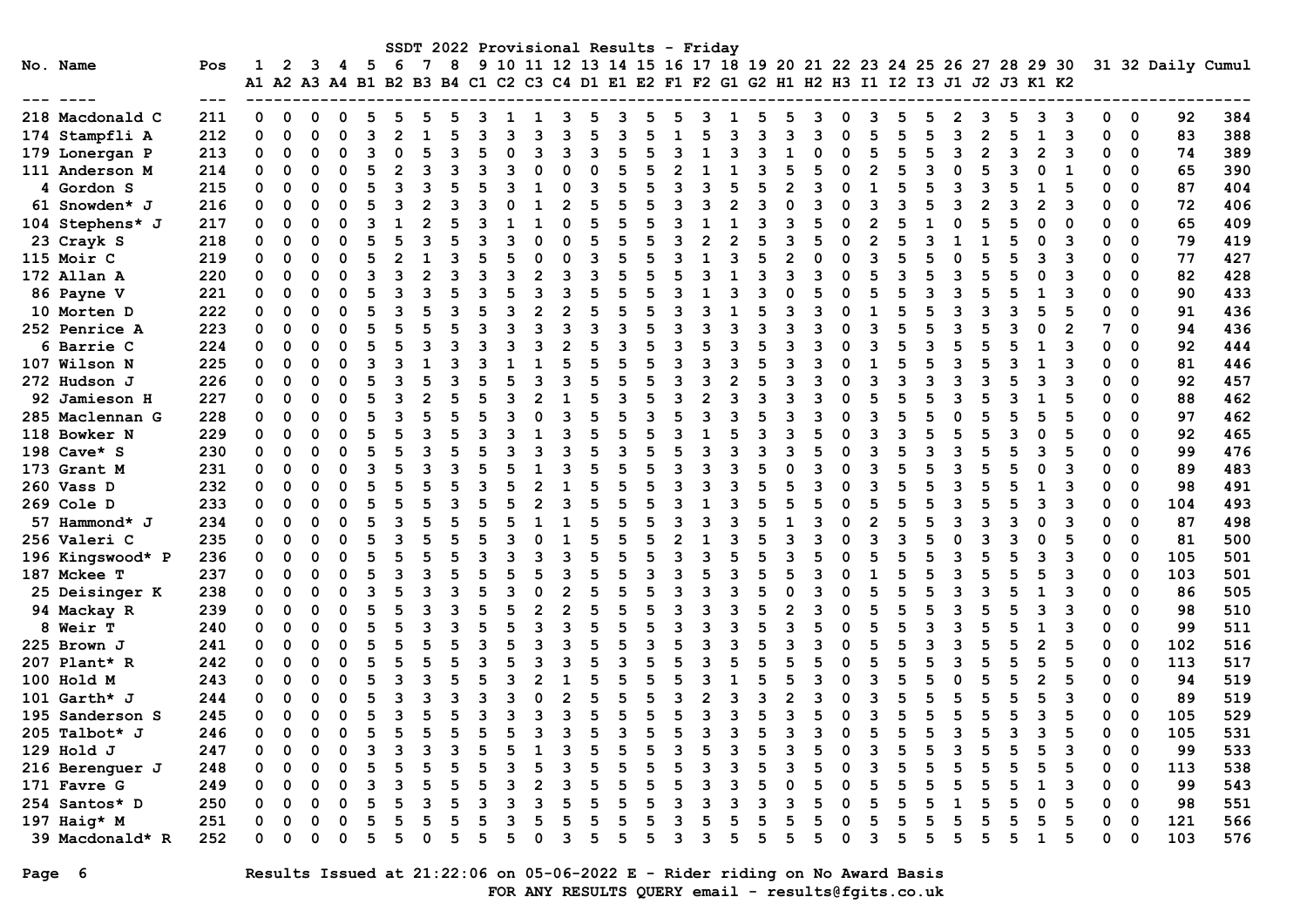| SSDT 2022 Provisional Results - Friday<br>9 10 11 12 13 14 15 16 17 18 19 20 21 22 23 24 25 26 27 28 29 30<br>8<br>31 32 Daily Cumul<br>No. Name<br>$\mathbf{2}$<br>- 5<br>-6<br>Pos<br>3<br>4 |                  |     |                      |             |          |   |    |  |  |   |  |  |          |    |   |   |   |    |                                                                      |   |        |   |  |                |   |   |    |   |                         |     |     |
|------------------------------------------------------------------------------------------------------------------------------------------------------------------------------------------------|------------------|-----|----------------------|-------------|----------|---|----|--|--|---|--|--|----------|----|---|---|---|----|----------------------------------------------------------------------|---|--------|---|--|----------------|---|---|----|---|-------------------------|-----|-----|
|                                                                                                                                                                                                |                  |     |                      |             |          |   |    |  |  |   |  |  |          |    |   |   |   |    |                                                                      |   |        |   |  |                |   |   |    |   |                         |     |     |
|                                                                                                                                                                                                |                  |     | A1 A2 A3 A4 B1 B2 B3 |             |          |   |    |  |  |   |  |  |          |    |   |   |   |    | B4 C1 C2 C3 C4 D1 E1 E2 F1 F2 G1 G2 H1 H2 H3 I1 I2 I3 J1 J2 J3 K1 K2 |   |        |   |  |                |   |   |    |   |                         |     |     |
|                                                                                                                                                                                                |                  |     |                      |             |          |   |    |  |  |   |  |  |          |    |   |   |   |    |                                                                      |   |        |   |  |                |   |   |    |   |                         |     |     |
|                                                                                                                                                                                                | 218 Macdonald C  | 211 | 0                    |             |          |   |    |  |  |   |  |  |          |    |   |   |   |    |                                                                      |   |        |   |  |                |   |   |    |   | 0                       | 92  | 384 |
|                                                                                                                                                                                                | 174 Stampfli A   | 212 | 0                    | $\Omega$    |          |   | ٩  |  |  |   |  |  |          |    |   |   |   |    |                                                                      |   |        |   |  | 2              |   |   | ิว |   | $\mathbf 0$             | 83  | 388 |
|                                                                                                                                                                                                | 179 Lonergan P   | 213 | 0                    | O           | O        | O |    |  |  |   |  |  |          |    |   |   |   |    |                                                                      |   |        |   |  | $\mathfrak{p}$ |   |   |    |   | $\mathbf 0$             | 74  | 389 |
|                                                                                                                                                                                                | 111 Anderson M   | 214 | O                    |             |          |   |    |  |  |   |  |  |          |    |   |   |   |    |                                                                      |   |        |   |  |                |   |   |    |   | 0                       | 65  | 390 |
|                                                                                                                                                                                                | 4 Gordon S       | 215 | O                    |             |          |   |    |  |  |   |  |  |          |    |   |   |   |    |                                                                      |   |        |   |  |                |   |   |    |   | $\Omega$                | 87  | 404 |
|                                                                                                                                                                                                | 61 Snowden* J    | 216 | O                    |             |          |   | 5  |  |  |   |  |  |          |    | 5 |   |   |    |                                                                      |   |        |   |  |                |   |   |    |   | $\Omega$                | 72  | 406 |
|                                                                                                                                                                                                | 104 Stephens* J  | 217 | 0                    | 0           |          |   |    |  |  |   |  |  |          |    |   |   |   |    |                                                                      |   |        |   |  |                |   |   |    |   | $\Omega$                | 65  | 409 |
|                                                                                                                                                                                                | 23 Crayk S       | 218 | 0                    | O           |          |   |    |  |  |   |  |  |          |    |   |   |   |    |                                                                      |   |        |   |  |                |   |   |    |   | $\Omega$                | 79  | 419 |
|                                                                                                                                                                                                | 115 Moir C       | 219 | 0                    | 0           | ∩        |   |    |  |  |   |  |  |          | ิว |   |   |   |    |                                                                      |   |        |   |  |                |   |   |    |   | $\Omega$                | 77  | 427 |
|                                                                                                                                                                                                | 172 Allan A      | 220 | O                    | O           |          |   |    |  |  |   |  |  |          |    |   |   |   |    |                                                                      |   |        |   |  |                |   |   |    |   | $\Omega$                | 82  | 428 |
|                                                                                                                                                                                                | 86 Payne V       | 221 | O                    | $\Omega$    |          |   |    |  |  |   |  |  |          |    |   |   |   |    |                                                                      |   |        |   |  |                |   |   |    |   | 0                       | 90  | 433 |
|                                                                                                                                                                                                | 10 Morten D      | 222 | O                    | O           |          |   |    |  |  |   |  |  |          |    |   |   |   |    |                                                                      |   |        |   |  |                |   |   |    |   | $\Omega$                | 91  | 436 |
|                                                                                                                                                                                                | 252 Penrice A    | 223 | 0                    |             |          |   |    |  |  |   |  |  |          |    |   |   |   |    |                                                                      |   |        |   |  |                |   |   |    |   | $\Omega$                | 94  | 436 |
|                                                                                                                                                                                                | 6 Barrie C       | 224 | 0                    |             |          |   |    |  |  |   |  |  |          |    | 3 |   |   |    |                                                                      |   |        |   |  |                |   |   |    |   | $\Omega$                | 92  | 444 |
|                                                                                                                                                                                                | 107 Wilson N     | 225 | O                    |             |          |   |    |  |  |   |  |  |          |    |   |   |   |    |                                                                      |   |        |   |  |                |   |   |    |   | $\Omega$                | 81  | 446 |
|                                                                                                                                                                                                | 272 Hudson J     | 226 | 0                    | O           |          |   |    |  |  |   |  |  |          |    |   |   |   |    |                                                                      |   |        |   |  |                |   |   |    |   | $\Omega$                | 92  | 457 |
|                                                                                                                                                                                                | 92 Jamieson H    | 227 | 0                    | O           |          |   | 5  |  |  |   |  |  |          |    |   |   |   |    |                                                                      |   |        |   |  |                |   |   |    |   | $\Omega$                | 88  | 462 |
|                                                                                                                                                                                                | 285 Maclennan G  | 228 | 0                    | 0           | ∩        |   |    |  |  |   |  |  |          |    |   |   |   |    |                                                                      |   |        |   |  |                |   |   |    |   | $\Omega$                | 97  | 462 |
|                                                                                                                                                                                                | 118 Bowker N     | 229 | 0                    | O           | $\Omega$ |   | 5  |  |  |   |  |  |          |    |   |   |   |    |                                                                      |   |        |   |  |                |   |   |    |   | $\Omega$                | 92  | 465 |
|                                                                                                                                                                                                | 198 Cave* S      | 230 | 0                    | $\Omega$    | $\Omega$ |   |    |  |  |   |  |  |          |    | २ |   |   |    |                                                                      |   |        |   |  |                |   |   |    |   | $\Omega$                | 99  | 476 |
|                                                                                                                                                                                                | 173 Grant M      | 231 | 0                    | O           |          |   |    |  |  |   |  |  |          |    |   |   |   |    |                                                                      |   |        |   |  |                |   |   |    |   | $\Omega$                | 89  | 483 |
|                                                                                                                                                                                                | 260 Vass D       | 232 | O                    |             |          |   |    |  |  |   |  |  |          |    |   |   |   |    |                                                                      |   |        |   |  |                |   |   |    |   | $\Omega$                | 98  | 491 |
|                                                                                                                                                                                                | 269 Cole D       | 233 | O                    | n           |          |   |    |  |  |   |  |  |          |    | 5 |   |   |    |                                                                      |   |        | 5 |  |                |   |   |    |   | $\Omega$                | 104 | 493 |
|                                                                                                                                                                                                | 57 Hammond* J    | 234 | ი                    |             |          |   | 5  |  |  |   |  |  |          |    |   |   |   |    |                                                                      |   |        | 5 |  |                |   |   |    |   | $\Omega$                | 87  | 498 |
|                                                                                                                                                                                                | 256 Valeri C     | 235 | O                    | O           |          |   |    |  |  |   |  |  |          |    |   |   |   |    |                                                                      |   |        | 3 |  |                |   |   |    |   | $\Omega$                | 81  | 500 |
|                                                                                                                                                                                                | 196 Kingswood* P | 236 | 0                    | O           | ∩        |   |    |  |  |   |  |  |          |    |   |   |   |    |                                                                      |   |        | 5 |  |                |   |   |    |   | $\mathbf 0$             | 105 | 501 |
|                                                                                                                                                                                                | 187 Mckee T      | 237 | 0                    | $\Omega$    | ∩        |   |    |  |  |   |  |  |          |    |   |   |   | ิว |                                                                      |   |        |   |  |                |   |   | 3  |   | $\mathbf 0$             | 103 | 501 |
|                                                                                                                                                                                                | 25 Deisinger K   | 238 | 0                    | O           | $\Omega$ |   |    |  |  |   |  |  |          |    |   |   |   |    |                                                                      |   |        | 5 |  |                |   |   |    |   | $\Omega$                | 86  | 505 |
|                                                                                                                                                                                                | 94 Mackay R      | 239 | 0                    | $\Omega$    |          |   |    |  |  |   |  |  | 2        |    |   |   |   |    |                                                                      |   |        |   |  |                |   |   |    |   | 0                       | 98  | 510 |
|                                                                                                                                                                                                | 8 Weir T         | 240 | 0                    | O           |          |   |    |  |  |   |  |  |          |    |   |   |   |    |                                                                      |   |        |   |  |                |   |   |    |   | 0                       | 99  | 511 |
|                                                                                                                                                                                                | 225 Brown J      | 241 | O                    |             |          |   |    |  |  |   |  |  |          |    |   |   |   |    |                                                                      |   |        |   |  |                |   |   |    |   | $\Omega$                | 102 | 516 |
|                                                                                                                                                                                                | $207$ Plant* R   | 242 |                      |             |          |   |    |  |  |   |  |  |          |    |   |   |   |    |                                                                      |   |        |   |  |                |   |   |    |   | $\Omega$                | 113 | 517 |
|                                                                                                                                                                                                | 100 Hold M       | 243 | O                    |             |          |   | 5  |  |  |   |  |  |          |    |   |   |   |    |                                                                      |   |        | 5 |  |                |   |   |    |   | $\Omega$                | 94  | 519 |
|                                                                                                                                                                                                | 101 Garth* $J$   | 244 |                      | n           |          |   |    |  |  |   |  |  |          |    |   |   |   |    |                                                                      |   |        |   |  |                |   |   | З  |   | $\Omega$                | 89  | 519 |
|                                                                                                                                                                                                | 195 Sanderson S  | 245 | O                    | O           |          |   | 5  |  |  | 5 |  |  | ิว       |    | 5 | 5 |   | з  |                                                                      |   |        | 5 |  |                |   |   | 5  |   | $\Omega$                | 105 | 529 |
|                                                                                                                                                                                                | 205 Talbot* J    | 246 | $\sim$               | $\mathbf 0$ |          |   |    |  |  |   |  |  |          |    | ີ |   |   |    |                                                                      | ∍ | $\sim$ |   |  |                | ີ |   |    |   | $\overline{\mathbf{0}}$ | 105 | 531 |
|                                                                                                                                                                                                | 129 Hold J       | 247 | $\Omega$             |             |          |   | 3  |  |  |   |  |  |          |    |   |   |   |    |                                                                      |   |        | 5 |  |                |   |   |    | O | 0                       | 99  | 533 |
|                                                                                                                                                                                                | 216 Berenguer J  | 248 | 0                    |             |          |   |    |  |  |   |  |  |          |    |   |   |   |    |                                                                      |   |        |   |  |                |   |   |    | O | 0                       | 113 | 538 |
|                                                                                                                                                                                                | 171 Favre G      | 249 | 0                    | 0           |          |   |    |  |  |   |  |  |          |    |   |   |   |    |                                                                      |   |        |   |  |                |   |   |    | 0 | $\mathbf 0$             | 99  | 543 |
|                                                                                                                                                                                                | 254 Santos* D    | 250 | 0                    | O           |          |   |    |  |  |   |  |  |          |    |   |   |   |    |                                                                      |   |        |   |  |                |   |   |    | 0 | $\mathbf 0$             | 98  | 551 |
|                                                                                                                                                                                                | 197 Haig* M      | 251 | 0                    |             |          |   |    |  |  | 5 |  |  |          |    | 5 | ٦ |   |    |                                                                      |   |        | 5 |  |                |   | 5 | 5  | 0 | 0                       | 121 | 566 |
|                                                                                                                                                                                                | 39 Macdonald* R  | 252 | 0                    | 0           |          |   | 5. |  |  | 5 |  |  | $\Omega$ | 5  | 5 | 3 | 3 | 5  |                                                                      | 5 |        | 5 |  | 5              |   |   | 5  | 0 | $\mathbf 0$             | 103 | 576 |

# Page 6 Results Issued at 21:22:06 on 05-06-2022 E - Rider riding on No Award Basis FOR ANY RESULTS QUERY email - results@fgits.co.uk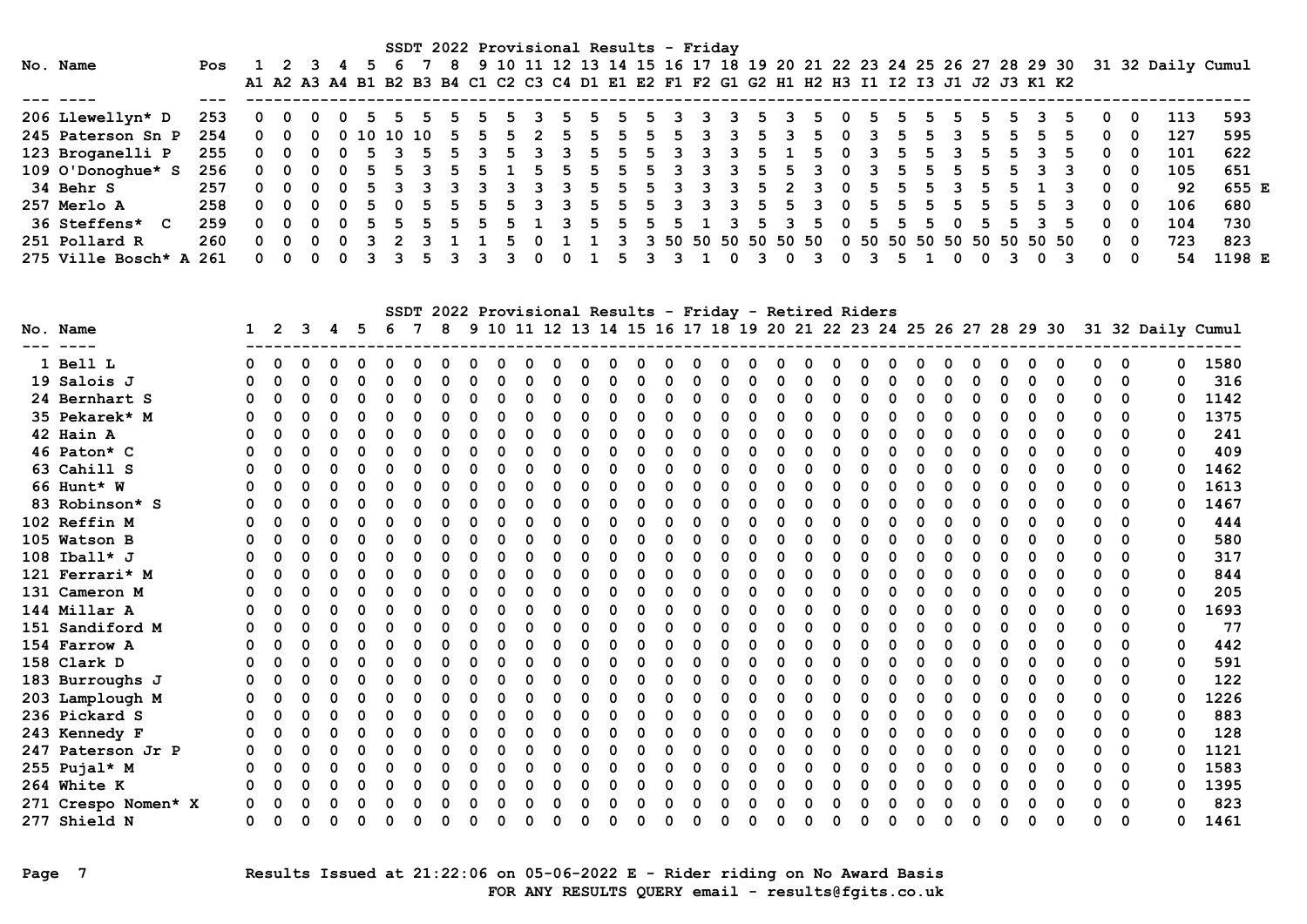|                        |     |          |                                                                                           |     |              |     |              | SSDT 2022 Provisional Results - Friday |                         |                         |              |                         |              |    |     |    |     |                     |              |     |     |              |              |     |     |     |                           |     |     |    |          |     |                                                                                    |        |
|------------------------|-----|----------|-------------------------------------------------------------------------------------------|-----|--------------|-----|--------------|----------------------------------------|-------------------------|-------------------------|--------------|-------------------------|--------------|----|-----|----|-----|---------------------|--------------|-----|-----|--------------|--------------|-----|-----|-----|---------------------------|-----|-----|----|----------|-----|------------------------------------------------------------------------------------|--------|
| No. Name               | Pos |          |                                                                                           |     |              |     |              |                                        | 8                       |                         |              |                         |              |    |     |    |     |                     |              |     |     |              |              |     |     |     |                           |     |     |    |          |     | 9 10 11 12 13 14 15 16 17 18 19 20 21 22 23 24 25 26 27 28 29 30 31 32 Daily Cumul |        |
|                        |     |          | A1 A2 A3 A4 B1 B2 B3 B4 C1 C2 C3 C4 D1 E1 E2 F1 F2 G1 G2 H1 H2 H3 I1 I2 I3 J1 J2 J3 K1 K2 |     |              |     |              |                                        |                         |                         |              |                         |              |    |     |    |     |                     |              |     |     |              |              |     |     |     |                           |     |     |    |          |     |                                                                                    |        |
|                        |     |          |                                                                                           |     |              |     |              |                                        |                         |                         |              |                         |              |    |     |    |     |                     |              |     |     |              |              |     |     |     |                           |     |     |    |          |     |                                                                                    |        |
| 206 Llewellyn* D       | 253 | $\Omega$ |                                                                                           |     | $0\quad 0$   | 5.  | - 5          | 5.                                     | 5                       | 5.                      | 5.           | 3                       | 5.           | 5. | 5.  | 5. | - 3 | 3                   | 3            | -5. | 3   | 5.           | $\mathbf{0}$ | 5.  | 5   | 5.  | 5.                        | 5.  |     |    | 0        | 0   | 113                                                                                | 593    |
| 245 Paterson Sn P      | 254 | $\Omega$ |                                                                                           |     |              |     |              | 0 0 10 10 10 5                         |                         | 5.                      | 5.           | $\overline{\mathbf{2}}$ | 5.           | 5. | 5.  | 5. | -5  | 3                   | 3            |     | 5 3 | 5.           | - 0          | 3   | 5.  | 5.  | 3                         | 5.  | -5  |    | 0        | - 0 | 127                                                                                | 595    |
| 123 Broganelli P       | 255 | $\Omega$ |                                                                                           | 0   | $\mathbf{0}$ | 5.  | $\mathbf{3}$ | 5                                      | 5.                      | -3                      | - 5          | $\mathbf{3}$            | -3           | 5  | 5   |    | 5 3 | 3                   | 3            | -5  |     | 5.           | - 0          | 3   | -5. | .5. | 3                         | - 5 | -5. |    | 0        | -0  | 101                                                                                | 622    |
| 109 O'Donoghue* S      | 256 | ი —      |                                                                                           | . റ | . റ          | .5. | 5.           | - २                                    | -5.                     | 5 1                     |              | L 5.                    | 5.           | 5. | 5.  |    | 5 3 | 3                   |              | 3 5 |     | 53           | - 0          | 3   | 5.  | -5. | 5.                        | 5.  | -5. | -२ | 0        | - 0 | 105                                                                                | 651    |
| <b>34 Behr S</b>       | 257 |          | $0\quad 0$                                                                                | - റ | $\Omega$     | -5. |              | 3                                      | $\overline{\mathbf{3}}$ | $\overline{\mathbf{3}}$ | $\mathbf{3}$ | $\mathbf{3}$            | $\mathbf{3}$ | 5  | 5.  |    | 5 3 | $\sim$ 3            | $\mathbf{3}$ |     | 52  | $\mathbf{3}$ | - റ          | -5. | -5. | 5.  | $\mathbf{3}$              | 5.  | - 5 |    | $\Omega$ | - റ | 92                                                                                 | 655 E  |
| 257 Merlo A            | 258 |          | 0 O                                                                                       | - റ | റ            | 5.  | 0            | 5.                                     | .5.                     | .5.                     | 5.           | 3                       |              | 5. | .5. | 5. | 3   | 3                   |              | .5. | .5. |              | 0            | .5. | .5. | 5.  | 5.                        | 5.  | .5  |    | $\Omega$ | - 0 | 106                                                                                | 680    |
| <b>36 Steffens*</b> C  | 259 | . റ      |                                                                                           | . റ | - 0          | 5.  | .5.          | .5.                                    |                         |                         |              |                         |              | 5. | 5.  | 5. | 5   |                     |              | 5.  |     | 5.           | 0            | .5. | .5. | 5.  | 0                         | .5. | 5.  | 5. | 0        | - 0 | 104                                                                                | -730   |
| 251 Pollard R          | 260 |          | 00                                                                                        | - 0 | . റ          |     |              |                                        |                         |                         | 5.           |                         |              |    | 3   |    |     | 3 50 50 50 50 50 50 |              |     |     |              |              |     |     |     | 0 50 50 50 50 50 50 50 50 |     |     |    | 0        | - 0 | 723                                                                                | 823    |
| 275 Ville Bosch* A 261 |     | ົດ ລ     |                                                                                           |     |              |     |              |                                        |                         |                         |              |                         |              |    |     |    |     |                     |              |     |     |              |              |     |     |     |                           |     |     |    | 0        | 0   | 54.                                                                                | 1198 E |

|                      |  |          |   |  |    |   |  |  |  |  | SSDT 2022 Provisional Results - Friday - Retired Riders        |  |  |  |  |              |    |          |                   |      |
|----------------------|--|----------|---|--|----|---|--|--|--|--|----------------------------------------------------------------|--|--|--|--|--------------|----|----------|-------------------|------|
| No. Name             |  |          | 5 |  | 9. |   |  |  |  |  | 10 11 12 13 14 15 16 17 18 19 20 21 22 23 24 25 26 27 28 29 30 |  |  |  |  |              |    |          | 31 32 Daily Cumul |      |
| 1 Bell L             |  | O        |   |  |    |   |  |  |  |  |                                                                |  |  |  |  |              | 0  | 0        | 0                 | 1580 |
| 19 Salois J          |  |          |   |  |    |   |  |  |  |  |                                                                |  |  |  |  | 0            | 0  | 0        | 0                 | 316  |
| 24 Bernhart S        |  |          |   |  |    |   |  |  |  |  |                                                                |  |  |  |  | O.           | 0  | 0        | O                 | 1142 |
| 35 Pekarek* M        |  |          |   |  |    |   |  |  |  |  |                                                                |  |  |  |  | 0            | 0  | 0        | 0                 | 1375 |
| 42 Hain A            |  |          |   |  |    |   |  |  |  |  |                                                                |  |  |  |  | 0            | 0. | 0        | 0                 | 241  |
| 46 Paton* C          |  |          |   |  |    |   |  |  |  |  |                                                                |  |  |  |  | 0            | 0  | 0        | <sup>0</sup>      | 409  |
| 63 Cahill S          |  |          |   |  |    |   |  |  |  |  |                                                                |  |  |  |  | <sup>0</sup> | 0. | 0        | 0                 | 1462 |
| 66 Hunt* W           |  |          |   |  |    |   |  |  |  |  |                                                                |  |  |  |  | 0            | 0  | 0        | 0                 | 1613 |
| 83 Robinson* S       |  |          |   |  |    |   |  |  |  |  |                                                                |  |  |  |  | 0            | 0. | 0        |                   | 1467 |
| 102 Reffin M         |  | O        |   |  |    |   |  |  |  |  |                                                                |  |  |  |  | 0            | 0  | 0        | O                 | 444  |
| 105 Watson B         |  | $\Omega$ |   |  |    | O |  |  |  |  |                                                                |  |  |  |  | $\Omega$     | 0  | $\Omega$ | 0                 | 580  |
| 108 Iball* J         |  |          |   |  |    |   |  |  |  |  |                                                                |  |  |  |  | 0            | 0  | $\Omega$ | 0                 | 317  |
| 121 Ferrari* M       |  |          |   |  |    |   |  |  |  |  |                                                                |  |  |  |  | 0            | 0  | $\Omega$ | 0                 | 844  |
| <b>131 Cameron M</b> |  | O        |   |  |    |   |  |  |  |  |                                                                |  |  |  |  | 0            | 0  | 0        | 0                 | 205  |
| 144 Millar A         |  | O        |   |  |    |   |  |  |  |  |                                                                |  |  |  |  | 0            | 0. | 0        | 0                 | 1693 |
| 151 Sandiford M      |  |          |   |  |    |   |  |  |  |  |                                                                |  |  |  |  | 0            | 0  | 0        | O                 | 77   |
| <b>154 Farrow A</b>  |  |          |   |  |    |   |  |  |  |  |                                                                |  |  |  |  | 0            | 0  | 0        | 0                 | 442  |
| 158 Clark D          |  | O        |   |  |    |   |  |  |  |  |                                                                |  |  |  |  | 0            | 0  | 0        | 0                 | 591  |
| 183 Burroughs J      |  | O        |   |  |    |   |  |  |  |  |                                                                |  |  |  |  | 0            | 0  | 0        | 0                 | 122  |
| 203 Lamplough M      |  | O        |   |  |    |   |  |  |  |  |                                                                |  |  |  |  | 0            | 0  | 0        | 0                 | 1226 |
| 236 Pickard S        |  |          |   |  |    |   |  |  |  |  |                                                                |  |  |  |  | 0            | 0  | 0        | 0                 | 883  |
| 243 Kennedy F        |  | O        |   |  |    |   |  |  |  |  |                                                                |  |  |  |  | 0            | 0  | 0        | 0                 | 128  |
| 247 Paterson Jr P    |  | O        |   |  |    |   |  |  |  |  |                                                                |  |  |  |  | 0            | 0  | 0        | 0                 | 1121 |
| 255 Pujal* M         |  | O        |   |  |    |   |  |  |  |  |                                                                |  |  |  |  | 0            | 0  | 0        | o                 | 1583 |
| <b>264 White K</b>   |  |          |   |  |    |   |  |  |  |  |                                                                |  |  |  |  | 0            | 0  | 0        | 0                 | 1395 |
| 271 Crespo Nomen* X  |  |          |   |  |    |   |  |  |  |  |                                                                |  |  |  |  | <sup>n</sup> | O. | 0        |                   | 823  |
| 277 Shield N         |  |          |   |  |    |   |  |  |  |  |                                                                |  |  |  |  |              |    | O        | 0                 | 1461 |

# Page 7 Results Issued at 21:22:06 on 05-06-2022 E - Rider riding on No Award Basis FOR ANY RESULTS QUERY email - results@fgits.co.uk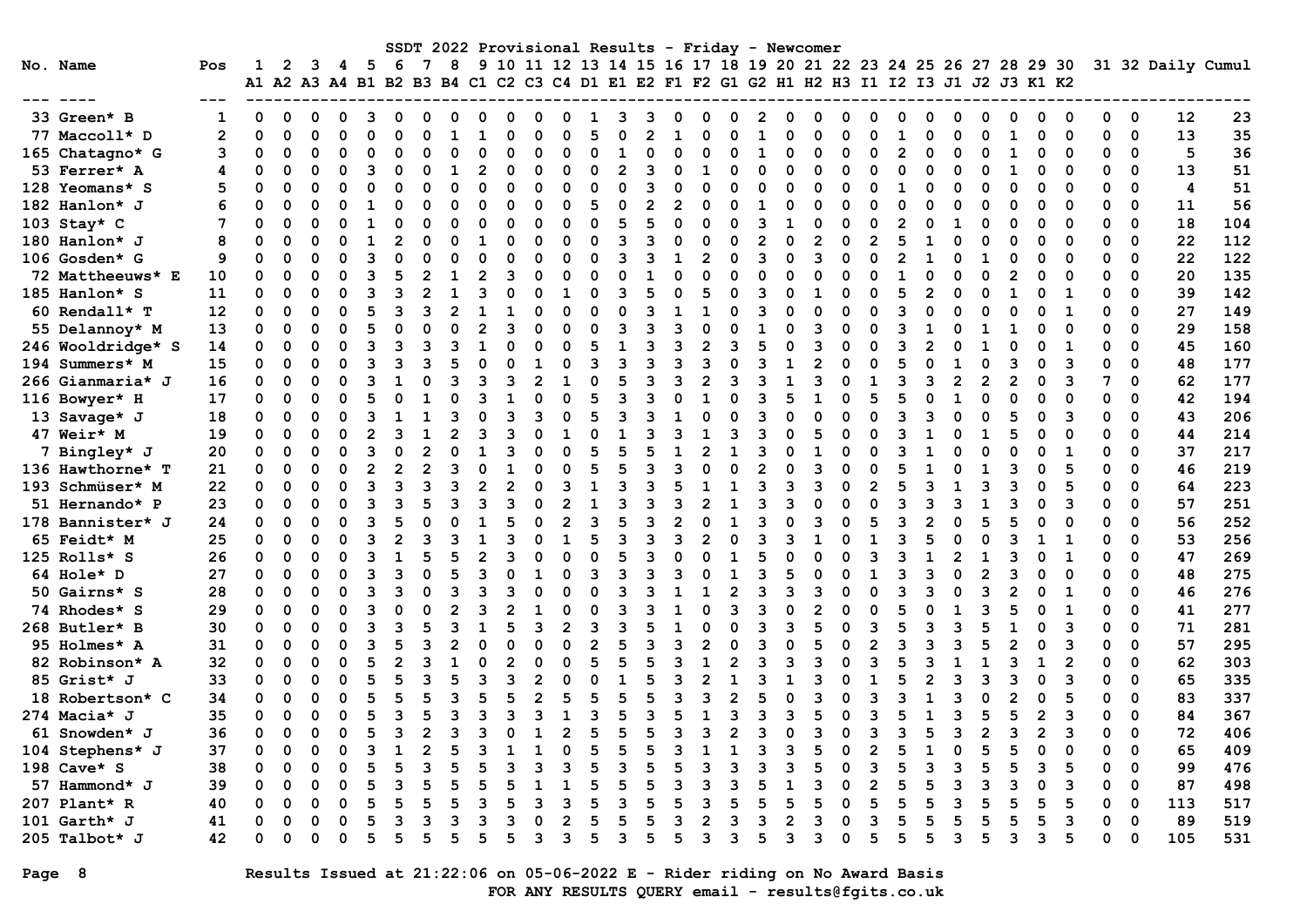|                   |                |             |             |          |   |                |          |                 |                |          |          |                |              |          |                |    |                |              | SSDT 2022 Provisional Results - Friday - Newcomer |                |          |                |          |              |                |          |   |                |              |                                                                                                                                                               |                |          |             |                   |     |
|-------------------|----------------|-------------|-------------|----------|---|----------------|----------|-----------------|----------------|----------|----------|----------------|--------------|----------|----------------|----|----------------|--------------|---------------------------------------------------|----------------|----------|----------------|----------|--------------|----------------|----------|---|----------------|--------------|---------------------------------------------------------------------------------------------------------------------------------------------------------------|----------------|----------|-------------|-------------------|-----|
| No. Name          | Pos            | 1           | 2           | 3        | 4 | -5             | 6        | $7\phantom{.0}$ | 8              |          |          |                |              |          |                |    |                |              |                                                   |                |          |                |          |              |                |          |   |                |              | 9 10 11 12 13 14 15 16 17 18 19 20 21 22 23 24 25 26 27 28 29 30<br>A1 A2 A3 A4 B1 B2 B3 B4 C1 C2 C3 C4 D1 E1 E2 F1 F2 G1 G2 H1 H2 H3 I1 I2 I3 J1 J2 J3 K1 K2 |                |          |             | 31 32 Daily Cumul |     |
|                   |                |             |             |          |   |                |          |                 |                |          |          |                |              |          |                |    |                |              |                                                   |                |          |                |          |              |                |          |   |                |              |                                                                                                                                                               |                |          |             |                   |     |
| 33 Green* B       | 1              | 0           | 0           | 0        | 0 | 3              | $\Omega$ |                 | 0              | O        | O        | O              | <sup>0</sup> | 1        | 3              | 3  | 0              | O            | 0                                                 | $\mathbf{2}$   | O        | 0              | 0        | <sup>0</sup> | 0              | $\Omega$ | n | 0              | 0            | 0                                                                                                                                                             | 0              | $\Omega$ | $\mathbf 0$ | $12 \,$           | 23  |
| 77 Maccoll* D     | $\overline{2}$ | $\Omega$    | $\Omega$    | $\Omega$ | U | O              | $\Omega$ |                 | 1              |          | O        | $\Omega$       | O            | 5        |                |    |                |              | O                                                 |                |          | n              | O        |              | $\mathbf{1}$   | O        |   | 0              | $\mathbf{1}$ | $\Omega$                                                                                                                                                      | 0              | 0        | $\mathbf 0$ | 13                | 35  |
| 165 Chatagno* G   | 3              | O           | $\Omega$    | $\Omega$ | O | $\Omega$       | 0        |                 | 0              |          | O        | $\Omega$       | O            | O        |                |    | O              | C            |                                                   | 1              |          | ŋ              | $\Omega$ |              | $\overline{2}$ | 0        |   | $\Omega$       |              | 0                                                                                                                                                             |                | 0        | $\Omega$    | $5\phantom{.0}$   | 36  |
| 53 Ferrer* A      | 4              | $\Omega$    | O           | $\Omega$ | O | 3              | $\Omega$ | O               | $\mathbf{1}$   | 2        | O        | $\Omega$       | $\Omega$     | O        | $\overline{2}$ | ิว | $\Omega$       | -1           | O                                                 | $\Omega$       | n        | 0              | $\Omega$ | O            | 0              | $\Omega$ | ∩ | $\Omega$       | 1            | O                                                                                                                                                             | $\Omega$       | $\Omega$ | $\mathbf 0$ | 13                | 51  |
| 128 Yeomans* S    | 5              | O           | $\Omega$    | $\Omega$ | O | $\Omega$       | $\Omega$ |                 | $\Omega$       | $\Omega$ | $\Omega$ | $\Omega$       | $\Omega$     | $\Omega$ | $\Omega$       | ิว | $\Omega$       | $\Omega$     | $\Omega$                                          | $\Omega$       | O        | O              | $\Omega$ | O            | $\mathbf{1}$   | $\Omega$ | ∩ | $\Omega$       | $\Omega$     | O                                                                                                                                                             | $\Omega$       | $\Omega$ | $\Omega$    | 4                 | 51  |
| 182 Hanlon* J     | 6              | $\Omega$    | $\Omega$    | $\Omega$ |   | $\mathbf{1}$   | $\Omega$ |                 | $\Omega$       | O        | O        | $\Omega$       | $\Omega$     | 5        | $\mathbf 0$    | 2  | $\mathfrak{p}$ | O            | $\Omega$                                          | 1              | O        | O              | $\Omega$ |              | 0              | $\Omega$ |   | $\Omega$       | O            | $\Omega$                                                                                                                                                      | $\Omega$       | $\Omega$ | $\Omega$    | 11                | 56  |
| 103 Stay* C       | 7              | $\Omega$    | $\mathbf 0$ | $\Omega$ |   | $\mathbf 1$    | $\Omega$ |                 | O              |          | n        | $\Omega$       | O            | O        | 5              | 5  | 0              | O            | O                                                 | 3              |          | O              | $\Omega$ | O            | $\overline{2}$ | 0        |   | 0              | O            | $\Omega$                                                                                                                                                      | $\mathbf 0$    | 0        | 0           | 18                | 104 |
| 180 Hanlon* J     | 8              | $\Omega$    | 0           | ∩        |   | 1              |          |                 | O              |          | O        | $\Omega$       | O            | O        | 3              |    | $\Omega$       | 0            | O                                                 | $\overline{2}$ | O        | $\overline{c}$ | $\Omega$ | 2            | 5              |          |   | O              |              | O                                                                                                                                                             | $\Omega$       | 0        | $\Omega$    | 22                | 112 |
| $106$ Gosden* G   | 9              | $\Omega$    | $\Omega$    | $\Omega$ |   | २              | $\Omega$ |                 | O              |          |          | $\Omega$       | O            | O        | ึ่ง            |    | 1              | 2            | O                                                 | 3              | O        | ٩              | $\Omega$ | O            | $\overline{2}$ |          |   | 1              |              | O                                                                                                                                                             | $\Omega$       | $\Omega$ | $\Omega$    | 22                | 122 |
| 72 Mattheeuws* E  | 10             | $\Omega$    | $\Omega$    | $\Omega$ | O | 3              | 5        |                 | 1              | 2        | ٩        | $\Omega$       | O            | O        | $\Omega$       |    | $\Omega$       | O            | 0                                                 | $\Omega$       |          | O              | $\Omega$ | O            | $\mathbf{1}$   | $\Omega$ |   | $\Omega$       | 2            | O                                                                                                                                                             | $\Omega$       | $\Omega$ | $\mathbf 0$ | 20                | 135 |
| 185 Hanlon* S     | 11             | $\mathbf 0$ | $\Omega$    | $\Omega$ | O | 3              | ٩        |                 | 1              |          |          | $\Omega$       | 1            | O        | 3              |    | O              | 5            | O                                                 | 3              | O        |                | $\Omega$ | O            | 5              | 2        |   | 0              |              | 0                                                                                                                                                             | 1              | $\Omega$ | $\Omega$    | 39                | 142 |
| 60 Rendall* T     | 12             | $\Omega$    | $\Omega$    | $\Omega$ | O | 5              | 3        | ิจ              | $\mathfrak{p}$ |          |          | $\Omega$       | $\Omega$     | O        | $\Omega$       | ิจ | $\mathbf{1}$   | -1           | $\Omega$                                          | २              | O        | $\Omega$       | $\Omega$ | O            | 3              | $\Omega$ |   | $\Omega$       | O            | O                                                                                                                                                             | $\mathbf{1}$   | $\Omega$ | $\Omega$    | 27                | 149 |
| 55 Delannoy* M    | 13             | $\mathbf 0$ | $\mathbf 0$ | $\Omega$ | U | 5              | O        |                 | O              |          | ٩        | $\Omega$       | $\Omega$     | O        | 3              |    | ٩              | O            | O                                                 | $\mathbf{1}$   | $\Omega$ | ٩              | $\Omega$ | $\Omega$     | 3              |          |   | $\mathbf{1}$   |              | O                                                                                                                                                             | $\Omega$       | ŋ        | $\Omega$    | 29                | 158 |
| 246 Wooldridge* S | 14             | $\mathbf 0$ | $\Omega$    | $\Omega$ | O | 3              |          |                 |                |          |          | $\Omega$       | ∩            | 5        |                |    |                |              | จ                                                 |                |          | २              | $\Omega$ | O            | 3              |          |   |                |              | O                                                                                                                                                             |                | 0        | $\Omega$    | 45                | 160 |
| 194 Summers* M    | 15             | 0           | $\Omega$    | $\Omega$ |   | 3              | 3        |                 | 5              |          |          | 1              | O            | 3        | 3              | 3  | 3              | 3            | O                                                 | 3              |          | $\overline{2}$ | $\Omega$ | O            | 5              | 0        |   | 0              | 3            | O                                                                                                                                                             | 3              | $\Omega$ | $\mathbf 0$ | 48                | 177 |
| 266 Gianmaria* J  | 16             | 0           | O           | $\Omega$ | O | ٩              |          |                 | ٩              | ٩        | ٩        | 2              | 1            | O        | 5              | ิว | 3              | 2            | २                                                 | 3              | -1       | ٩              | $\Omega$ | 1            | 3              | ٩        | 2 | $\mathbf{2}$   | 2            | O                                                                                                                                                             | 3              | 7        | $\Omega$    | 62                | 177 |
| 116 Bowyer* H     | 17             | $\mathbf 0$ | $\Omega$    | $\Omega$ |   | 5              |          |                 | O              |          |          | $\Omega$       | O            | 5        | З              |    | O              |              |                                                   | २              |          |                | $\Omega$ |              | 5              |          |   | O              | $\Omega$     | $\Omega$                                                                                                                                                      | $\Omega$       | 0        | $\Omega$    | 42                | 194 |
| 13 Savage* J      | 18             | $\Omega$    | $\Omega$    | $\Omega$ |   | २              |          |                 | २              |          |          | 3              | O            |          | 3              |    |                |              |                                                   | 3              |          | O              | $\Omega$ | $\Omega$     | 3              |          |   | $\Omega$       |              | $\Omega$                                                                                                                                                      | 3              | $\Omega$ | $\Omega$    | 43                | 206 |
| 47 Weir* M        | 19             | $\mathbf 0$ | $\Omega$    | $\Omega$ | O | $\mathfrak{p}$ | ٩        |                 |                |          |          | $\Omega$       |              | O        |                |    | ٩              |              | ٩                                                 | २              | ი        | 5              | O        | O            | २              |          |   | 1              | 5            | O                                                                                                                                                             | $\Omega$       | O        | $\Omega$    | 44                | 214 |
| 7 Bingley* J      | 20             | $\mathbf 0$ | $\Omega$    | $\Omega$ | O | 3              | O        |                 | U              |          |          | O              | ი            |          | 5              |    | 1              | 2            |                                                   | 3              | ი        |                | $\Omega$ | U            | 3              |          |   | $\Omega$       |              | O                                                                                                                                                             | 1              | ∩        | $\Omega$    | 37                | 217 |
| 136 Hawthorne* T  | 21             | $\Omega$    | O           | ∩        | U | $\mathbf{2}$   | 2        |                 | ٩              |          |          | O              | ∩            | 5        | 5              |    | 3              | n            | $\Omega$                                          | $\overline{2}$ | U        | ٩              | $\Omega$ | U            | 5              |          |   | $\mathbf{1}$   | 3            | O                                                                                                                                                             | 5              | O        | $\mathbf 0$ | 46                | 219 |
| 193 Schmüser* M   | 22             | $\Omega$    | $\Omega$    | $\Omega$ |   | २              | ٩        |                 |                |          |          |                |              |          | 3              |    |                |              |                                                   | २              | ٩        | ٩              | $\Omega$ |              | 5              |          |   | २              |              | $\Omega$                                                                                                                                                      | 5              | 0        | $\Omega$    | 64                | 223 |
| 51 Hernando* P    | 23             | $\Omega$    | $\Omega$    | $\Omega$ |   | २              | ٩        |                 | २              |          |          | $\Omega$       |              |          | ٩              |    | ٩              |              |                                                   | २              |          | n              | $\Omega$ |              | २              | ٩        |   | $\mathbf{1}$   |              | O                                                                                                                                                             | з              | 0        | $\mathbf 0$ | 57                | 251 |
| 178 Bannister* J  | 24             | 0           | $\Omega$    | $\Omega$ | O | २              |          |                 | O              |          |          | $\Omega$       | 2            | २        | 5              |    | $\mathfrak{p}$ | $\Omega$     |                                                   | २              |          | ٩              | $\Omega$ | 5            | २              |          |   | 5              | 5            | O                                                                                                                                                             | $\Omega$       | O        | $\Omega$    | 56                | 252 |
| 65 Feidt* M       | 25             | 0           | $\Omega$    | $\Omega$ | n | २              |          |                 |                |          |          |                |              | 5        | З              |    | ર              |              | O                                                 | २              |          |                | $\Omega$ |              | २              |          |   | O              |              |                                                                                                                                                               |                | O        | $\Omega$    | 53                | 256 |
| 125 Rolls* S      | 26             | $\mathbf 0$ | $\mathbf 0$ | $\Omega$ |   | 3              |          |                 |                |          |          |                |              |          | 5              |    | 0              |              |                                                   | 5              |          | O              | $\Omega$ |              | 3              |          |   | $\mathbf{1}$   |              | O                                                                                                                                                             | $\mathbf{1}$   | O        | $\Omega$    | 47                | 269 |
| 64 Hole* D        | 27             | 0           | 0           | $\Omega$ |   | २              | ٩        |                 | 5              |          |          |                |              | 3        | 3              |    | ٩              | n            |                                                   | 3              | 5        | n              | $\Omega$ | 1            | 3              | ٩        |   | $\overline{2}$ |              | ŋ                                                                                                                                                             | $\Omega$       | $\Omega$ | $\mathbf 0$ | 48                | 275 |
| 50 Gairns* S      | 28             | $\Omega$    | $\Omega$    | $\Omega$ | O | २              | ٩        |                 | २              |          |          | $\Omega$       | O            | O        | 3              |    | 1              |              |                                                   | २              | २        | ٩              | $\Omega$ | O            | २              | Р        |   | २              |              | O                                                                                                                                                             | 1              | $\Omega$ | $\Omega$    | 46                | 276 |
| 74 Rhodes* S      | 29             | $\Omega$    | $\Omega$    | $\Omega$ |   | २              | $\Omega$ |                 | 2              | ٩        |          |                |              | O        | ॎ              |    | 1              | O            | ٩                                                 | 3              | $\Omega$ | 2              | $\Omega$ | O            | 5              |          |   | २              |              | O                                                                                                                                                             |                | O        | $\Omega$    | 41                | 277 |
| 268 Butler* B     | 30             | $\Omega$    | $\Omega$    | $\Omega$ |   | 3              |          |                 |                |          |          | 3              |              | ٩        | 3              |    |                |              |                                                   | २              |          |                | $\Omega$ |              | 5              |          |   |                |              |                                                                                                                                                               | з              | $\Omega$ | $\Omega$    | 71                | 281 |
| 95 Holmes* A      | 31             | $\mathbf 0$ | $\Omega$    | $\Omega$ | O | २              | 5        |                 | $\overline{2}$ |          |          | $\Omega$       | O            | 2        | 5              |    | ٩              |              | O                                                 | 3              |          | 5              | $\Omega$ |              | 3              | ٩        |   | 5              |              |                                                                                                                                                               | з              | O        | $\mathbf 0$ | 57                | 295 |
| 82 Robinson* A    | 32             | $\Omega$    | $\Omega$    | $\Omega$ | U | 5              |          |                 | 1              |          |          | $\Omega$       | n            | 5        | 5              | 5  | 3              | $\mathbf{1}$ |                                                   | 3              | २        | ٩              | $\Omega$ | ٩            | 5              | Р        |   | 1              | ٦            | 1                                                                                                                                                             | $\overline{2}$ | $\Omega$ | $\Omega$    | 62                | 303 |
| 85 Grist* J       | 33             | $\mathbf 0$ | $\Omega$    | $\Omega$ | O | 5              |          |                 |                |          |          | 2              |              | O        | $\mathbf{1}$   |    | २              | 2            |                                                   | 3              |          | ٩              | $\Omega$ |              | 5              |          |   | 3              |              | $\Omega$                                                                                                                                                      | 3              | 0        | $\mathbf 0$ | 65                | 335 |
| 18 Robertson* C   | 34             | 0           | $\Omega$    | $\Omega$ | O | 5              |          |                 | २              |          |          | $\overline{2}$ | 5            |          | 5              |    | 3              | ٩            |                                                   | 5              |          | ٩              | $\Omega$ |              | २              |          |   | $\Omega$       |              | $\Omega$                                                                                                                                                      | 5              | $\Omega$ | $\mathbf 0$ | 83                | 337 |
| 274 Macia* J      | 35             | 0           | 0           | $\Omega$ | O | 5              | ٩        |                 | ٩              |          |          | 3              |              | ٩        | 5              |    | 5              |              | ٩                                                 | ٩              | ٩        | 5              | ∩        |              | 5              |          |   | 5              | 5            | 2                                                                                                                                                             | З              | O        | $\mathbf 0$ | 84                | 367 |
| 61 Snowden* J     | 36             | $\Omega$    | $\Omega$    | $\Omega$ |   | 5              | ্ব       |                 | ર              |          |          | 1              | 2            | 5        | 5              |    | 3              | ৭            |                                                   | ર              | O        | २              | $\Omega$ |              | २              |          |   | $\overline{2}$ | २            | 2                                                                                                                                                             | з              | O        | $\Omega$    | 72                | 406 |
| 104 Stephens* J   | 37             | $\mathbf 0$ | $\mathbf 0$ | $\Omega$ |   | २              |          |                 |                |          |          |                |              | 5        | 5              |    | 3              |              |                                                   | २              | 3        | 5              | $\Omega$ |              | 5              |          |   | 5              |              | O                                                                                                                                                             | $\Omega$       | 0        | $\Omega$    | 65                | 409 |
| 198 Cave* S       | 38             | $\mathbf 0$ | $\mathbf 0$ | $\Omega$ |   | 5              |          |                 | 5              |          |          | २              |              | 5        | 3              |    | 5              | R            | २                                                 | २              | 3        |                | $\Omega$ | 3            | 5              | Р        |   | 5              |              | 3                                                                                                                                                             | 5              | 0        | $\Omega$    | 99                | 476 |
| 57 Hammond* J     | 39             | 0           | $\Omega$    | $\Omega$ |   | 5              | ٩        |                 | 5              | 5        |          | 1              | 1            | 5        | 5              |    | ٩              | З            | २                                                 | 5              |          | ٩              | ∩        |              | 5              | 5        |   | ٦              |              |                                                                                                                                                               | з              | O        | $\mathbf 0$ | 87                | 498 |
| 207 Plant* R      | 40             | 0           | O           | $\Omega$ | O | 5              |          |                 | 5              | ٩        |          | ॎ              | ٩            | 5        | ิจ             |    | 5              | २            |                                                   | 5              | 5        | 5              | ∩        | 5            | 5              | 5        |   | 5              | 5            |                                                                                                                                                               | 5              | ∩        | $\Omega$    | 113               | 517 |
| 101 $Garth*$ J    | 41             | O           | $\Omega$    | $\Omega$ | O | 5              | ٩        |                 | ٩              |          |          | $\Omega$       |              | 5        | 5              |    | ٩              | 2            | ٩                                                 | 3              | 2        | ٩              | $\Omega$ | २            | 5              |          |   | 5              |              | 5                                                                                                                                                             | 3              | $\Omega$ | $\Omega$    | 89                | 519 |
| 205 Talbot* J     | 42             | O           | O           |          |   | 5              | 5        |                 | 5              | 5        |          | 3              | २            | 5        | 3              | 5  | 5              | २            | 3                                                 | 5              | 3        | 3              | $\Omega$ |              | 5              | 5        | 3 | 5              | ٦            | ٩                                                                                                                                                             | 5              |          | $\Omega$    | 105               | 531 |

# Page 8 Results Issued at 21:22:06 on 05-06-2022 E - Rider riding on No Award Basis FOR ANY RESULTS QUERY email - results@fgits.co.uk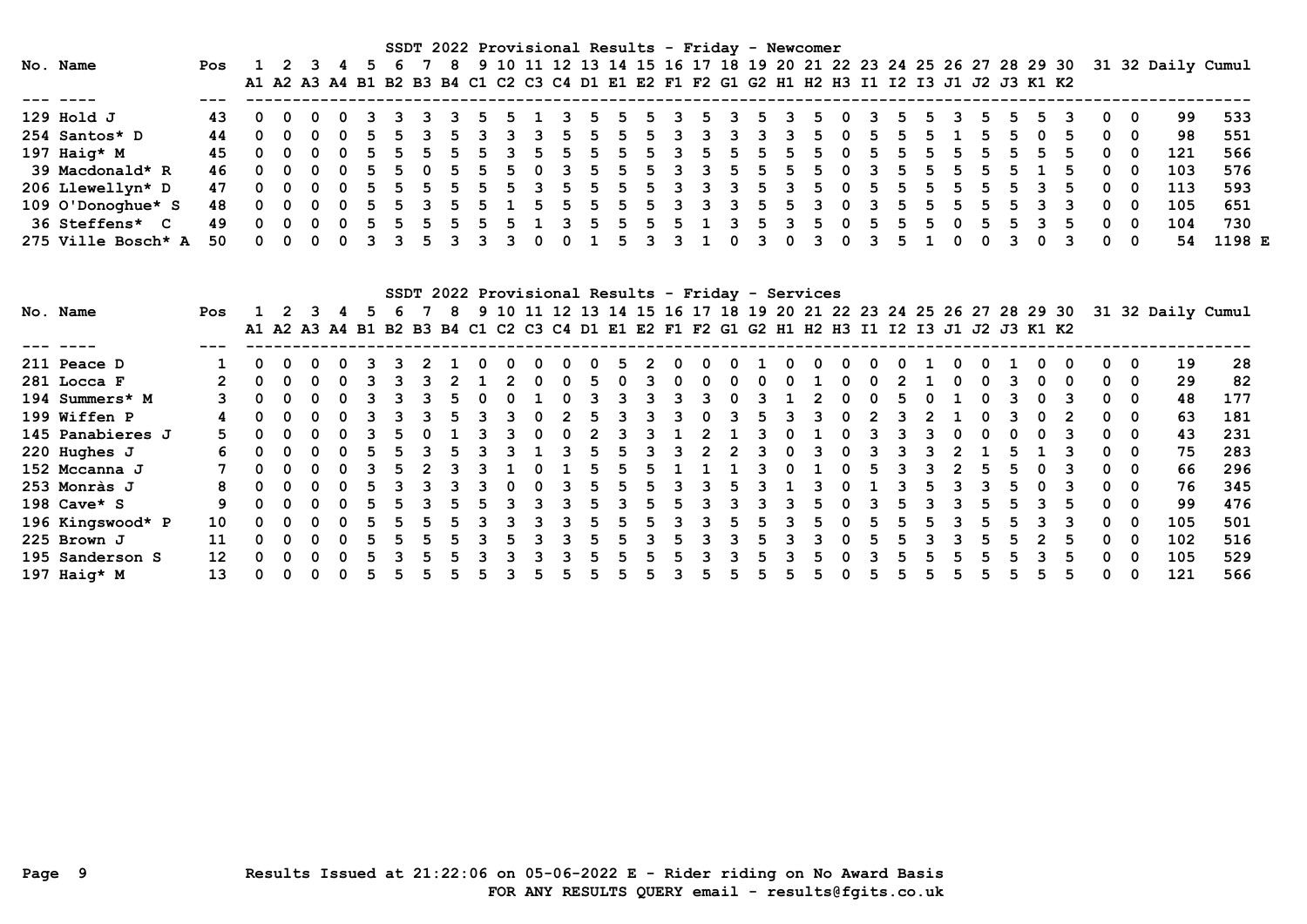| SSDT 2022 Provisional Results - Friday - Newcomer |                       |     |              |                                     |     |                         |  |  |  |    |  |  |   |  |   |     |                                                                                           |   |     |    |    |    |     |    |  |  |  |    |   |                                                                                    |        |
|---------------------------------------------------|-----------------------|-----|--------------|-------------------------------------|-----|-------------------------|--|--|--|----|--|--|---|--|---|-----|-------------------------------------------------------------------------------------------|---|-----|----|----|----|-----|----|--|--|--|----|---|------------------------------------------------------------------------------------|--------|
|                                                   | No. Name              | Pos |              |                                     |     |                         |  |  |  | -8 |  |  |   |  |   |     |                                                                                           |   |     |    |    |    |     |    |  |  |  |    |   | 9 10 11 12 13 14 15 16 17 18 19 20 21 22 23 24 25 26 27 28 29 30 31 32 Daily Cumul |        |
|                                                   |                       |     |              |                                     |     |                         |  |  |  |    |  |  |   |  |   |     | A1 A2 A3 A4 B1 B2 B3 B4 C1 C2 C3 C4 D1 E1 E2 F1 F2 G1 G2 H1 H2 H3 I1 I2 I3 J1 J2 J3 K1 K2 |   |     |    |    |    |     |    |  |  |  |    |   |                                                                                    |        |
|                                                   |                       |     |              |                                     |     |                         |  |  |  |    |  |  |   |  |   |     |                                                                                           |   |     |    |    |    |     |    |  |  |  |    |   |                                                                                    |        |
|                                                   | $129$ Hold J          | 43  |              |                                     |     |                         |  |  |  |    |  |  |   |  |   |     |                                                                                           |   |     |    |    |    |     |    |  |  |  | 0  | 0 | 99.                                                                                | 533    |
|                                                   | 254 Santos* D         | 44  |              | $0\quad 0$                          | - 0 | $\overline{\mathbf{0}}$ |  |  |  |    |  |  |   |  | 5 | -5. |                                                                                           | વ | ર   |    |    | 5. | - 0 | 5. |  |  |  | 0  | 0 | 98                                                                                 | 551    |
|                                                   | 197 Haig* M           | 45. |              | - 0                                 | . റ | $\sim$ 0                |  |  |  |    |  |  |   |  |   | 5.  | 5.                                                                                        |   | . 5 |    |    | 5. | - 0 |    |  |  |  | 0  | റ | 121                                                                                | 566    |
|                                                   | 39 Macdonald* R       | 46. | . റ          |                                     | റ   |                         |  |  |  |    |  |  | 0 |  |   |     |                                                                                           |   |     | 5. |    |    | - 0 |    |  |  |  | 0  | 0 | 103                                                                                | 576    |
|                                                   | 206 Llewellyn* D      | 47  | $\mathbf{0}$ |                                     | റ   | $\Omega$                |  |  |  |    |  |  |   |  |   | 5.  |                                                                                           |   |     |    | 5. | 5  | - 0 |    |  |  |  | 0  | റ | 113                                                                                | 593    |
|                                                   | 109 O'Donoghue* S     | 48. |              | $\begin{matrix} 0 & 0 \end{matrix}$ |     |                         |  |  |  |    |  |  |   |  |   |     |                                                                                           |   |     |    |    |    | - 0 |    |  |  |  | 0  | റ | 105                                                                                | 651    |
|                                                   | <b>36 Steffens*</b> C | 49  | ົດ           |                                     |     |                         |  |  |  |    |  |  |   |  |   |     |                                                                                           |   |     |    |    |    |     |    |  |  |  | 0  | 0 | 104                                                                                | 730    |
|                                                   | 275 Ville Bosch* A    | 50  |              |                                     |     |                         |  |  |  |    |  |  |   |  |   |     |                                                                                           |   |     |    |    |    |     |    |  |  |  | 0. | 0 | 54                                                                                 | 1198 E |

| SSDT 2022 Provisional Results - Friday - Services |                  |                 |              |  |  |  |  |  |  |  |  |  |  |  |  |  |   |                                                                                           |  |  |  |  |              |              |          |                                                                                    |     |
|---------------------------------------------------|------------------|-----------------|--------------|--|--|--|--|--|--|--|--|--|--|--|--|--|---|-------------------------------------------------------------------------------------------|--|--|--|--|--------------|--------------|----------|------------------------------------------------------------------------------------|-----|
|                                                   | No. Name         | Pos             |              |  |  |  |  |  |  |  |  |  |  |  |  |  |   |                                                                                           |  |  |  |  |              |              |          | 9 10 11 12 13 14 15 16 17 18 19 20 21 22 23 24 25 26 27 28 29 30 31 32 Daily Cumul |     |
|                                                   |                  |                 |              |  |  |  |  |  |  |  |  |  |  |  |  |  |   | A1 A2 A3 A4 B1 B2 B3 B4 C1 C2 C3 C4 D1 E1 E2 F1 F2 G1 G2 H1 H2 H3 I1 I2 I3 J1 J2 J3 K1 K2 |  |  |  |  |              |              |          |                                                                                    |     |
|                                                   |                  |                 |              |  |  |  |  |  |  |  |  |  |  |  |  |  |   |                                                                                           |  |  |  |  |              |              |          |                                                                                    |     |
|                                                   | 211 Peace D      |                 | <sup>n</sup> |  |  |  |  |  |  |  |  |  |  |  |  |  |   |                                                                                           |  |  |  |  | <sup>0</sup> | <sup>n</sup> | 0        | 19                                                                                 | 28  |
|                                                   | 281 Locca F      | 2               |              |  |  |  |  |  |  |  |  |  |  |  |  |  |   |                                                                                           |  |  |  |  | <sup>0</sup> | 0            | 0        | 29                                                                                 | 82  |
|                                                   | 194 Summers* M   |                 |              |  |  |  |  |  |  |  |  |  |  |  |  |  |   |                                                                                           |  |  |  |  |              | 0            | 0        | 48                                                                                 | 177 |
|                                                   | 199 Wiffen P     |                 |              |  |  |  |  |  |  |  |  |  |  |  |  |  |   |                                                                                           |  |  |  |  |              |              | 0        | 63                                                                                 | 181 |
|                                                   | 145 Panabieres J | 5.              |              |  |  |  |  |  |  |  |  |  |  |  |  |  |   |                                                                                           |  |  |  |  |              |              | 0        | 43                                                                                 | 231 |
|                                                   | 220 Hughes J     | 6               | <sup>n</sup> |  |  |  |  |  |  |  |  |  |  |  |  |  |   |                                                                                           |  |  |  |  |              |              | 0        | 75                                                                                 | 283 |
|                                                   | 152 Mccanna J    | 7               | <sup>n</sup> |  |  |  |  |  |  |  |  |  |  |  |  |  |   |                                                                                           |  |  |  |  |              | <sup>n</sup> | 0        | 66                                                                                 | 296 |
|                                                   | 253 Monràs J     | 8               |              |  |  |  |  |  |  |  |  |  |  |  |  |  |   |                                                                                           |  |  |  |  |              | <sup>n</sup> | 0        | 76                                                                                 | 345 |
|                                                   | 198 $Cave* S$    | 9.              |              |  |  |  |  |  |  |  |  |  |  |  |  |  |   |                                                                                           |  |  |  |  |              | <sup>n</sup> | $\Omega$ | 99                                                                                 | 476 |
|                                                   | 196 Kingswood* P | 10              | <sup>n</sup> |  |  |  |  |  |  |  |  |  |  |  |  |  | h |                                                                                           |  |  |  |  |              | <sup>n</sup> | 0        | 105                                                                                | 501 |
|                                                   | 225 Brown J      | 11              |              |  |  |  |  |  |  |  |  |  |  |  |  |  |   |                                                                                           |  |  |  |  |              | 0            | 0        | 102                                                                                | 516 |
|                                                   | 195 Sanderson S  | 12 <sup>2</sup> |              |  |  |  |  |  |  |  |  |  |  |  |  |  |   |                                                                                           |  |  |  |  |              | n.           | 0        | 105                                                                                | 529 |
|                                                   | 197 Haig* M      | 13 <sup>°</sup> |              |  |  |  |  |  |  |  |  |  |  |  |  |  |   |                                                                                           |  |  |  |  | ь            | n            | 0        | 121                                                                                | 566 |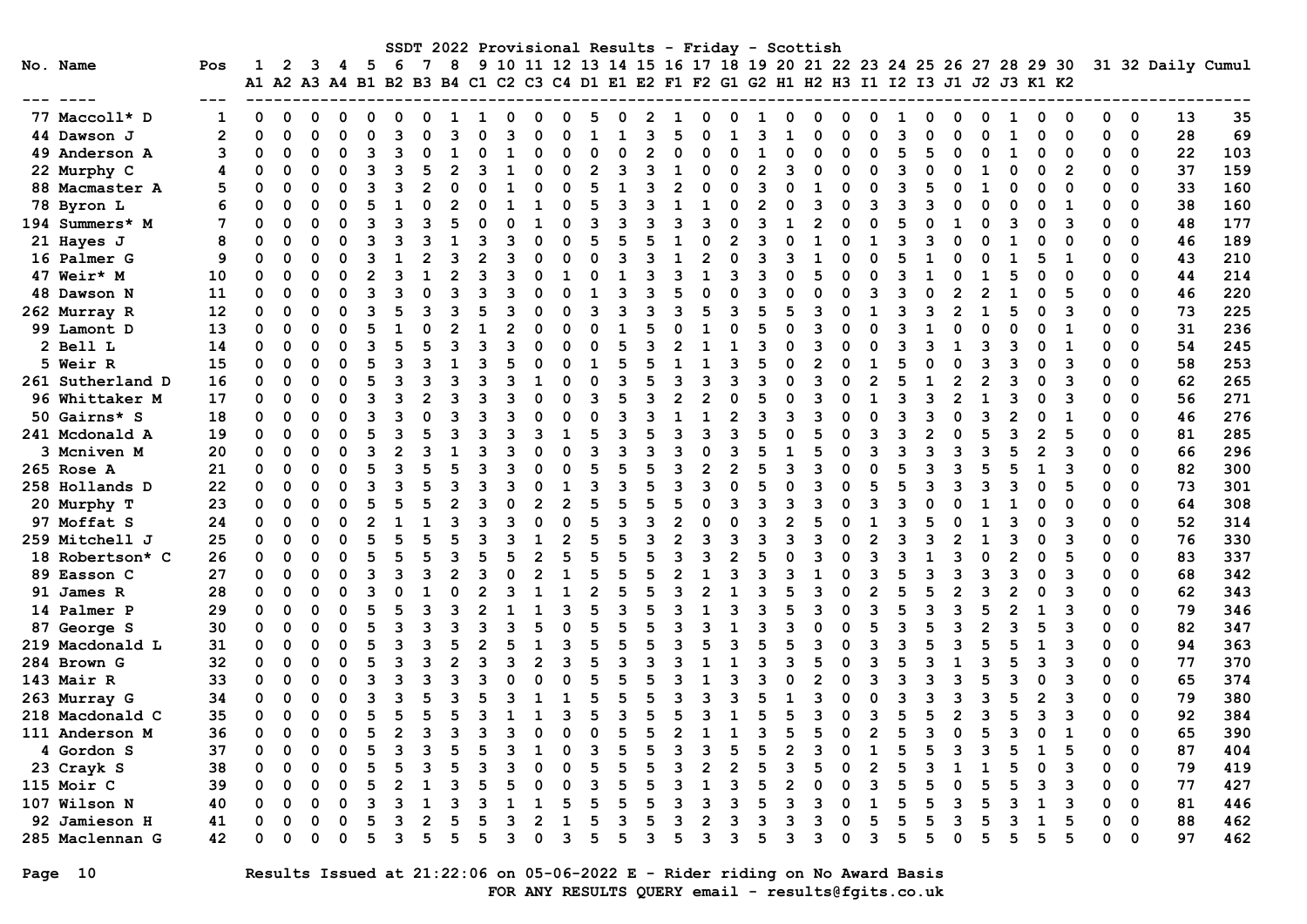|                    |                |             |             |          |              |                                                                                                 |   |   |                |   |    |                |          |    |              |    |                |                | SSDT 2022 Provisional Results - Friday - Scottish |                |          |   |              |                |   |          |   |                |   |                                                                  |                |          |             |                   |     |
|--------------------|----------------|-------------|-------------|----------|--------------|-------------------------------------------------------------------------------------------------|---|---|----------------|---|----|----------------|----------|----|--------------|----|----------------|----------------|---------------------------------------------------|----------------|----------|---|--------------|----------------|---|----------|---|----------------|---|------------------------------------------------------------------|----------------|----------|-------------|-------------------|-----|
| No. Name           | Pos            | 1           | 2           | 3        | 4            | -5<br>A1 A2 A3 A4 B1 B2 B3 B4 C1 C2 C3 C4 D1 E1 E2 F1 F2 G1 G2 H1 H2 H3 I1 I2 I3 J1 J2 J3 K1 K2 | 6 | 7 | 8              |   |    |                |          |    |              |    |                |                |                                                   |                |          |   |              |                |   |          |   |                |   | 9 10 11 12 13 14 15 16 17 18 19 20 21 22 23 24 25 26 27 28 29 30 |                |          |             | 31 32 Daily Cumul |     |
|                    | $- - -$        |             |             |          |              |                                                                                                 |   |   |                |   |    |                |          |    |              |    |                |                |                                                   |                |          |   |              |                |   |          |   |                |   |                                                                  |                |          |             |                   |     |
| 77 Maccoll* D      | 1              | O           | 0           | 0        | <sup>0</sup> | 0                                                                                               | O |   | -1             |   | O  | O              | 0        | 5  | n            | 2  | 1              | O              | 0                                                 | 1              | O        | O | <sup>0</sup> | <sup>0</sup>   | 1 | $\Omega$ |   | 0              | 1 | O                                                                | 0              | 0        | $\mathbf 0$ | 13                | 35  |
| 44 Dawson J        | $\overline{2}$ | $\mathbf 0$ | $\Omega$    | $\Omega$ |              | O                                                                                               | 3 |   | 3              |   | ว  |                |          |    |              |    | 5              |                |                                                   | 3              |          | n | O            | O              | 3 | O        |   | O              |   | 0                                                                | 0              | 0        | $\mathbf 0$ | 28                | 69  |
| 49 Anderson A      | 3              | $\Omega$    | $\Omega$    | $\Omega$ |              | 3                                                                                               | ٩ |   |                |   |    |                |          |    |              |    | O              |                |                                                   |                |          |   | 0            |                | 5 | 5        |   | $\Omega$       |   | 0                                                                | 0              | 0        | $\Omega$    | 22                | 103 |
| 22 Murphy C        | 4              | $\Omega$    | 0           | $\Omega$ |              | २                                                                                               | ٩ |   | 2              |   |    | O              | $\Omega$ | 2  | २            | ิว | 1              | C              | O                                                 | $\overline{2}$ | ٩        | n | $\Omega$     | ŋ              | 3 | O        |   | $\mathbf{1}$   | O | O                                                                | $\overline{2}$ | $\Omega$ | $\mathbf 0$ | 37                | 159 |
| 88 Macmaster A     | 5              | O           | $\Omega$    | $\Omega$ |              | २                                                                                               | ٩ |   | O              |   |    | $\Omega$       | O        | 5  | $\mathbf{1}$ |    | $\overline{2}$ | O              | $\Omega$                                          | 3              |          |   | ∩            | O              | 3 | 5        |   | 1              | O | O                                                                | $\Omega$       | $\Omega$ | $\Omega$    | 33                | 160 |
| 78 Byron L         | 6              | $\Omega$    | $\Omega$    | $\Omega$ |              | 5                                                                                               |   |   |                |   |    |                |          | 5  | 3            |    | 1              |                | O                                                 | $\mathfrak{p}$ |          | ٩ | $\Omega$     |                | 3 |          |   | $\Omega$       | O | $\Omega$                                                         | 1              | $\Omega$ | $\Omega$    | 38                | 160 |
| 194 Summers* M     | 7              | O           | $\Omega$    | $\Omega$ |              | २                                                                                               |   |   | 5              |   |    |                |          | ٩  | 3            |    | २              | ٩              | $\Omega$                                          | 3              |          | 2 | $\Omega$     | O              | 5 | $\Omega$ |   | $\Omega$       | З | $\Omega$                                                         | 3              | $\Omega$ | 0           | 48                | 177 |
| 21 Hayes J         | 8              | 0           | 0           | $\Omega$ |              | २                                                                                               |   |   | 1              |   |    | $\Omega$       |          | 5  | 5            |    | 1              | O              | 2                                                 | ٩              |          |   | ∩            | 1              | 3 |          |   | O              |   | ŋ                                                                | $\Omega$       | O        | $\Omega$    | 46                | 189 |
| 16 Palmer G        | 9              | $\Omega$    | $\Omega$    | $\Omega$ |              | २                                                                                               |   |   |                |   |    |                | ი        | O  | З            |    |                |                |                                                   | ٩              |          |   | O            | O              | 5 |          |   | O              |   | 5                                                                | 1              | O        | $\Omega$    | 43                | 210 |
| 47 Weir* M         | 10             | 0           | $\Omega$    | $\Omega$ |              | 2                                                                                               | ٩ |   | 2              |   |    | $\Omega$       |          | O  | $\mathbf{1}$ |    | 3              |                | २                                                 | 3              |          | 5 | $\Omega$     |                | 3 |          |   | $\mathbf{1}$   |   | O                                                                | $\Omega$       | O        | $\mathbf 0$ | 44                | 214 |
| 48 Dawson N        | 11             | $\mathbf 0$ | $\Omega$    | $\Omega$ |              | २                                                                                               |   |   | २              |   |    |                |          |    | 3            |    | 5              |                |                                                   | २              |          |   | $\Omega$     |                | २ |          |   | $\overline{2}$ |   | 0                                                                | 5              | 0        | $\Omega$    | 46                | 220 |
| 262 Murray R       | 12             | $\Omega$    | $\Omega$    | $\Omega$ | O            | २                                                                                               |   |   | ર              |   |    | O              | O        | ٩  | 3            |    | ર              | 5              | 3                                                 | 5              |          | ٩ | $\Omega$     | 1              | 3 | Р        |   | 1              | 5 | O                                                                | 3              | $\Omega$ | $\Omega$    | 73                | 225 |
| 99 Lamont D        | 13             | $\mathbf 0$ | $\mathbf 0$ | $\Omega$ |              | 5                                                                                               |   |   | 2              |   |    |                | ი        | O  | $\mathbf{1}$ |    | O              |                | $\Omega$                                          | 5              | $\Omega$ | ٩ | $\Omega$     | O              | २ |          |   | $\Omega$       | O | $\Omega$                                                         | $\mathbf{1}$   | O        | $\Omega$    | 31                | 236 |
| 2 Bell L           | 14             | $\mathbf 0$ | $\Omega$    | $\Omega$ |              | 3                                                                                               |   |   |                |   |    |                |          | O  | 5            |    |                |                |                                                   | 3              |          | ว | O            |                | 3 |          |   | 3              |   | n                                                                |                | 0        | $\Omega$    | 54                | 245 |
| 5 Weir R           | 15             | $\mathbf 0$ | 0           | $\Omega$ |              | 5                                                                                               |   |   | 1              |   |    |                |          |    | 5            |    | 1              |                | ٩                                                 | 5              |          | 2 | $\Omega$     |                | 5 |          |   | 3              |   | ŋ                                                                | 3              | $\Omega$ | $\mathbf 0$ | 58                | 253 |
| 261 Sutherland D   | 16             | $\mathbf 0$ | 0           | $\Omega$ | O            | 5                                                                                               | ٩ |   | ٩              |   |    | 1              |          | O  | 3            |    | 3              | 3              | ٩                                                 | २              | O        | ٩ | $\Omega$     | $\mathfrak{p}$ | 5 |          |   | $\mathbf{2}$   |   | O                                                                | 3              | $\Omega$ | $\mathbf 0$ | 62                | 265 |
| 96 Whittaker M     | 17             | $\Omega$    | $\Omega$    | $\Omega$ | n            | २                                                                                               | ٩ |   | २              |   |    | O              |          | २  | 5            |    | 2              | っ              |                                                   |                |          | ว | $\Omega$     |                | ٩ | ٩        |   | 1              |   | O                                                                | з              | 0        | $\Omega$    | 56                | 271 |
| 50 Gairns* S       | 18             | 0           | $\Omega$    | $\Omega$ |              | २                                                                                               | ٩ |   | २              |   |    |                |          |    | 3            |    |                |                |                                                   | २              |          | ٩ | $\Omega$     |                | २ |          |   |                |   | O                                                                | 1              | 0        | $\Omega$    | 46                | 276 |
| 241 Mcdonald A     | 19             | $\mathbf 0$ | $\Omega$    | $\Omega$ | O            | 5                                                                                               |   |   |                |   |    | 3              |          | 5  | ٩            |    | ٩              | ٩              | ٩                                                 |                |          | 5 | $\Omega$     |                | ٩ |          |   |                |   | 2                                                                | 5              | O        | $\Omega$    | 81                | 285 |
| <b>3 Mcniven M</b> | 20             | $\mathbf 0$ | $\Omega$    | $\Omega$ | O            | 3                                                                                               |   |   | 1              |   |    | $\Omega$       | O        | ิว | २            |    | २              | O              | ৭                                                 |                |          | 5 | ∩            |                | 3 |          |   | 3              |   | $\overline{2}$                                                   | 3              | O        | $\Omega$    | 66                | 296 |
| 265 Rose A         | 21             | $\Omega$    | $\Omega$    | $\Omega$ |              | 5                                                                                               | २ |   | 5              |   |    | O              | ∩        | 5  | 5            |    | 3              | $\mathfrak{p}$ |                                                   | 5              | ٩        | ٩ | n            |                | 5 | Р        |   | 5              | 5 |                                                                  | 3              | O        | $\mathbf 0$ | 82                | 300 |
| 258 Hollands D     | 22             | $\mathbf 0$ | $\Omega$    | $\Omega$ |              | 3                                                                                               |   |   |                |   |    |                |          | ٩  | 3            |    | ٩              |                |                                                   |                |          |   |              |                | 5 |          |   | 3              |   | $\Omega$                                                         | 5              | $\Omega$ | $\Omega$    | 73                | 301 |
| 20 Murphy T        | 23             | $\Omega$    | $\Omega$    | $\Omega$ |              | 5                                                                                               |   |   | 2              |   |    |                |          | 5  | 5            |    | 5              |                | ٩                                                 | २              |          | ว | n            |                | २ |          |   |                |   | O                                                                | $\Omega$       | 0        | $\Omega$    | 64                | 308 |
| 97 Moffat S        | 24             | $\Omega$    | $\Omega$    | $\Omega$ |              | $\mathfrak{p}$                                                                                  |   |   | २              |   | ٩  | $\Omega$       | O        | 5  | 3            |    | $\mathcal{P}$  |                |                                                   | २              |          |   | $\Omega$     |                | ર |          |   |                |   | n                                                                | з              | 0        | $\Omega$    | 52                | 314 |
| 259 Mitchell J     | 25             | 0           | $\Omega$    | $\Omega$ | n            | 5                                                                                               |   |   |                |   |    |                |          |    | 5            |    | $\mathcal{P}$  |                |                                                   |                |          | ٩ | $\Omega$     |                | ٩ | ٩        |   |                |   | n                                                                | з              | 0        | $\Omega$    | 76                | 330 |
| 18 Robertson* C    | 26             | 0           | $\Omega$    | $\Omega$ |              | 5                                                                                               |   |   | 3              |   |    | $\mathfrak{p}$ |          |    | 5            |    |                |                |                                                   |                |          |   | $\Omega$     |                | 3 |          |   | O              |   | $\Omega$                                                         | 5              | $\Omega$ | $\Omega$    | 83                | 337 |
| 89 Easson C        | 27             | $\mathbf 0$ | $\Omega$    | $\Omega$ |              | 3                                                                                               | ٩ |   | $\mathfrak{p}$ |   |    | $\mathfrak{p}$ |          | 5  | 5            |    | 2              |                | ٩                                                 |                |          |   | n            |                | 5 |          | З | 3              |   | O                                                                | 3              | 0        | $\mathbf 0$ | 68                | 342 |
| 91 James R         | 28             | $\Omega$    | $\Omega$    | $\Omega$ |              | २                                                                                               |   |   | O              |   |    |                |          |    | 5            |    | २              | 2              |                                                   |                |          | ٩ | $\Omega$     |                | 5 |          |   | २              |   | O                                                                | 3              | $\Omega$ | $\Omega$    | 62                | 343 |
| 14 Palmer P        | 29             | $\Omega$    | $\Omega$    | $\Omega$ |              | 5                                                                                               |   |   | २              |   |    |                |          | 5  | 3            |    | २              |                | ٩                                                 | 3              |          | ٩ | $\Omega$     |                | 5 | Р        |   |                |   |                                                                  | з              | O        | $\Omega$    | 79                | 346 |
| 87 George S        | 30             | $\Omega$    | $\Omega$    | $\Omega$ |              | 5                                                                                               |   |   |                |   |    |                |          |    |              |    |                |                |                                                   |                |          |   |              |                | २ |          |   | 2              |   |                                                                  | з              | $\Omega$ | $\Omega$    | 82                | 347 |
| 219 Macdonald L    | 31             | 0           | $\Omega$    | $\Omega$ |              | 5                                                                                               |   |   | 5              |   |    | 1              |          | 5  | 5            |    |                |                | ٩                                                 |                |          | ٩ | O            |                | २ |          |   | 5              |   |                                                                  | з              | O        | 0           | 94                | 363 |
| 284 Brown G        | 32             | 0           | $\Omega$    | $\Omega$ | n            | 5                                                                                               | ٩ |   | $\overline{2}$ |   |    | $\mathfrak{p}$ | ٩        | 5  | 3            |    | 3              |                |                                                   | 3              | २        |   | $\Omega$     |                | 5 | ٩        |   | 3              |   | 3                                                                | 3              | O        | $\Omega$    | 77                | 370 |
| 143 Mair R         | 33             | $\mathbf 0$ | $\Omega$    | $\Omega$ | O            | 3                                                                                               | ٩ |   | २              |   |    | $\Omega$       |          | 5  | 5            |    |                |                |                                                   | 3              |          | 2 | $\Omega$     |                | 3 | ٩        |   |                |   | O                                                                | 3              | 0        | $\mathbf 0$ | 65                | 374 |
| 263 Murray G       | 34             | 0           | $\mathbf 0$ | $\Omega$ |              | २                                                                                               | ٩ |   | २              |   |    |                |          |    |              |    | ٩              |                | २                                                 | 5              |          |   |              |                | २ |          |   | २              |   | $\overline{2}$                                                   | 3              | $\Omega$ | $\mathbf 0$ | 79                | 380 |
| 218 Macdonald C    | 35             | $\Omega$    | $\Omega$    | $\Omega$ |              | 5                                                                                               |   |   |                |   |    |                |          | 5  | ٩            |    | 5              |                |                                                   |                |          | ٩ |              |                | 5 |          |   | ٦              |   | ٩                                                                | 3              | O        | $\Omega$    | 92                | 384 |
| 111 Anderson M     | 36             | $\Omega$    | $\Omega$    | $\Omega$ | n            | 5                                                                                               |   |   | २              |   |    | ∩              | ∩        | n  | 5            |    | $\mathcal{P}$  |                |                                                   |                | 5        |   | $\Omega$     | 2              | 5 | ว        |   | 5              |   | n                                                                | $\mathbf{1}$   | O        | $\Omega$    | 65                | 390 |
| 4 Gordon S         | 37             | $\mathbf 0$ | $\mathbf 0$ | $\Omega$ |              | 5                                                                                               | 3 |   | 5              |   |    |                |          | २  | 5            |    | २              | ٩              |                                                   | 5              |          | ว | $\Omega$     |                | 5 |          |   | २              |   |                                                                  | 5              | 0        | $\mathbf 0$ | 87                | 404 |
| 23 Crayk S         | 38             | $\mathbf 0$ | $\Omega$    | $\Omega$ |              | 5                                                                                               |   |   | 5              |   | ิว | $\Omega$       |          | 5  | 5            |    | २              |                |                                                   | 5              | २        |   |              |                | 5 |          |   |                |   | $\Omega$                                                         | 3              | 0        | $\Omega$    | 79                | 419 |
| 115 Moir C         | 39             | $\Omega$    | $\Omega$    | $\Omega$ |              | 5                                                                                               |   |   | ٩              |   |    | ∩              |          | ٩  | 5            |    | ٩              |                | ٩                                                 | 5              |          | n | n            |                | 5 |          |   | 5              |   | ٩                                                                | 3              | $\Omega$ | $\mathbf 0$ | 77                | 427 |
| 107 Wilson N       | 40             | O           | O           | $\Omega$ |              | २                                                                                               |   |   | २              | ٩ |    | 1              | 5        | 5  | 5            |    | ٩              | ٩              | ٩                                                 | 5              | ว        | ٩ | $\Omega$     |                | 5 |          |   | 5              | ٦ |                                                                  | з              | O        | $\Omega$    | 81                | 446 |
| 92 Jamieson H      | 41             | O           | $\Omega$    | $\Omega$ | O            | 5                                                                                               | ٩ |   | 5              |   | ٩  | $\mathfrak{p}$ | 1        | 5  | 3            |    | 3              | 2              | २                                                 | 3              | ٩        | ٩ | $\Omega$     |                | 5 | 5        | З | 5              |   |                                                                  | 5              | $\Omega$ | $\Omega$    | 88                | 462 |
| 285 Maclennan G    | 42             | O           | O           | $\Omega$ |              | 5                                                                                               | ٩ | 5 | 5              | 5 | ٩  | $\mathbf 0$    | 3        | 5  | 5            | 3  | 5              | 3              | 3                                                 | 5              | २        | 3 | $\Omega$     | २              | 5 | 5        |   | 5              | 5 | 5                                                                | 5              | O        | $\Omega$    | 97                | 462 |

Page 10 Results Issued at 21:22:06 on 05-06-2022 E - Rider riding on No Award Basis FOR ANY RESULTS QUERY email - results@fgits.co.uk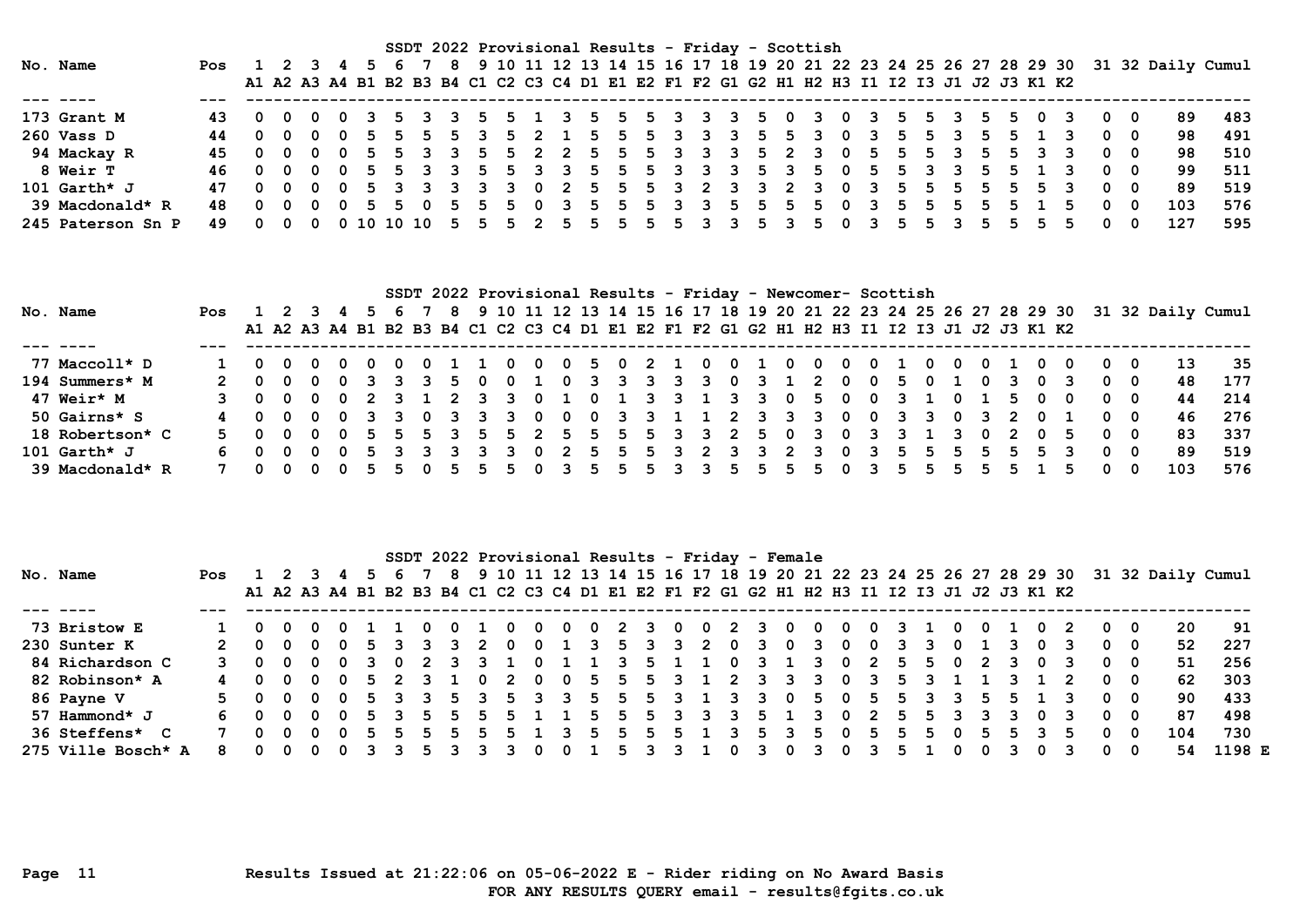|                   |     |     |                                     |                                     |     |            |     | SSDT 2022 Provisional Results - Friday - Scottish                                         |              |     |     |     |                |     |   |   |     |                                 |   |    |     |     |                         |    |    |     |     |     |    |                                           |          |            |                                                                                      |     |
|-------------------|-----|-----|-------------------------------------|-------------------------------------|-----|------------|-----|-------------------------------------------------------------------------------------------|--------------|-----|-----|-----|----------------|-----|---|---|-----|---------------------------------|---|----|-----|-----|-------------------------|----|----|-----|-----|-----|----|-------------------------------------------|----------|------------|--------------------------------------------------------------------------------------|-----|
| No. Name          | Pos |     | 1 2 3 4                             |                                     |     | 5.         |     |                                                                                           |              |     |     |     |                |     |   |   |     |                                 |   |    |     |     |                         |    |    |     |     |     |    |                                           |          |            | 8 9 10 11 12 13 14 15 16 17 18 19 20 21 22 23 24 25 26 27 28 29 30 31 32 Daily Cumul |     |
|                   |     |     |                                     |                                     |     |            |     | A1 A2 A3 A4 B1 B2 B3 B4 C1 C2 C3 C4 D1 E1 E2 F1 F2 G1 G2 H1 H2 H3 I1 I2 I3 J1 J2 J3 K1 K2 |              |     |     |     |                |     |   |   |     |                                 |   |    |     |     |                         |    |    |     |     |     |    |                                           |          |            |                                                                                      |     |
|                   |     |     |                                     |                                     |     |            |     |                                                                                           |              |     |     |     |                |     |   |   |     |                                 |   |    |     |     |                         |    |    |     |     |     |    |                                           |          |            |                                                                                      |     |
| 173 Grant M       |     |     | $0\quad 0\quad 0\quad 3$            |                                     |     |            |     | 5 3 3                                                                                     |              | - 5 |     |     |                |     |   |   |     |                                 |   |    |     |     |                         |    |    |     |     |     |    | 5 1 3 5 5 5 3 3 3 5 0 3 0 3 5 5 3 5 5 0 3 | 00       |            | 89                                                                                   | 483 |
| 260 Vass D        |     |     |                                     |                                     | - 0 | - 5 -      | - 5 | -5.                                                                                       | -5.          |     | .5. | 2 1 |                | 5   | 5 |   | 5 3 | $\overline{3}$ $\overline{3}$   | 5 |    | 5 3 | - 0 |                         | 5. |    |     |     |     |    |                                           | . റ      |            | 98                                                                                   | 491 |
| 94 Mackay R       |     |     |                                     |                                     |     |            |     | 0 0 0 5 5 3 3 5 5 2 2 5 5 5 3 3 3 5 2 3 0 5 5 5 3 5 5 3                                   |              |     |     |     |                |     |   |   |     |                                 |   |    |     |     |                         |    |    |     |     |     |    |                                           |          | $0\quad 0$ | 98                                                                                   | 510 |
| <b>8 Weir T</b>   |     |     | $\begin{matrix} 0 & 0 \end{matrix}$ |                                     |     |            |     | $0\quad 5\quad 5\quad 3$                                                                  | $\mathbf{3}$ |     |     |     |                |     |   |   |     | 5 5 3 3 5 5 5 3 3 3 5 3 5 0 5   |   |    |     |     |                         | 5. |    |     |     | 55  |    |                                           |          | $0\quad 0$ | 99                                                                                   | 511 |
| 101 $Garth*$ J    |     |     | 0 0 0 5 3                           |                                     |     |            |     |                                                                                           |              |     |     |     |                |     |   |   |     | 3 3 3 0 2 5 5 5 3 2 3 3 2 3 0 3 |   |    |     |     |                         |    | 55 |     | 555 |     | 5. |                                           |          | $0\quad 0$ | 89                                                                                   | 519 |
| 39 Macdonald* R   | 48. | - 0 |                                     | $\begin{matrix} 0 & 0 \end{matrix}$ | - 0 | 5.         | -5. |                                                                                           | 5.           | -5. | -5. |     | 0 <sup>3</sup> | -5. |   |   |     | 5 5 3 3 5 5                     |   | 5. |     | 50  | $\overline{\mathbf{3}}$ | 5. | 5. | -5. | 5.  | - 5 |    | .5.                                       | $\Omega$ | - 0        | 103                                                                                  | 576 |
| 245 Paterson Sn P | 49  |     |                                     |                                     |     | 0 10 10 10 |     |                                                                                           | 5.           |     |     | 2   | .5.            |     | 5 | 5 |     | 5 3 3                           |   |    |     |     |                         |    |    |     |     |     |    |                                           |          |            | 127                                                                                  | 595 |

|                 |            |     |    |     |                 |     |         |     |    |                   |     |   |         |       |       |  |     | SSDT 2022 Provisional Results - Friday - Newcomer- Scottish                               |     |     |     |                |     |     |         |            |     |                                                                                    |     |
|-----------------|------------|-----|----|-----|-----------------|-----|---------|-----|----|-------------------|-----|---|---------|-------|-------|--|-----|-------------------------------------------------------------------------------------------|-----|-----|-----|----------------|-----|-----|---------|------------|-----|------------------------------------------------------------------------------------|-----|
| No. Name        | <b>Pos</b> |     |    |     |                 |     |         | - 8 |    |                   |     |   |         |       |       |  |     |                                                                                           |     |     |     |                |     |     |         |            |     | 9 10 11 12 13 14 15 16 17 18 19 20 21 22 23 24 25 26 27 28 29 30 31 32 Daily Cumul |     |
|                 |            |     |    |     |                 |     |         |     |    |                   |     |   |         |       |       |  |     | A1 A2 A3 A4 B1 B2 B3 B4 C1 C2 C3 C4 D1 E1 E2 F1 F2 G1 G2 H1 H2 H3 I1 I2 I3 J1 J2 J3 K1 K2 |     |     |     |                |     |     |         |            |     |                                                                                    |     |
|                 |            |     |    |     |                 |     |         |     |    |                   |     |   |         |       |       |  |     |                                                                                           |     |     |     |                |     |     |         |            |     |                                                                                    |     |
| 77 Maccoll* D   |            | 000 |    |     |                 | - 0 | $0$ 1 1 |     |    | $\cdot$ 0 $\cdot$ | - 0 |   | 5 0 2 1 |       |       |  |     | L 0 0 1 0 0 0 0 1 0 0                                                                     |     |     |     |                |     |     | 0100    | 00         |     | 13.                                                                                | -35 |
| 194 Summers* M  |            |     |    |     | 0 0 0 3 3 3 5 0 |     |         |     |    |                   |     |   |         |       |       |  |     | 0 1 0 3 3 3 3 3 0 3 1 2 0 0 5                                                             |     | - 0 |     | 0 <sup>3</sup> |     | - 0 |         | $0\quad 0$ |     | 48                                                                                 | 177 |
| 47 Weir* M      |            |     |    |     |                 |     |         |     |    |                   |     |   |         |       |       |  |     | 0 0 0 2 3 1 2 3 3 0 1 0 1 3 3 1 3 3 0 5 0 0 3 1 0 1 5 0                                   |     |     |     |                |     |     | . റ     | 00         |     | 44                                                                                 | 214 |
| 50 Gairns* S    |            |     |    |     |                 |     |         |     |    |                   |     |   |         |       |       |  |     | 0 0 0 3 3 0 3 3 3 0 0 0 3 3 1 1 2 3 3 3 0 0 3 3 0                                         |     |     |     | 3 2            |     |     | _ በ _ 1 |            | റ റ | 46                                                                                 | 276 |
| 18 Robertson* C |            |     | 00 |     | 55              |     | 5.      |     | 5. | 5 2               | 5.  | 5 |         |       |       |  |     | 5 5 3 3 2 5 0 3 0                                                                         |     |     |     |                |     | . റ |         | ი ი        |     | 83                                                                                 | 337 |
| 101 $Garth*$ J  |            |     |    | . റ | 53              |     |         |     |    | $0\quad 2$        |     | 5 |         | 5 5 3 | 2 3 3 |  | - 2 | $\overline{3}$ 0                                                                          | -5. | -5. | -5. | 5.             | - 5 | 5.  |         | $0\quad 0$ |     | 89                                                                                 | 519 |
| 39 Macdonald* R |            |     |    |     |                 |     |         |     |    |                   |     |   |         |       |       |  |     |                                                                                           |     |     |     |                |     |     |         |            |     | 103                                                                                | 576 |

|                              |     |       |     |              |    |     |     |     |     |                |                         |          |    |     |     |     |         |          |                         | SSDT 2022 Provisional Results - Friday - Female |                 |          |                |     |              |   |            |                                                                                           |   |    |          |                   |        |  |
|------------------------------|-----|-------|-----|--------------|----|-----|-----|-----|-----|----------------|-------------------------|----------|----|-----|-----|-----|---------|----------|-------------------------|-------------------------------------------------|-----------------|----------|----------------|-----|--------------|---|------------|-------------------------------------------------------------------------------------------|---|----|----------|-------------------|--------|--|
| No. Name                     | Pos | 1 2 3 |     |              |    |     |     | 8   |     |                |                         |          |    |     |     |     |         |          |                         |                                                 |                 |          |                |     |              |   |            | 9 10 11 12 13 14 15 16 17 18 19 20 21 22 23 24 25 26 27 28 29 30                          |   |    |          | 31 32 Daily Cumul |        |  |
|                              |     |       |     |              |    |     |     |     |     |                |                         |          |    |     |     |     |         |          |                         |                                                 |                 |          |                |     |              |   |            | A1 A2 A3 A4 B1 B2 B3 B4 C1 C2 C3 C4 D1 E1 E2 F1 F2 G1 G2 H1 H2 H3 I1 I2 I3 J1 J2 J3 K1 K2 |   |    |          |                   |        |  |
|                              |     |       |     |              |    |     |     |     |     |                |                         |          |    |     |     |     |         |          |                         |                                                 |                 |          |                |     |              |   |            |                                                                                           |   |    |          |                   |        |  |
| 73 Bristow E                 |     |       | -0  | - 0          |    |     |     |     |     |                |                         |          |    |     |     | - 0 |         |          |                         |                                                 |                 | 0        |                |     |              |   |            |                                                                                           |   | 0. | - 0      | 20                | -91    |  |
| 230 Sunter K                 |     |       | - 0 | - 0          |    |     |     |     |     | 0              | . O                     |          |    | 5.  |     | -3  |         | $\Omega$ |                         | $\Omega$                                        |                 | 0        | 0              |     |              | 0 |            |                                                                                           |   | 0  | 0        | 52 <sub>2</sub>   | -227   |  |
| 84 Richardson C              |     |       | - 0 | 0            | 3  | - 0 | - 2 | 3   | -3  |                | - 0                     |          |    | 3   | 5 1 |     |         | $\Omega$ | 3 1                     |                                                 | $\sim$ 3 $\sim$ | - 0      | $\overline{2}$ | 5.  | -5.          | 0 | -2         |                                                                                           | 0 | 0  | - 0      | 51                | -256   |  |
| 82 Robinson* A               |     |       | . റ | $\Omega$     |    | 5 2 |     |     | - 0 | $\overline{2}$ | $\overline{\mathbf{0}}$ | $\Omega$ |    | 55  |     |     | 5 3 1 2 |          | $\overline{\mathbf{3}}$ | 3                                               | $\mathbf{3}$    | - 0      | 3              | -5. | $\mathbf{3}$ |   |            |                                                                                           |   | 0  | $\Omega$ | 62                | 303    |  |
| 86 Payne V                   |     |       | 0   | $\mathbf{0}$ | 5. |     |     | -5. |     | 5.             | 3                       |          | 5. | .5. | 5 3 |     |         | 3        | ્વ                      | റ                                               | .5.             | $\Omega$ | 5.             | 5.  | -3           |   | .5.        | .5                                                                                        |   | 0  | - 0      | 90                | 433    |  |
| 57 Hammond* J                |     |       | 0   | 0            |    |     |     |     |     |                |                         |          | 5. | -5. | 5.  | 3   | 3       | 3        | 5.                      |                                                 | 3               | 0        |                |     |              |   |            |                                                                                           |   | 0  | 0        | 87                | 498    |  |
| 36 Steffens*<br>$\mathbf{C}$ |     |       | 0   |              |    |     |     |     |     |                |                         |          |    |     |     |     |         |          |                         |                                                 | 5.              | 0        |                |     |              |   |            |                                                                                           |   | 0  | 0        | 104               | 730    |  |
| 275 Ville Bosch* A           |     |       |     |              |    |     |     |     |     |                |                         |          |    |     |     |     |         |          |                         |                                                 |                 |          |                |     |              |   | $^{\circ}$ |                                                                                           |   | 0  | 0        | 54.               | 1198 E |  |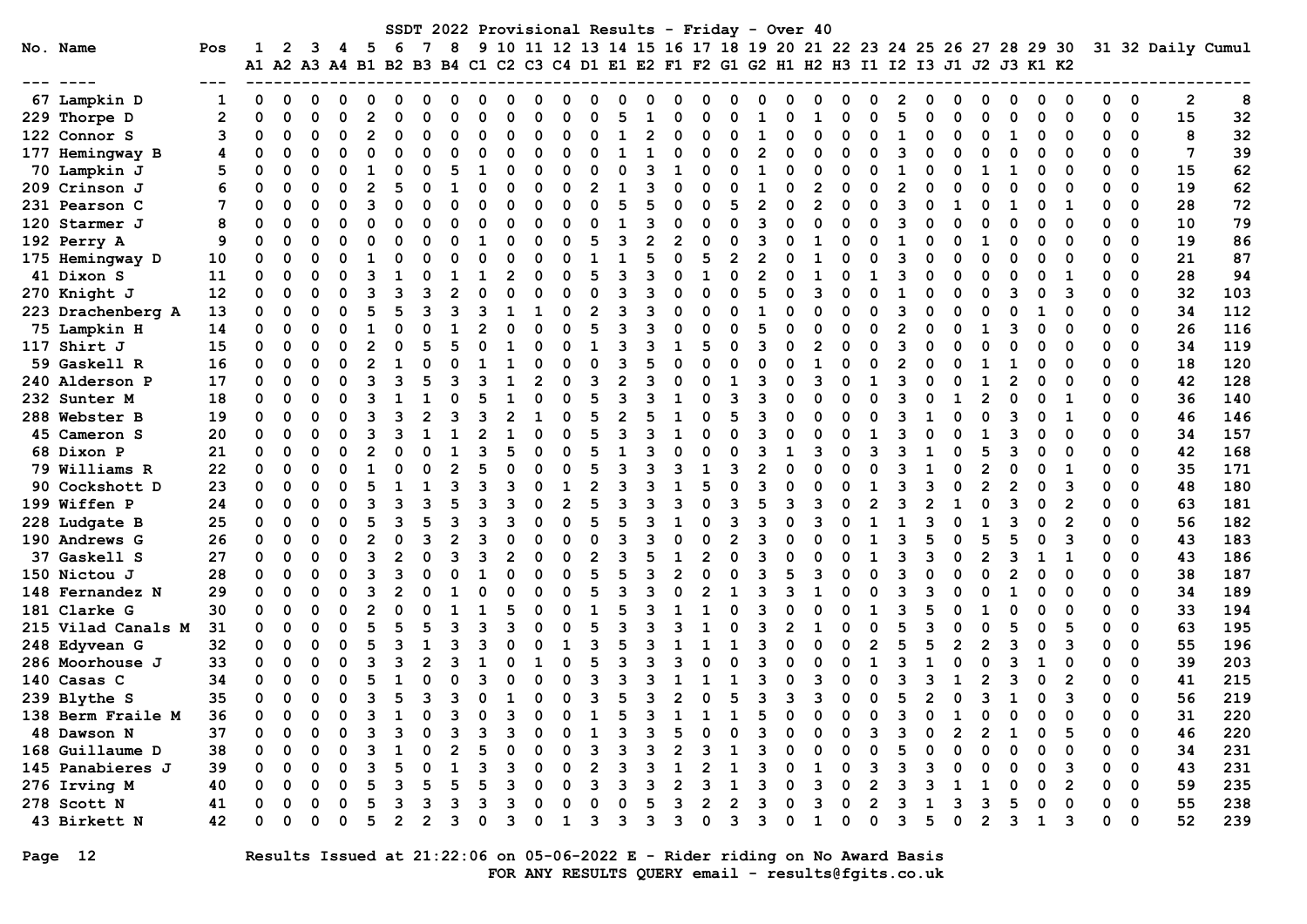|                    |              |   |          |          |              |                                                                                           |     |    |   |              |   |          |              |              |                |    |          |    | SSDT 2022 Provisional Results - Friday - Over 40 |    |              |          |          |   |              |          |    |                |              |   |                |   |             |    |                                                                                    |
|--------------------|--------------|---|----------|----------|--------------|-------------------------------------------------------------------------------------------|-----|----|---|--------------|---|----------|--------------|--------------|----------------|----|----------|----|--------------------------------------------------|----|--------------|----------|----------|---|--------------|----------|----|----------------|--------------|---|----------------|---|-------------|----|------------------------------------------------------------------------------------|
| No. Name           | Pos          |   | 2        | 3        | 4            | - 5                                                                                       | - 6 | 7  | 8 |              |   |          |              |              |                |    |          |    |                                                  |    |              |          |          |   |              |          |    |                |              |   |                |   |             |    | 9 10 11 12 13 14 15 16 17 18 19 20 21 22 23 24 25 26 27 28 29 30 31 32 Daily Cumul |
|                    |              |   |          |          |              | A1 A2 A3 A4 B1 B2 B3 B4 C1 C2 C3 C4 D1 E1 E2 F1 F2 G1 G2 H1 H2 H3 I1 I2 I3 J1 J2 J3 K1 K2 |     |    |   |              |   |          |              |              |                |    |          |    |                                                  |    |              |          |          |   |              |          |    |                |              |   |                |   |             |    |                                                                                    |
|                    |              |   |          |          |              |                                                                                           |     |    |   |              |   |          |              |              |                |    |          |    |                                                  |    |              |          |          |   |              |          |    |                |              |   |                |   |             |    |                                                                                    |
| 67 Lampkin D       |              |   | 0        |          |              |                                                                                           |     |    |   |              |   |          |              |              |                |    |          |    |                                                  |    |              |          |          |   |              |          |    |                |              |   |                | ŋ | 0           | 2  | 8                                                                                  |
| 229 Thorpe D       | $\mathbf{2}$ |   | $\Omega$ |          |              |                                                                                           |     |    |   |              |   |          |              | O            |                |    | O        |    |                                                  |    |              |          |          |   | 5            |          |    | ∩              |              | ŋ | 0              |   | 0           | 15 | 32                                                                                 |
| 122 Connor S       | 3            |   | O        |          |              |                                                                                           |     |    |   |              | O | O        |              | O            |                | 2  | $\Omega$ |    | n                                                |    |              | ი        |          |   | 1            |          |    | O              |              | ი | O              | ŋ | 0           | 8  | 32                                                                                 |
| 177 Hemingway B    | 4            |   | O        |          |              | O                                                                                         |     |    |   |              | O | O        |              | 0            |                |    | O        |    | n                                                |    |              | n        |          |   | 3            |          |    |                |              |   |                | 0 | 0           | 7  | 39                                                                                 |
| 70 Lampkin J       | 5            |   | $\Omega$ |          |              |                                                                                           |     |    |   |              | O | O        |              | O            |                | ٩  |          |    | O                                                |    |              | ი        |          |   |              |          |    |                |              | 0 | 0              | 0 | $\Omega$    | 15 | 62                                                                                 |
| 209 Crinson J      |              |   | O        |          |              | 2                                                                                         |     |    |   |              | O | $\Omega$ |              | $\mathbf{2}$ |                | ٩  | n        |    | n                                                |    |              | 2        |          |   | $\mathbf{2}$ |          |    | ∩              |              | 0 | 0              | 0 | $\Omega$    | 19 | 62                                                                                 |
| 231 Pearson C      |              |   | $\Omega$ | O        |              | З                                                                                         |     | O  |   | O            | O | O        |              | $\Omega$     |                |    | O        |    | 5                                                | 2  |              | 2        | O        |   | 3            |          |    | ∩              | 1            | 0 | 1              | O | $\Omega$    | 28 | 72                                                                                 |
| 120 Starmer J      |              |   | O        |          |              | O                                                                                         |     |    |   |              | O | O        |              | $\Omega$     |                |    | O        |    | n                                                | 3  |              | O        | O        |   | 3            |          |    | O              |              | ŋ | O              | ŋ | 0           | 10 | 79                                                                                 |
| 192 Perry A        | 9            |   | 0        |          |              |                                                                                           |     |    |   |              | O | O        |              |              | ٩              | 2  | 2        |    | O                                                | ิว |              |          |          |   |              |          |    |                |              | ŋ | O              | O | 0           | 19 | 86                                                                                 |
| 175 Hemingway D    | 10           |   | 0        |          |              |                                                                                           |     |    |   |              |   |          |              |              |                |    | $\Omega$ |    | 2                                                |    |              |          |          |   | 3            |          |    | $\Omega$       |              | 0 | O              | 0 | 0           | 21 | 87                                                                                 |
| 41 Dixon S         | 11           |   | $\Omega$ |          |              |                                                                                           |     |    |   |              |   |          |              | 5            |                | ٩  | O        |    |                                                  | 2  |              |          |          |   | 3            |          |    | ∩              |              | ŋ | 1              |   | 0           | 28 | 94                                                                                 |
| 270 Knight J       | 12           |   | O        |          |              |                                                                                           |     |    |   |              |   |          |              | O            |                |    |          |    |                                                  |    |              |          |          |   |              |          |    |                |              |   | З              |   | $\Omega$    | 32 | 103                                                                                |
| 223 Drachenberg A  | 13           | O | O        |          |              | 5                                                                                         |     |    |   |              |   |          |              | 2            |                |    |          |    |                                                  |    |              | O        |          |   | 3            |          |    |                |              |   |                | ი | $\Omega$    | 34 | 112                                                                                |
| 75 Lampkin H       | 14           | 0 | $\Omega$ |          |              |                                                                                           |     |    |   |              |   |          |              | 5            | З              | 3  |          |    | n                                                |    |              | O        | ∩        |   | 2            |          |    |                |              | 0 | 0              | 0 | $\Omega$    | 26 | 116                                                                                |
| 117 Shirt J        | 15           |   | $\Omega$ |          |              | 2                                                                                         |     |    | 5 |              |   |          |              | 1            | 3              | 3  |          |    | O                                                | 3  |              | 2        | ∩        |   | 3            |          |    | ∩              |              | ŋ | O              | 0 | $\Omega$    | 34 | 119                                                                                |
| 59 Gaskell R       | 16           |   | $\Omega$ | O        |              | 2                                                                                         |     |    |   |              |   |          |              | $\Omega$     | 3              | 5  | n        |    | n                                                | ∩  |              | 1        | O        |   | $\mathbf{2}$ |          |    |                |              | ი | O              | O | 0           | 18 | 120                                                                                |
| 240 Alderson P     | 17           | 0 | $\Omega$ |          |              |                                                                                           |     |    | Р |              |   |          |              | 3            |                | Р  | O        |    |                                                  |    |              | 3        | O        |   |              |          |    |                |              | n |                | ი | 0           | 42 | 128                                                                                |
| 232 Sunter M       | 18           |   | 0        |          |              |                                                                                           |     |    |   |              |   |          |              |              | ॎ              | ٩  |          |    | ٩                                                |    |              | O        |          |   | ٩            |          |    | $\overline{2}$ |              | ŋ |                | O | 0           | 36 | 140                                                                                |
| 288 Webster B      | 19           |   | 0        |          |              |                                                                                           |     |    |   |              |   |          |              |              | $\overline{2}$ |    |          |    |                                                  |    |              | O        | O        |   | 3            |          |    | $\Omega$       |              | ŋ |                | ŋ | 0           | 46 | 146                                                                                |
| 45 Cameron S       | 20           |   | $\Omega$ |          |              |                                                                                           |     |    |   |              |   |          |              | 5            | 3              | ٩  |          |    | n                                                | ิว |              | O        |          |   | 3            |          |    |                |              |   |                |   | 0           | 34 | 157                                                                                |
| 68 Dixon P         | 21           |   | $\Omega$ |          |              |                                                                                           |     |    |   |              |   |          |              |              |                |    |          |    |                                                  |    |              | 3        |          |   | 3            |          |    |                |              |   |                | ŋ | $\Omega$    | 42 | 168                                                                                |
| 79 Williams R      | 22           |   | $\Omega$ |          |              |                                                                                           |     |    |   |              |   |          |              |              |                |    |          |    | ٩                                                |    |              | 0        | O        |   | ٦            |          |    | $\overline{2}$ |              | O |                | O | 0           | 35 | 171                                                                                |
| 90 Cockshott D     | 23           | 0 | 0        | O        |              |                                                                                           |     |    |   |              |   |          |              | 2            |                |    |          | 5  | O                                                | З  |              | O        |          |   | 3            |          |    | $\overline{2}$ |              | 0 | 3              | 0 | 0           | 48 | 180                                                                                |
| 199 Wiffen P       | 24           |   | 0        | O        |              | 3                                                                                         |     |    |   |              | 3 | O        |              | 5            |                | З  | 3        |    | 3                                                |    |              | 3        | O        |   | 3            |          |    | $\Omega$       |              | 0 | $\overline{2}$ | 0 | 0           | 63 | 181                                                                                |
| 228 Ludgate B      | 25           |   | $\Omega$ | O        |              | 5                                                                                         |     |    |   |              |   |          |              | 5            |                |    |          |    | ٩                                                |    |              | 3        | ∩        |   | -1           |          |    | 1              |              | ŋ | $\overline{2}$ | O | $\Omega$    | 56 | 182                                                                                |
| 190 Andrews G      | 26           |   | $\Omega$ | O        |              | 2                                                                                         |     |    |   |              |   |          |              | O            |                |    |          |    | $\overline{2}$                                   |    |              | O        | O        |   | 3            |          |    | 5              |              | 0 | 3              | ŋ | 0           | 43 | 183                                                                                |
| 37 Gaskell S       | 27           | O | 0        | O        |              |                                                                                           |     |    |   |              |   |          |              | 2            |                |    |          |    | n                                                |    |              |          | 0        |   | 3            | З        |    | $\overline{2}$ |              |   | 1              | O | 0           | 43 | 186                                                                                |
| 150 Nictou J       | 28           |   | 0        |          |              |                                                                                           |     |    |   |              |   |          |              | 5            |                |    |          |    |                                                  |    |              | 3        |          |   |              |          |    | $\Omega$       |              | O |                | ი | 0           | 38 | 187                                                                                |
| 148 Fernandez N    | 29           |   | $\Omega$ |          |              | 3                                                                                         |     |    |   |              |   |          |              | 5            | 3              |    |          |    |                                                  |    |              |          |          |   | 3            |          |    | ∩              |              |   |                |   | 0           | 34 | 189                                                                                |
| 181 Clarke G       | 30           | O | O        |          |              |                                                                                           |     |    |   |              | 5 |          |              |              |                |    |          |    |                                                  |    |              | O        |          |   | 3            |          |    |                |              |   |                | ŋ | $\Omega$    | 33 | 194                                                                                |
| 215 Vilad Canals M | 31           | 0 | $\Omega$ |          |              | 5                                                                                         |     |    | З |              |   |          |              | 5            |                |    |          |    |                                                  |    |              |          |          |   | 5            |          |    | $\Omega$       |              | O |                | 0 | 0           | 63 | 195                                                                                |
| 248 Edyvean G      | 32           | 0 | 0        | O        |              |                                                                                           |     |    | 3 |              | ი | O        |              | 3            |                |    |          |    |                                                  |    |              | 0        | ∩        |   | 5            |          |    | 2              |              | 0 | З              | 0 | 0           | 55 | 196                                                                                |
| 286 Moorhouse J    | 33           |   | 0        | O        |              | З                                                                                         |     |    |   |              | O |          |              | 5            | З              |    | З        |    | n                                                |    |              | ŋ        | O        |   | 3            |          |    | O              |              |   |                |   | $\Omega$    | 39 | 203                                                                                |
| 140 Casas C        | 34           |   | 0        | n        |              |                                                                                           |     |    |   |              |   | n        |              | 3            | ٩              | ิว | 1        |    |                                                  |    |              | ٩        | n        |   | ٦            | Р        |    | 2              |              | ი | 2              | ი | $\Omega$    | 41 | 215                                                                                |
| 239 Blythe S       | 35           |   | 0        | 0        |              | 3                                                                                         |     |    | 3 |              |   | O        |              | 3            | 5              | З  | 2        |    | 5                                                | 3  |              | 3        | O        |   | 5            |          | ი  | 3              | ำ            | 0 | 3              | ŋ | $\mathbf 0$ | 56 | 219                                                                                |
| 138 Berm Fraile M  | 36.          | o | 0        | $\Omega$ | <sup>n</sup> | २                                                                                         | -1  | O. | ٩ | <sup>0</sup> | 3 | $\Omega$ | <sup>0</sup> | - 1          | 5              | 3  | 1        | -1 | -1                                               | 5  | <sup>0</sup> | $\Omega$ | $\Omega$ | 0 | 3            | $\Omega$ | -1 | $\Omega$       | <sup>0</sup> | 0 | $\Omega$       | 0 | $\Omega$    | 31 | 220                                                                                |
| 48 Dawson N        | 37           |   |          |          |              |                                                                                           |     |    |   |              |   |          |              |              |                |    |          |    |                                                  |    |              |          |          |   |              |          |    |                |              |   |                |   | 0           | 46 | 220                                                                                |
| 168 Guillaume D    | 38           |   |          |          |              |                                                                                           |     |    |   |              |   |          |              |              |                |    |          |    |                                                  |    |              |          |          |   |              |          |    |                |              |   |                |   | 0           | 34 | 231                                                                                |
| 145 Panabieres J   | 39           |   |          |          |              |                                                                                           |     |    |   |              |   |          |              |              |                |    |          |    |                                                  |    |              |          |          |   |              |          |    |                |              |   |                | ი | 0           | 43 | 231                                                                                |
| 276 Irving M       | 40           |   |          |          |              |                                                                                           |     |    |   |              |   |          |              |              |                |    |          |    |                                                  |    |              | 3        |          |   |              |          |    |                |              |   |                | ŋ | 0           | 59 | 235                                                                                |
| 278 Scott N        | 41           |   |          |          |              |                                                                                           |     |    |   |              |   |          |              |              |                |    |          |    |                                                  |    |              | з        |          |   |              |          |    |                |              |   | O              | 0 | 0           | 55 | 238                                                                                |
| 43 Birkett N       | 42           |   |          |          |              |                                                                                           |     |    |   |              | 3 | O        |              |              |                |    | З        |    | 3                                                |    |              | 1        | O        |   | 3            |          |    | 2              |              |   | 3              | 0 | $\mathbf 0$ | 52 | 239                                                                                |
|                    |              |   |          |          |              |                                                                                           |     |    |   |              |   |          |              |              |                |    |          |    |                                                  |    |              |          |          |   |              |          |    |                |              |   |                |   |             |    |                                                                                    |

Page 12 Results Issued at 21:22:06 on 05-06-2022 E - Rider riding on No Award Basis FOR ANY RESULTS QUERY email - results@fgits.co.uk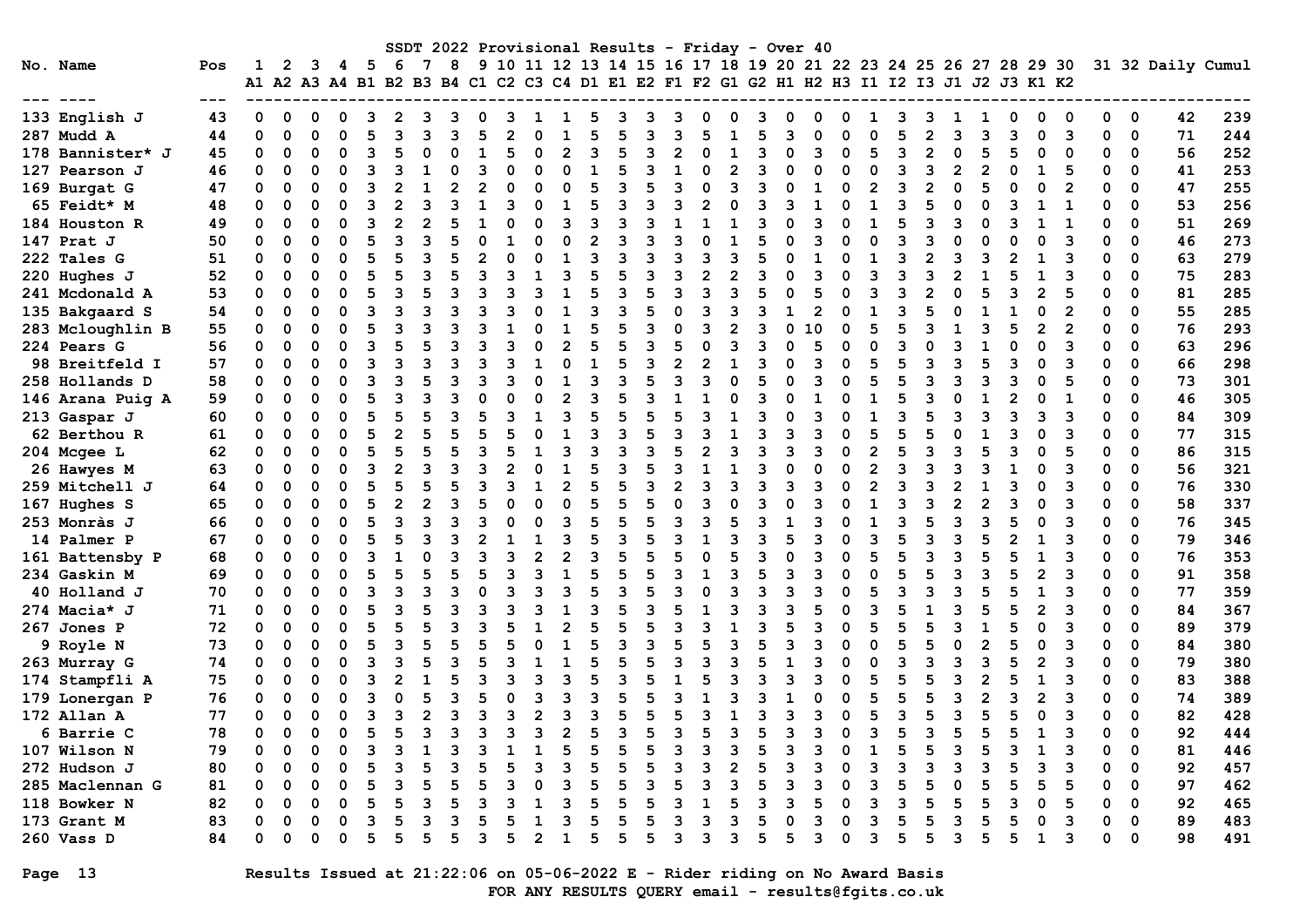| 8<br>9 10 11 12 13 14 15 16 17 18 19 20 21 22 23 24 25 26 27 28 29 30<br>-6<br>No. Name<br>Pos<br>4 5<br>31 32 Daily Cumul<br>2<br>3<br>7<br>ı<br>B4 C1 C2 C3 C4 D1 E1 E2 F1 F2 G1 G2 H1 H2 H3 I1 I2 I3 J1 J2 J3 K1 K2<br>A1 A2 A3 A4 B1 B2 B3<br>$- - -$<br>133 English J<br>43<br>42<br>239<br>0<br>0<br>O<br>Ω<br>$\mathbf 0$<br>71<br>244<br>287 Mudd A<br>44<br>0<br>ર<br>ર<br>U<br>3<br>O<br>ŋ<br>5<br>3<br>$\mathbf 0$<br>56<br>252<br>45<br>O<br>3<br>O<br>2<br>∩<br>178 Bannister* J<br>O<br>∩<br>O<br>253<br>46<br>2<br>0<br>41<br>127 Pearson J<br>O<br>O<br>47<br>2<br>$\mathbf 0$<br>255<br>169 Burgat G<br>٩<br>47<br>0<br>O<br>256<br>65 Feidt* M<br>48<br>0<br>53<br>0<br>O<br>$\Omega$<br>269<br>49<br>51<br>184 Houston R<br>0<br>50<br>273<br>147 Prat J<br>$\Omega$<br>46<br>0<br>51<br>٩<br>$\mathbf 0$<br>279<br>222 Tales G<br>0<br>O<br>63<br>52<br>3<br>$\mathbf 0$<br>283<br>220 Hughes J<br>0<br>0<br>٩<br>75<br>0<br>53<br>$\mathbf 0$<br>81<br>285<br>0<br>٩<br>٩<br>З<br>٩<br>2<br>241 Mcdonald A<br>O<br>∩<br>54<br>$\overline{2}$<br>$\Omega$<br>285<br>135 Bakgaard S<br>O<br>55<br>n<br>O<br>55<br>2<br>$\Omega$<br>76<br>293<br>283 Mcloughlin B<br>5<br>U<br>56<br>63<br>296<br>224 Pears G<br>O<br>0<br>ŋ<br>57<br>298<br>98 Breitfeld I<br>0<br>66<br>0<br>58<br>301<br>258 Hollands D<br>$\Omega$<br>73<br>O<br>305<br>59<br>$\Omega$<br>46<br>146 Arana Puig A<br>0<br>60<br>5<br>$\Omega$<br>309<br>213 Gaspar J<br>84<br>0<br>n<br>3<br>٩<br>5<br>5<br>$\mathbf 0$<br>315<br>62 Berthou R<br>61<br>77<br>0<br>O<br>3<br>62<br>२<br>२<br>ว<br>$\Omega$<br>86<br>315<br>O<br>204 Mcgee L<br>O<br>∩<br>56<br>321<br>63<br>$\Omega$<br>26 Hawyes M<br>U<br>n<br>330<br>259 Mitchell J<br>64<br>$\Omega$<br>76<br>U<br>O<br>65<br>$\mathbf 0$<br>58<br>337<br>167 Hughes S<br>0<br>O<br>ŋ<br>२<br>253 Monràs J<br>66<br>$\mathbf 0$<br>345<br>76<br>0<br>O<br>3<br>$\Omega$<br>346<br>14 Palmer P<br>67<br>79<br>0<br>n<br>353<br>68<br>5<br>$\Omega$<br>76<br>161 Battensby P<br>0<br>358<br>69<br>$\mathbf 0$<br>91<br>234 Gaskin M<br>0<br>0<br>3<br>$\mathbf 0$<br>359<br>40 Holland J<br>70<br>77<br>0<br>O<br>0<br>71<br>$\mathbf 0$<br>367<br>З<br>84<br>274 Macia* J<br>O<br>O<br>∩<br>72<br>379<br>$\Omega$<br>89<br>267 Jones P<br>O<br>O<br>ŋ<br>73<br>380<br>9 Royle N<br>O<br>0<br>84<br>O<br>263 Murray G<br>74<br>380<br>0<br>79<br>O<br>ŋ<br>174 Stampfli A<br>75<br>0<br>83<br>388<br>O<br>5<br>2<br>76<br>З<br>$\Omega$<br>74<br>389<br>179 Lonergan P<br>77<br>3<br>$\Omega$<br>82<br>428<br>5<br>5<br>٩<br>172 Allan A<br>6 Barrie C<br>78<br>0<br>0<br>0<br>92<br>444<br>107 Wilson N<br>79<br>з<br>81<br>446<br>0<br>0<br>3<br>0<br>0<br>272 Hudson J<br>80<br>92<br>457<br>0<br>5<br>3<br>з<br>0<br>0<br>0<br>462<br>285 Maclennan G<br>81<br>0<br>97<br>5<br>3<br>3<br>5<br>5<br>0<br>0<br>0<br>5<br>82<br>465<br>118 Bowker N<br>3<br>0<br>92<br>5<br>0<br>0<br>173 Grant M<br>83<br>89<br>483<br>3<br>3<br>5<br>3<br>0<br>0<br>0 |            |    |   |   |   |   |  |   |  |   |  |  | SSDT 2022 Provisional Results - Friday - Over 40 |   |  |   |   |        |   |   |   |   |   |   |    |     |
|-------------------------------------------------------------------------------------------------------------------------------------------------------------------------------------------------------------------------------------------------------------------------------------------------------------------------------------------------------------------------------------------------------------------------------------------------------------------------------------------------------------------------------------------------------------------------------------------------------------------------------------------------------------------------------------------------------------------------------------------------------------------------------------------------------------------------------------------------------------------------------------------------------------------------------------------------------------------------------------------------------------------------------------------------------------------------------------------------------------------------------------------------------------------------------------------------------------------------------------------------------------------------------------------------------------------------------------------------------------------------------------------------------------------------------------------------------------------------------------------------------------------------------------------------------------------------------------------------------------------------------------------------------------------------------------------------------------------------------------------------------------------------------------------------------------------------------------------------------------------------------------------------------------------------------------------------------------------------------------------------------------------------------------------------------------------------------------------------------------------------------------------------------------------------------------------------------------------------------------------------------------------------------------------------------------------------------------------------------------------------------------------------------------------------------------------------------------------------------------------------------------------------------------------------------------------------------------------------------------------------------------------------------------------------------------------------------------------------------------------------------------------------------------------------------------------------------------------------------------------------------------------------------------------------------------------------------------------------------------------------|------------|----|---|---|---|---|--|---|--|---|--|--|--------------------------------------------------|---|--|---|---|--------|---|---|---|---|---|---|----|-----|
|                                                                                                                                                                                                                                                                                                                                                                                                                                                                                                                                                                                                                                                                                                                                                                                                                                                                                                                                                                                                                                                                                                                                                                                                                                                                                                                                                                                                                                                                                                                                                                                                                                                                                                                                                                                                                                                                                                                                                                                                                                                                                                                                                                                                                                                                                                                                                                                                                                                                                                                                                                                                                                                                                                                                                                                                                                                                                                                                                                                                 |            |    |   |   |   |   |  |   |  |   |  |  |                                                  |   |  |   |   |        |   |   |   |   |   |   |    |     |
|                                                                                                                                                                                                                                                                                                                                                                                                                                                                                                                                                                                                                                                                                                                                                                                                                                                                                                                                                                                                                                                                                                                                                                                                                                                                                                                                                                                                                                                                                                                                                                                                                                                                                                                                                                                                                                                                                                                                                                                                                                                                                                                                                                                                                                                                                                                                                                                                                                                                                                                                                                                                                                                                                                                                                                                                                                                                                                                                                                                                 |            |    |   |   |   |   |  |   |  |   |  |  |                                                  |   |  |   |   |        |   |   |   |   |   |   |    |     |
|                                                                                                                                                                                                                                                                                                                                                                                                                                                                                                                                                                                                                                                                                                                                                                                                                                                                                                                                                                                                                                                                                                                                                                                                                                                                                                                                                                                                                                                                                                                                                                                                                                                                                                                                                                                                                                                                                                                                                                                                                                                                                                                                                                                                                                                                                                                                                                                                                                                                                                                                                                                                                                                                                                                                                                                                                                                                                                                                                                                                 |            |    |   |   |   |   |  |   |  |   |  |  |                                                  |   |  |   |   |        |   |   |   |   |   |   |    |     |
|                                                                                                                                                                                                                                                                                                                                                                                                                                                                                                                                                                                                                                                                                                                                                                                                                                                                                                                                                                                                                                                                                                                                                                                                                                                                                                                                                                                                                                                                                                                                                                                                                                                                                                                                                                                                                                                                                                                                                                                                                                                                                                                                                                                                                                                                                                                                                                                                                                                                                                                                                                                                                                                                                                                                                                                                                                                                                                                                                                                                 |            |    |   |   |   |   |  |   |  |   |  |  |                                                  |   |  |   |   |        |   |   |   |   |   |   |    |     |
|                                                                                                                                                                                                                                                                                                                                                                                                                                                                                                                                                                                                                                                                                                                                                                                                                                                                                                                                                                                                                                                                                                                                                                                                                                                                                                                                                                                                                                                                                                                                                                                                                                                                                                                                                                                                                                                                                                                                                                                                                                                                                                                                                                                                                                                                                                                                                                                                                                                                                                                                                                                                                                                                                                                                                                                                                                                                                                                                                                                                 |            |    |   |   |   |   |  |   |  |   |  |  |                                                  |   |  |   |   |        |   |   |   |   |   |   |    |     |
|                                                                                                                                                                                                                                                                                                                                                                                                                                                                                                                                                                                                                                                                                                                                                                                                                                                                                                                                                                                                                                                                                                                                                                                                                                                                                                                                                                                                                                                                                                                                                                                                                                                                                                                                                                                                                                                                                                                                                                                                                                                                                                                                                                                                                                                                                                                                                                                                                                                                                                                                                                                                                                                                                                                                                                                                                                                                                                                                                                                                 |            |    |   |   |   |   |  |   |  |   |  |  |                                                  |   |  |   |   |        |   |   |   |   |   |   |    |     |
|                                                                                                                                                                                                                                                                                                                                                                                                                                                                                                                                                                                                                                                                                                                                                                                                                                                                                                                                                                                                                                                                                                                                                                                                                                                                                                                                                                                                                                                                                                                                                                                                                                                                                                                                                                                                                                                                                                                                                                                                                                                                                                                                                                                                                                                                                                                                                                                                                                                                                                                                                                                                                                                                                                                                                                                                                                                                                                                                                                                                 |            |    |   |   |   |   |  |   |  |   |  |  |                                                  |   |  |   |   |        |   |   |   |   |   |   |    |     |
|                                                                                                                                                                                                                                                                                                                                                                                                                                                                                                                                                                                                                                                                                                                                                                                                                                                                                                                                                                                                                                                                                                                                                                                                                                                                                                                                                                                                                                                                                                                                                                                                                                                                                                                                                                                                                                                                                                                                                                                                                                                                                                                                                                                                                                                                                                                                                                                                                                                                                                                                                                                                                                                                                                                                                                                                                                                                                                                                                                                                 |            |    |   |   |   |   |  |   |  |   |  |  |                                                  |   |  |   |   |        |   |   |   |   |   |   |    |     |
|                                                                                                                                                                                                                                                                                                                                                                                                                                                                                                                                                                                                                                                                                                                                                                                                                                                                                                                                                                                                                                                                                                                                                                                                                                                                                                                                                                                                                                                                                                                                                                                                                                                                                                                                                                                                                                                                                                                                                                                                                                                                                                                                                                                                                                                                                                                                                                                                                                                                                                                                                                                                                                                                                                                                                                                                                                                                                                                                                                                                 |            |    |   |   |   |   |  |   |  |   |  |  |                                                  |   |  |   |   |        |   |   |   |   |   |   |    |     |
|                                                                                                                                                                                                                                                                                                                                                                                                                                                                                                                                                                                                                                                                                                                                                                                                                                                                                                                                                                                                                                                                                                                                                                                                                                                                                                                                                                                                                                                                                                                                                                                                                                                                                                                                                                                                                                                                                                                                                                                                                                                                                                                                                                                                                                                                                                                                                                                                                                                                                                                                                                                                                                                                                                                                                                                                                                                                                                                                                                                                 |            |    |   |   |   |   |  |   |  |   |  |  |                                                  |   |  |   |   |        |   |   |   |   |   |   |    |     |
|                                                                                                                                                                                                                                                                                                                                                                                                                                                                                                                                                                                                                                                                                                                                                                                                                                                                                                                                                                                                                                                                                                                                                                                                                                                                                                                                                                                                                                                                                                                                                                                                                                                                                                                                                                                                                                                                                                                                                                                                                                                                                                                                                                                                                                                                                                                                                                                                                                                                                                                                                                                                                                                                                                                                                                                                                                                                                                                                                                                                 |            |    |   |   |   |   |  |   |  |   |  |  |                                                  |   |  |   |   |        |   |   |   |   |   |   |    |     |
|                                                                                                                                                                                                                                                                                                                                                                                                                                                                                                                                                                                                                                                                                                                                                                                                                                                                                                                                                                                                                                                                                                                                                                                                                                                                                                                                                                                                                                                                                                                                                                                                                                                                                                                                                                                                                                                                                                                                                                                                                                                                                                                                                                                                                                                                                                                                                                                                                                                                                                                                                                                                                                                                                                                                                                                                                                                                                                                                                                                                 |            |    |   |   |   |   |  |   |  |   |  |  |                                                  |   |  |   |   |        |   |   |   |   |   |   |    |     |
|                                                                                                                                                                                                                                                                                                                                                                                                                                                                                                                                                                                                                                                                                                                                                                                                                                                                                                                                                                                                                                                                                                                                                                                                                                                                                                                                                                                                                                                                                                                                                                                                                                                                                                                                                                                                                                                                                                                                                                                                                                                                                                                                                                                                                                                                                                                                                                                                                                                                                                                                                                                                                                                                                                                                                                                                                                                                                                                                                                                                 |            |    |   |   |   |   |  |   |  |   |  |  |                                                  |   |  |   |   |        |   |   |   |   |   |   |    |     |
|                                                                                                                                                                                                                                                                                                                                                                                                                                                                                                                                                                                                                                                                                                                                                                                                                                                                                                                                                                                                                                                                                                                                                                                                                                                                                                                                                                                                                                                                                                                                                                                                                                                                                                                                                                                                                                                                                                                                                                                                                                                                                                                                                                                                                                                                                                                                                                                                                                                                                                                                                                                                                                                                                                                                                                                                                                                                                                                                                                                                 |            |    |   |   |   |   |  |   |  |   |  |  |                                                  |   |  |   |   |        |   |   |   |   |   |   |    |     |
|                                                                                                                                                                                                                                                                                                                                                                                                                                                                                                                                                                                                                                                                                                                                                                                                                                                                                                                                                                                                                                                                                                                                                                                                                                                                                                                                                                                                                                                                                                                                                                                                                                                                                                                                                                                                                                                                                                                                                                                                                                                                                                                                                                                                                                                                                                                                                                                                                                                                                                                                                                                                                                                                                                                                                                                                                                                                                                                                                                                                 |            |    |   |   |   |   |  |   |  |   |  |  |                                                  |   |  |   |   |        |   |   |   |   |   |   |    |     |
|                                                                                                                                                                                                                                                                                                                                                                                                                                                                                                                                                                                                                                                                                                                                                                                                                                                                                                                                                                                                                                                                                                                                                                                                                                                                                                                                                                                                                                                                                                                                                                                                                                                                                                                                                                                                                                                                                                                                                                                                                                                                                                                                                                                                                                                                                                                                                                                                                                                                                                                                                                                                                                                                                                                                                                                                                                                                                                                                                                                                 |            |    |   |   |   |   |  |   |  |   |  |  |                                                  |   |  |   |   |        |   |   |   |   |   |   |    |     |
|                                                                                                                                                                                                                                                                                                                                                                                                                                                                                                                                                                                                                                                                                                                                                                                                                                                                                                                                                                                                                                                                                                                                                                                                                                                                                                                                                                                                                                                                                                                                                                                                                                                                                                                                                                                                                                                                                                                                                                                                                                                                                                                                                                                                                                                                                                                                                                                                                                                                                                                                                                                                                                                                                                                                                                                                                                                                                                                                                                                                 |            |    |   |   |   |   |  |   |  |   |  |  |                                                  |   |  |   |   |        |   |   |   |   |   |   |    |     |
|                                                                                                                                                                                                                                                                                                                                                                                                                                                                                                                                                                                                                                                                                                                                                                                                                                                                                                                                                                                                                                                                                                                                                                                                                                                                                                                                                                                                                                                                                                                                                                                                                                                                                                                                                                                                                                                                                                                                                                                                                                                                                                                                                                                                                                                                                                                                                                                                                                                                                                                                                                                                                                                                                                                                                                                                                                                                                                                                                                                                 |            |    |   |   |   |   |  |   |  |   |  |  |                                                  |   |  |   |   |        |   |   |   |   |   |   |    |     |
|                                                                                                                                                                                                                                                                                                                                                                                                                                                                                                                                                                                                                                                                                                                                                                                                                                                                                                                                                                                                                                                                                                                                                                                                                                                                                                                                                                                                                                                                                                                                                                                                                                                                                                                                                                                                                                                                                                                                                                                                                                                                                                                                                                                                                                                                                                                                                                                                                                                                                                                                                                                                                                                                                                                                                                                                                                                                                                                                                                                                 |            |    |   |   |   |   |  |   |  |   |  |  |                                                  |   |  |   |   |        |   |   |   |   |   |   |    |     |
|                                                                                                                                                                                                                                                                                                                                                                                                                                                                                                                                                                                                                                                                                                                                                                                                                                                                                                                                                                                                                                                                                                                                                                                                                                                                                                                                                                                                                                                                                                                                                                                                                                                                                                                                                                                                                                                                                                                                                                                                                                                                                                                                                                                                                                                                                                                                                                                                                                                                                                                                                                                                                                                                                                                                                                                                                                                                                                                                                                                                 |            |    |   |   |   |   |  |   |  |   |  |  |                                                  |   |  |   |   |        |   |   |   |   |   |   |    |     |
|                                                                                                                                                                                                                                                                                                                                                                                                                                                                                                                                                                                                                                                                                                                                                                                                                                                                                                                                                                                                                                                                                                                                                                                                                                                                                                                                                                                                                                                                                                                                                                                                                                                                                                                                                                                                                                                                                                                                                                                                                                                                                                                                                                                                                                                                                                                                                                                                                                                                                                                                                                                                                                                                                                                                                                                                                                                                                                                                                                                                 |            |    |   |   |   |   |  |   |  |   |  |  |                                                  |   |  |   |   |        |   |   |   |   |   |   |    |     |
|                                                                                                                                                                                                                                                                                                                                                                                                                                                                                                                                                                                                                                                                                                                                                                                                                                                                                                                                                                                                                                                                                                                                                                                                                                                                                                                                                                                                                                                                                                                                                                                                                                                                                                                                                                                                                                                                                                                                                                                                                                                                                                                                                                                                                                                                                                                                                                                                                                                                                                                                                                                                                                                                                                                                                                                                                                                                                                                                                                                                 |            |    |   |   |   |   |  |   |  |   |  |  |                                                  |   |  |   |   |        |   |   |   |   |   |   |    |     |
|                                                                                                                                                                                                                                                                                                                                                                                                                                                                                                                                                                                                                                                                                                                                                                                                                                                                                                                                                                                                                                                                                                                                                                                                                                                                                                                                                                                                                                                                                                                                                                                                                                                                                                                                                                                                                                                                                                                                                                                                                                                                                                                                                                                                                                                                                                                                                                                                                                                                                                                                                                                                                                                                                                                                                                                                                                                                                                                                                                                                 |            |    |   |   |   |   |  |   |  |   |  |  |                                                  |   |  |   |   |        |   |   |   |   |   |   |    |     |
|                                                                                                                                                                                                                                                                                                                                                                                                                                                                                                                                                                                                                                                                                                                                                                                                                                                                                                                                                                                                                                                                                                                                                                                                                                                                                                                                                                                                                                                                                                                                                                                                                                                                                                                                                                                                                                                                                                                                                                                                                                                                                                                                                                                                                                                                                                                                                                                                                                                                                                                                                                                                                                                                                                                                                                                                                                                                                                                                                                                                 |            |    |   |   |   |   |  |   |  |   |  |  |                                                  |   |  |   |   |        |   |   |   |   |   |   |    |     |
|                                                                                                                                                                                                                                                                                                                                                                                                                                                                                                                                                                                                                                                                                                                                                                                                                                                                                                                                                                                                                                                                                                                                                                                                                                                                                                                                                                                                                                                                                                                                                                                                                                                                                                                                                                                                                                                                                                                                                                                                                                                                                                                                                                                                                                                                                                                                                                                                                                                                                                                                                                                                                                                                                                                                                                                                                                                                                                                                                                                                 |            |    |   |   |   |   |  |   |  |   |  |  |                                                  |   |  |   |   |        |   |   |   |   |   |   |    |     |
|                                                                                                                                                                                                                                                                                                                                                                                                                                                                                                                                                                                                                                                                                                                                                                                                                                                                                                                                                                                                                                                                                                                                                                                                                                                                                                                                                                                                                                                                                                                                                                                                                                                                                                                                                                                                                                                                                                                                                                                                                                                                                                                                                                                                                                                                                                                                                                                                                                                                                                                                                                                                                                                                                                                                                                                                                                                                                                                                                                                                 |            |    |   |   |   |   |  |   |  |   |  |  |                                                  |   |  |   |   |        |   |   |   |   |   |   |    |     |
|                                                                                                                                                                                                                                                                                                                                                                                                                                                                                                                                                                                                                                                                                                                                                                                                                                                                                                                                                                                                                                                                                                                                                                                                                                                                                                                                                                                                                                                                                                                                                                                                                                                                                                                                                                                                                                                                                                                                                                                                                                                                                                                                                                                                                                                                                                                                                                                                                                                                                                                                                                                                                                                                                                                                                                                                                                                                                                                                                                                                 |            |    |   |   |   |   |  |   |  |   |  |  |                                                  |   |  |   |   |        |   |   |   |   |   |   |    |     |
|                                                                                                                                                                                                                                                                                                                                                                                                                                                                                                                                                                                                                                                                                                                                                                                                                                                                                                                                                                                                                                                                                                                                                                                                                                                                                                                                                                                                                                                                                                                                                                                                                                                                                                                                                                                                                                                                                                                                                                                                                                                                                                                                                                                                                                                                                                                                                                                                                                                                                                                                                                                                                                                                                                                                                                                                                                                                                                                                                                                                 |            |    |   |   |   |   |  |   |  |   |  |  |                                                  |   |  |   |   |        |   |   |   |   |   |   |    |     |
|                                                                                                                                                                                                                                                                                                                                                                                                                                                                                                                                                                                                                                                                                                                                                                                                                                                                                                                                                                                                                                                                                                                                                                                                                                                                                                                                                                                                                                                                                                                                                                                                                                                                                                                                                                                                                                                                                                                                                                                                                                                                                                                                                                                                                                                                                                                                                                                                                                                                                                                                                                                                                                                                                                                                                                                                                                                                                                                                                                                                 |            |    |   |   |   |   |  |   |  |   |  |  |                                                  |   |  |   |   |        |   |   |   |   |   |   |    |     |
|                                                                                                                                                                                                                                                                                                                                                                                                                                                                                                                                                                                                                                                                                                                                                                                                                                                                                                                                                                                                                                                                                                                                                                                                                                                                                                                                                                                                                                                                                                                                                                                                                                                                                                                                                                                                                                                                                                                                                                                                                                                                                                                                                                                                                                                                                                                                                                                                                                                                                                                                                                                                                                                                                                                                                                                                                                                                                                                                                                                                 |            |    |   |   |   |   |  |   |  |   |  |  |                                                  |   |  |   |   |        |   |   |   |   |   |   |    |     |
|                                                                                                                                                                                                                                                                                                                                                                                                                                                                                                                                                                                                                                                                                                                                                                                                                                                                                                                                                                                                                                                                                                                                                                                                                                                                                                                                                                                                                                                                                                                                                                                                                                                                                                                                                                                                                                                                                                                                                                                                                                                                                                                                                                                                                                                                                                                                                                                                                                                                                                                                                                                                                                                                                                                                                                                                                                                                                                                                                                                                 |            |    |   |   |   |   |  |   |  |   |  |  |                                                  |   |  |   |   |        |   |   |   |   |   |   |    |     |
|                                                                                                                                                                                                                                                                                                                                                                                                                                                                                                                                                                                                                                                                                                                                                                                                                                                                                                                                                                                                                                                                                                                                                                                                                                                                                                                                                                                                                                                                                                                                                                                                                                                                                                                                                                                                                                                                                                                                                                                                                                                                                                                                                                                                                                                                                                                                                                                                                                                                                                                                                                                                                                                                                                                                                                                                                                                                                                                                                                                                 |            |    |   |   |   |   |  |   |  |   |  |  |                                                  |   |  |   |   |        |   |   |   |   |   |   |    |     |
|                                                                                                                                                                                                                                                                                                                                                                                                                                                                                                                                                                                                                                                                                                                                                                                                                                                                                                                                                                                                                                                                                                                                                                                                                                                                                                                                                                                                                                                                                                                                                                                                                                                                                                                                                                                                                                                                                                                                                                                                                                                                                                                                                                                                                                                                                                                                                                                                                                                                                                                                                                                                                                                                                                                                                                                                                                                                                                                                                                                                 |            |    |   |   |   |   |  |   |  |   |  |  |                                                  |   |  |   |   |        |   |   |   |   |   |   |    |     |
|                                                                                                                                                                                                                                                                                                                                                                                                                                                                                                                                                                                                                                                                                                                                                                                                                                                                                                                                                                                                                                                                                                                                                                                                                                                                                                                                                                                                                                                                                                                                                                                                                                                                                                                                                                                                                                                                                                                                                                                                                                                                                                                                                                                                                                                                                                                                                                                                                                                                                                                                                                                                                                                                                                                                                                                                                                                                                                                                                                                                 |            |    |   |   |   |   |  |   |  |   |  |  |                                                  |   |  |   |   |        |   |   |   |   |   |   |    |     |
|                                                                                                                                                                                                                                                                                                                                                                                                                                                                                                                                                                                                                                                                                                                                                                                                                                                                                                                                                                                                                                                                                                                                                                                                                                                                                                                                                                                                                                                                                                                                                                                                                                                                                                                                                                                                                                                                                                                                                                                                                                                                                                                                                                                                                                                                                                                                                                                                                                                                                                                                                                                                                                                                                                                                                                                                                                                                                                                                                                                                 |            |    |   |   |   |   |  |   |  |   |  |  |                                                  |   |  |   |   |        |   |   |   |   |   |   |    |     |
|                                                                                                                                                                                                                                                                                                                                                                                                                                                                                                                                                                                                                                                                                                                                                                                                                                                                                                                                                                                                                                                                                                                                                                                                                                                                                                                                                                                                                                                                                                                                                                                                                                                                                                                                                                                                                                                                                                                                                                                                                                                                                                                                                                                                                                                                                                                                                                                                                                                                                                                                                                                                                                                                                                                                                                                                                                                                                                                                                                                                 |            |    |   |   |   |   |  |   |  |   |  |  |                                                  |   |  |   |   |        |   |   |   |   |   |   |    |     |
|                                                                                                                                                                                                                                                                                                                                                                                                                                                                                                                                                                                                                                                                                                                                                                                                                                                                                                                                                                                                                                                                                                                                                                                                                                                                                                                                                                                                                                                                                                                                                                                                                                                                                                                                                                                                                                                                                                                                                                                                                                                                                                                                                                                                                                                                                                                                                                                                                                                                                                                                                                                                                                                                                                                                                                                                                                                                                                                                                                                                 |            |    |   |   |   |   |  |   |  |   |  |  |                                                  |   |  |   |   |        |   |   |   |   |   |   |    |     |
|                                                                                                                                                                                                                                                                                                                                                                                                                                                                                                                                                                                                                                                                                                                                                                                                                                                                                                                                                                                                                                                                                                                                                                                                                                                                                                                                                                                                                                                                                                                                                                                                                                                                                                                                                                                                                                                                                                                                                                                                                                                                                                                                                                                                                                                                                                                                                                                                                                                                                                                                                                                                                                                                                                                                                                                                                                                                                                                                                                                                 |            |    |   |   |   |   |  |   |  |   |  |  |                                                  |   |  |   |   |        |   |   |   |   |   |   |    |     |
|                                                                                                                                                                                                                                                                                                                                                                                                                                                                                                                                                                                                                                                                                                                                                                                                                                                                                                                                                                                                                                                                                                                                                                                                                                                                                                                                                                                                                                                                                                                                                                                                                                                                                                                                                                                                                                                                                                                                                                                                                                                                                                                                                                                                                                                                                                                                                                                                                                                                                                                                                                                                                                                                                                                                                                                                                                                                                                                                                                                                 |            |    |   |   |   |   |  |   |  |   |  |  |                                                  |   |  |   |   |        |   |   |   |   |   |   |    |     |
|                                                                                                                                                                                                                                                                                                                                                                                                                                                                                                                                                                                                                                                                                                                                                                                                                                                                                                                                                                                                                                                                                                                                                                                                                                                                                                                                                                                                                                                                                                                                                                                                                                                                                                                                                                                                                                                                                                                                                                                                                                                                                                                                                                                                                                                                                                                                                                                                                                                                                                                                                                                                                                                                                                                                                                                                                                                                                                                                                                                                 |            |    |   |   |   |   |  |   |  |   |  |  |                                                  |   |  |   |   |        |   |   |   |   |   |   |    |     |
|                                                                                                                                                                                                                                                                                                                                                                                                                                                                                                                                                                                                                                                                                                                                                                                                                                                                                                                                                                                                                                                                                                                                                                                                                                                                                                                                                                                                                                                                                                                                                                                                                                                                                                                                                                                                                                                                                                                                                                                                                                                                                                                                                                                                                                                                                                                                                                                                                                                                                                                                                                                                                                                                                                                                                                                                                                                                                                                                                                                                 |            |    |   |   |   |   |  |   |  |   |  |  |                                                  |   |  |   |   |        |   |   |   |   |   |   |    |     |
|                                                                                                                                                                                                                                                                                                                                                                                                                                                                                                                                                                                                                                                                                                                                                                                                                                                                                                                                                                                                                                                                                                                                                                                                                                                                                                                                                                                                                                                                                                                                                                                                                                                                                                                                                                                                                                                                                                                                                                                                                                                                                                                                                                                                                                                                                                                                                                                                                                                                                                                                                                                                                                                                                                                                                                                                                                                                                                                                                                                                 |            |    |   |   |   |   |  |   |  |   |  |  |                                                  |   |  |   |   |        |   |   |   |   |   |   |    |     |
|                                                                                                                                                                                                                                                                                                                                                                                                                                                                                                                                                                                                                                                                                                                                                                                                                                                                                                                                                                                                                                                                                                                                                                                                                                                                                                                                                                                                                                                                                                                                                                                                                                                                                                                                                                                                                                                                                                                                                                                                                                                                                                                                                                                                                                                                                                                                                                                                                                                                                                                                                                                                                                                                                                                                                                                                                                                                                                                                                                                                 |            |    |   |   |   |   |  |   |  |   |  |  |                                                  |   |  |   |   |        |   |   |   |   |   |   |    |     |
|                                                                                                                                                                                                                                                                                                                                                                                                                                                                                                                                                                                                                                                                                                                                                                                                                                                                                                                                                                                                                                                                                                                                                                                                                                                                                                                                                                                                                                                                                                                                                                                                                                                                                                                                                                                                                                                                                                                                                                                                                                                                                                                                                                                                                                                                                                                                                                                                                                                                                                                                                                                                                                                                                                                                                                                                                                                                                                                                                                                                 |            |    |   |   |   |   |  |   |  |   |  |  |                                                  |   |  |   |   |        |   |   |   |   |   |   |    |     |
|                                                                                                                                                                                                                                                                                                                                                                                                                                                                                                                                                                                                                                                                                                                                                                                                                                                                                                                                                                                                                                                                                                                                                                                                                                                                                                                                                                                                                                                                                                                                                                                                                                                                                                                                                                                                                                                                                                                                                                                                                                                                                                                                                                                                                                                                                                                                                                                                                                                                                                                                                                                                                                                                                                                                                                                                                                                                                                                                                                                                 | 260 Vass D | 84 | 0 | 0 | 0 | 5 |  | 5 |  | 2 |  |  | 3                                                | 3 |  | з | 0 | 5<br>5 | 5 | 5 | 1 | 3 | 0 | 0 | 98 | 491 |

Page 13 Results Issued at 21:22:06 on 05-06-2022 E - Rider riding on No Award Basis FOR ANY RESULTS QUERY email - results@fgits.co.uk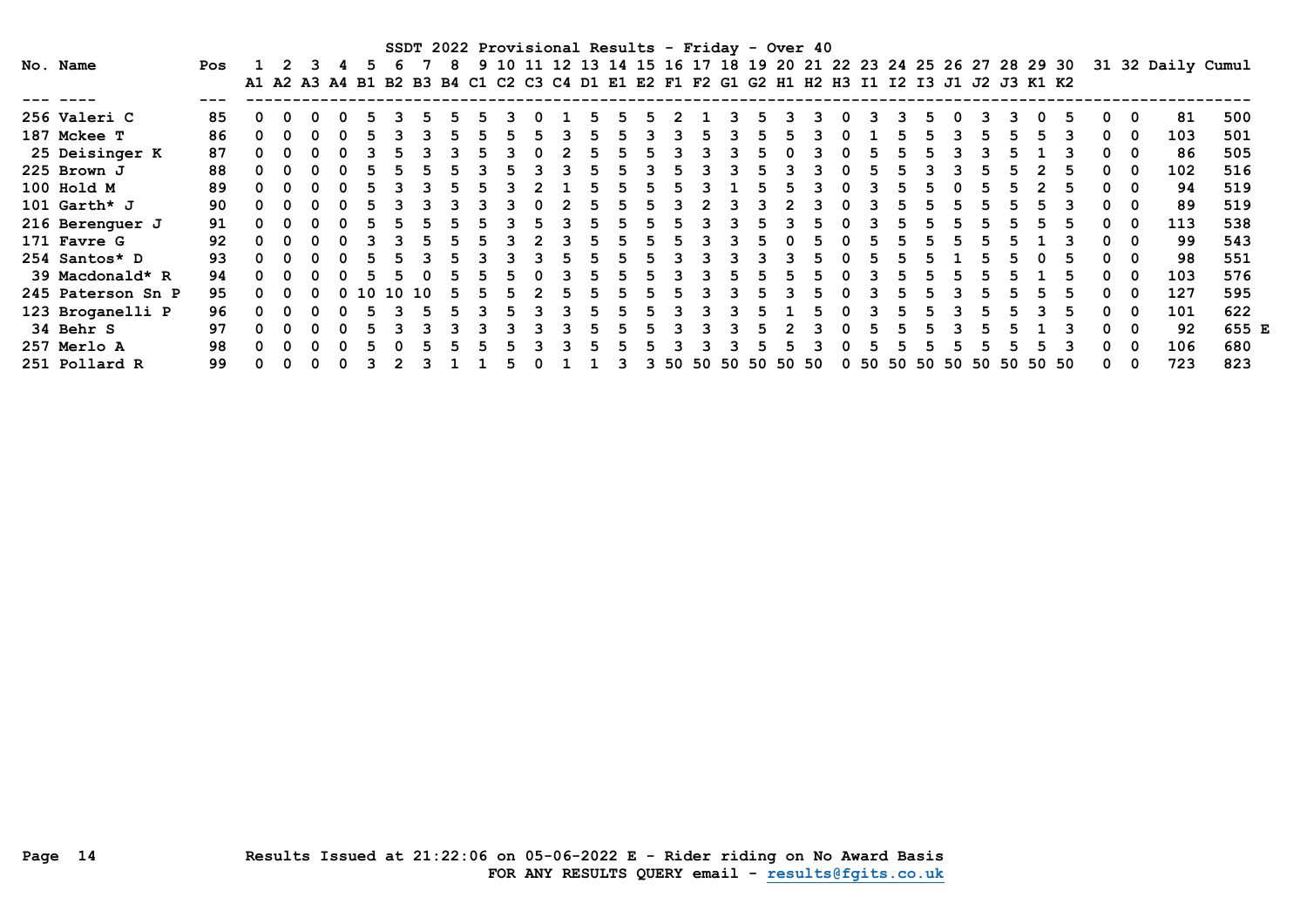|                   |     |    |  |     |     |           |  |  |  |  |     |       |    | SSDT 2022 Provisional Results - Friday - Over 40                                          |  |      |     |    |       |    |       |  |          |                                                                                    |       |
|-------------------|-----|----|--|-----|-----|-----------|--|--|--|--|-----|-------|----|-------------------------------------------------------------------------------------------|--|------|-----|----|-------|----|-------|--|----------|------------------------------------------------------------------------------------|-------|
| No. Name          | Pos |    |  |     |     |           |  |  |  |  |     |       |    |                                                                                           |  |      |     |    |       |    |       |  |          | 9 10 11 12 13 14 15 16 17 18 19 20 21 22 23 24 25 26 27 28 29 30 31 32 Daily Cumul |       |
|                   |     |    |  |     |     |           |  |  |  |  |     |       |    | A1 A2 A3 A4 B1 B2 B3 B4 C1 C2 C3 C4 D1 E1 E2 F1 F2 G1 G2 H1 H2 H3 I1 I2 I3 J1 J2 J3 K1 K2 |  |      |     |    |       |    |       |  |          |                                                                                    |       |
|                   |     |    |  |     |     |           |  |  |  |  |     |       |    |                                                                                           |  |      |     |    |       |    |       |  |          |                                                                                    |       |
| 256 Valeri C      | 85  | n. |  |     |     |           |  |  |  |  |     |       |    |                                                                                           |  |      |     |    |       |    |       |  | 0        | 81                                                                                 | 500   |
| 187 Mckee T       | 86  |    |  |     |     |           |  |  |  |  |     |       |    |                                                                                           |  |      |     |    |       |    |       |  | 0        | 103                                                                                | 501   |
| 25 Deisinger K    | 87  |    |  |     |     |           |  |  |  |  |     |       |    |                                                                                           |  |      |     |    |       |    |       |  | o        | 86                                                                                 | 505   |
| 225 Brown J       | 88  |    |  |     |     |           |  |  |  |  |     |       |    |                                                                                           |  |      |     |    |       |    |       |  | 0        | 102                                                                                | 516   |
| 100 Hold M        | 89  |    |  |     |     |           |  |  |  |  |     |       |    |                                                                                           |  |      |     |    |       |    |       |  | 0        | 94                                                                                 | 519   |
| 101 $Garth*$ J    | 90  |    |  |     |     |           |  |  |  |  |     |       |    |                                                                                           |  |      |     |    |       |    |       |  | 0        | 89                                                                                 | 519   |
| 216 Berenguer J   | 91  |    |  |     |     |           |  |  |  |  |     |       |    |                                                                                           |  |      |     |    |       |    |       |  | $\Omega$ | 113                                                                                | 538   |
| 171 Favre G       | 92  |    |  |     |     |           |  |  |  |  |     |       |    |                                                                                           |  |      |     |    |       |    |       |  | 0        | 99                                                                                 | 543   |
| 254 Santos* D     | 93  |    |  |     |     |           |  |  |  |  |     |       |    |                                                                                           |  |      |     |    |       |    |       |  | 0        | 98                                                                                 | 551   |
| 39 Macdonald* R   | 94  |    |  |     |     |           |  |  |  |  |     |       |    |                                                                                           |  |      |     |    |       |    |       |  | $\Omega$ | 103                                                                                | 576   |
| 245 Paterson Sn P | 95  |    |  | 1 O | 10. | <u>າດ</u> |  |  |  |  |     |       |    |                                                                                           |  |      |     |    |       |    |       |  | $\Omega$ | 127                                                                                | 595   |
| 123 Broganelli P  | 96  |    |  |     |     |           |  |  |  |  |     |       |    |                                                                                           |  |      |     |    |       |    |       |  | - 0      | 101                                                                                | 622   |
| 34 Behr S         | 97  |    |  |     |     |           |  |  |  |  |     |       |    |                                                                                           |  |      |     |    |       |    |       |  | 0        | 92                                                                                 | 655 E |
| 257 Merlo A       | 98  |    |  |     |     |           |  |  |  |  |     |       |    |                                                                                           |  |      |     |    |       |    |       |  | 0        | 106                                                                                | 680   |
| 251 Pollard R     | 99  |    |  |     |     |           |  |  |  |  | -50 | 50 50 | 50 | 50 50                                                                                     |  | 0 50 | -50 | 50 | 50 50 | 50 | 50 50 |  | $\Omega$ | 723                                                                                | 823   |